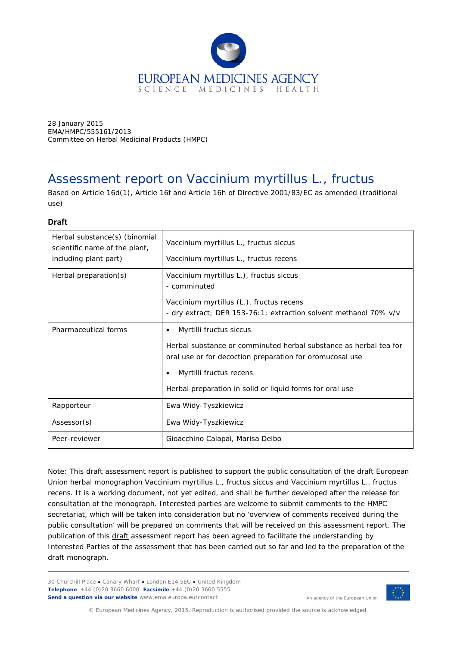

28 January 2015 EMA/HMPC/555161/2013 Committee on Herbal Medicinal Products (HMPC)

# Assessment report on *Vaccinium myrtillus* L., *fructus*

Based on Article 16d(1), Article 16f and Article 16h of Directive 2001/83/EC as amended (traditional use)

## **Draft**

| Herbal substance(s) (binomial<br>scientific name of the plant,<br>including plant part) | Vaccinium myrtillus L., fructus siccus<br>Vaccinium myrtillus L., fructus recens                                                                                                                                                                                          |
|-----------------------------------------------------------------------------------------|---------------------------------------------------------------------------------------------------------------------------------------------------------------------------------------------------------------------------------------------------------------------------|
| Herbal preparation(s)                                                                   | Vaccinium myrtillus L.), fructus siccus<br>- comminuted<br>Vaccinium myrtillus (L.), fructus recens<br>- dry extract; DER 153-76:1; extraction solvent methanol 70% v/v                                                                                                   |
| Pharmaceutical forms                                                                    | Myrtilli fructus siccus<br>$\bullet$<br>Herbal substance or comminuted herbal substance as herbal tea for<br>oral use or for decoction preparation for oromucosal use<br>Myrtilli fructus recens<br>$\bullet$<br>Herbal preparation in solid or liquid forms for oral use |
| Rapporteur                                                                              | Ewa Widy-Tyszkiewicz                                                                                                                                                                                                                                                      |
| Assessor(s)                                                                             | Ewa Widy-Tyszkiewicz                                                                                                                                                                                                                                                      |
| Peer-reviewer                                                                           | Gioacchino Calapai, Marisa Delbo                                                                                                                                                                                                                                          |

Note: This draft assessment report is published to support the public consultation of the draft European Union herbal monographon *Vaccinium myrtillus* L., fructus siccus *and Vaccinium myrtillus* L., fructus recens. It is a working document, not yet edited, and shall be further developed after the release for consultation of the monograph. Interested parties are welcome to submit comments to the HMPC secretariat, which will be taken into consideration but no 'overview of comments received during the public consultation' will be prepared on comments that will be received on this assessment report. The publication of this draft assessment report has been agreed to facilitate the understanding by Interested Parties of the assessment that has been carried out so far and led to the preparation of the draft monograph.

30 Churchill Place **●** Canary Wharf **●** London E14 5EU **●** United Kingdom **Telephone** +44 (0)20 3660 6000 **Facsimile** +44 (0)20 3660 5555 **Send a question via our website** www.ema.europa.eu/contact



An agency of the European Union

© European Medicines Agency, 2015. Reproduction is authorised provided the source is acknowledged.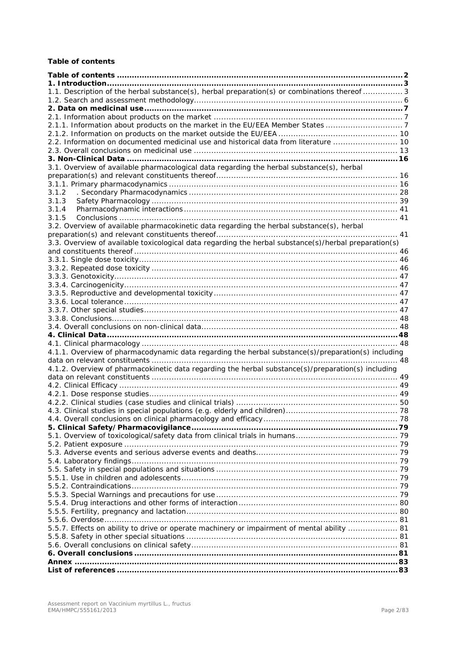## <span id="page-1-0"></span>**Table of contents**

| 1.1. Description of the herbal substance(s), herbal preparation(s) or combinations thereof  3         |  |
|-------------------------------------------------------------------------------------------------------|--|
|                                                                                                       |  |
|                                                                                                       |  |
|                                                                                                       |  |
| 2.1.1. Information about products on the market in the EU/EEA Member States 7                         |  |
|                                                                                                       |  |
| 2.2. Information on documented medicinal use and historical data from literature  10                  |  |
|                                                                                                       |  |
| 3.1. Overview of available pharmacological data regarding the herbal substance(s), herbal             |  |
|                                                                                                       |  |
|                                                                                                       |  |
| 3.1.2                                                                                                 |  |
| 3.1.3                                                                                                 |  |
| 3.1.4                                                                                                 |  |
| 3.1.5                                                                                                 |  |
| 3.2. Overview of available pharmacokinetic data regarding the herbal substance(s), herbal             |  |
|                                                                                                       |  |
| 3.3. Overview of available toxicological data regarding the herbal substance(s)/herbal preparation(s) |  |
|                                                                                                       |  |
|                                                                                                       |  |
|                                                                                                       |  |
|                                                                                                       |  |
|                                                                                                       |  |
|                                                                                                       |  |
|                                                                                                       |  |
|                                                                                                       |  |
|                                                                                                       |  |
|                                                                                                       |  |
|                                                                                                       |  |
|                                                                                                       |  |
| 4.1.1. Overview of pharmacodynamic data regarding the herbal substance(s)/preparation(s) including    |  |
|                                                                                                       |  |
| 4.1.2. Overview of pharmacokinetic data regarding the herbal substance(s)/preparation(s) including    |  |
|                                                                                                       |  |
|                                                                                                       |  |
|                                                                                                       |  |
|                                                                                                       |  |
|                                                                                                       |  |
|                                                                                                       |  |
|                                                                                                       |  |
|                                                                                                       |  |
|                                                                                                       |  |
|                                                                                                       |  |
|                                                                                                       |  |
|                                                                                                       |  |
|                                                                                                       |  |
|                                                                                                       |  |
|                                                                                                       |  |
|                                                                                                       |  |
|                                                                                                       |  |
| 5.5.7. Effects on ability to drive or operate machinery or impairment of mental ability  81           |  |
|                                                                                                       |  |
|                                                                                                       |  |
|                                                                                                       |  |
|                                                                                                       |  |
|                                                                                                       |  |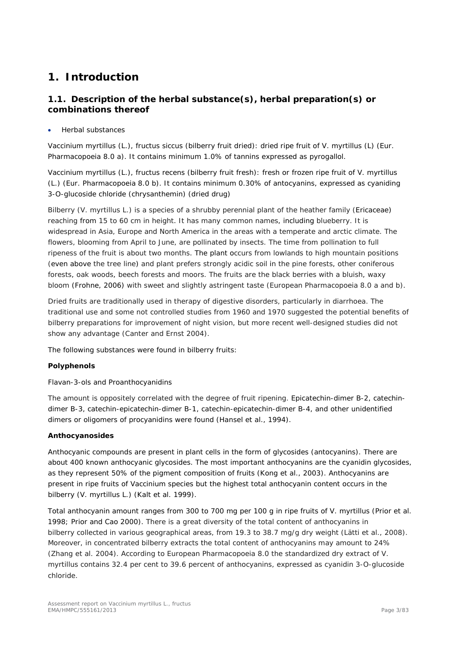# <span id="page-2-0"></span>**1. Introduction**

# <span id="page-2-1"></span>*1.1. Description of the herbal substance(s), herbal preparation(s) or combinations thereof*

• Herbal substances

*Vaccinium myrtillus* (L.), fructus siccus (bilberry fruit dried): dried ripe fruit of *V. myrtillus* (L) (Eur. Pharmacopoeia 8.0 a). It contains minimum 1.0% of tannins expressed as pyrogallol.

*Vaccinium myrtillus* (L.), fructus recens (bilberry fruit fresh): fresh or frozen ripe fruit of *V. myrtillus* (L.) (Eur. Pharmacopoeia 8.0 b). It contains minimum 0.30% of antocyanins, expressed as cyaniding 3-O-glucoside chloride (chrysanthemin) (dried drug)

Bilberry (*V. myrtillus* L.) is a species of a shrubby perennial plant of the heather family (Ericaceae) reaching from 15 to 60 cm in height. It has many common names, including blueberry. It is widespread in Asia, Europe and North America in the areas with a temperate and arctic climate. The flowers, blooming from April to June, are pollinated by insects. The time from pollination to full ripeness of the fruit is about two months. The plant occurs from lowlands to high mountain positions (even above the tree line) and plant prefers strongly acidic soil in the pine forests, other coniferous forests, oak woods, beech forests and moors. The fruits are the black berries with a bluish, waxy bloom (Frohne, 2006) with sweet and slightly astringent taste (European Pharmacopoeia 8.0 a and b).

Dried fruits are traditionally used in therapy of digestive disorders, particularly in diarrhoea. The traditional use and some not controlled studies from 1960 and 1970 suggested the potential benefits of bilberry preparations for improvement of night vision, but more recent well-designed studies did not show any advantage (Canter and Ernst 2004).

The following substances were found in bilberry fruits:

## **Polyphenols**

Flavan-3-ols and Proanthocyanidins

The amount is oppositely correlated with the degree of fruit ripening. Epicatechin-dimer B-2, catechindimer B-3, catechin-epicatechin-dimer B-1, catechin-epicatechin-dimer B-4, and other unidentified dimers or oligomers of procyanidins were found (Hansel *et al*., 1994).

## **Anthocyanosides**

Anthocyanic compounds are present in plant cells in the form of glycosides (antocyanins). There are about 400 known anthocyanic glycosides. The most important anthocyanins are the cyanidin glycosides, as they represent 50% of the pigment composition of fruits (Kong *et al.*, 2003). Anthocyanins are present in ripe fruits of *Vaccinium* species but the highest total anthocyanin content occurs in the bilberry (*V. myrtillus* L.) (Kalt *et al.* 1999).

Total anthocyanin amount ranges from 300 to 700 mg per 100 g in ripe fruits of V. *myrtillus* (Prior *et al.* 1998; Prior and Cao 2000). There is a great diversity of the total content of anthocyanins in bilberry collected in various geographical areas, from 19.3 to 38.7 mg/g dry weight (Lätti *et al.*, 2008). Moreover, in concentrated bilberry extracts the total content of anthocyanins may amount to 24% (Zhang *et al.* 2004). According to European Pharmacopoeia 8.0 the standardized dry extract of *V. myrtillus* contains 32.4 per cent to 39.6 percent of anthocyanins, expressed as cyanidin 3-*O*-glucoside chloride.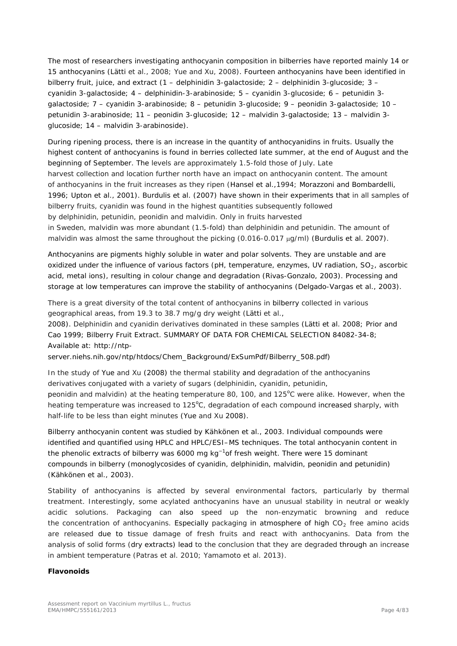The most of researchers investigating anthocyanin composition in bilberries have reported mainly 14 or 15 anthocyanins (Lätti *et al.*, 2008; Yue and Xu, 2008). Fourteen anthocyanins have been identified in bilberry fruit, juice, and extract (1 – delphinidin 3-galactoside; 2 – delphinidin 3-glucoside; 3 – cyanidin 3-galactoside; 4 – delphinidin-3-arabinoside; 5 – cyanidin 3-glucoside; 6 – petunidin 3 galactoside; 7 – cyanidin 3-arabinoside; 8 – petunidin 3-glucoside; 9 – peonidin 3-galactoside; 10 – petunidin 3-arabinoside; 11 – peonidin 3-glucoside; 12 – malvidin 3-galactoside; 13 – malvidin 3 glucoside; 14 – malvidin 3-arabinoside).

During ripening process, there is an increase in the quantity of anthocyanidins in fruits. Usually the highest content of anthocyanins is found in berries collected late summer, at the end of August and the beginning of September. The levels are approximately 1.5-fold those of July. Late harvest collection and location further north have an impact on anthocyanin content. The amount of anthocyanins in the fruit increases as they ripen (Hansel *et al*.,1994; Morazzoni and Bombardelli, 1996; Upton *et al.,* 2001). Burdulis *et al.* (2007) have shown in their experiments that in all samples of bilberry fruits, cyanidin was found in the highest quantities subsequently followed by delphinidin, petunidin, peonidin and malvidin. Only in fruits harvested in Sweden, malvidin was more abundant (1.5-fold) than delphinidin and petunidin. The amount of malvidin was almost the same throughout the picking (0.016-0.017 µg/ml) (Burdulis *et al.* 2007).

Anthocyanins are pigments highly soluble in water and polar solvents. They are unstable and are oxidized under the influence of various factors (pH, temperature, enzymes, UV radiation,  $SO<sub>2</sub>$ , ascorbic acid, metal ions), resulting in colour change and degradation (Rivas-Gonzalo, 2003). Processing and storage at low temperatures can improve the stability of anthocyanins (Delgado-Vargas *et al.*, 2003).

There is a great diversity of the total content of anthocyanins in bilberry collected in various geographical areas, from 19.3 to 38.7 mg/g dry weight (Lätti *et al.*,

2008). Delphinidin and cyanidin derivatives dominated in these samples (Lätti *et al*. 2008; Prior and Cao 1999; Bilberry Fruit Extract. SUMMARY OF DATA FOR CHEMICAL SELECTION 84082-34-8; Available at: http://ntp-

server.niehs.nih.gov/ntp/htdocs/Chem\_Background/ExSumPdf/Bilberry\_508.pdf)

In the study of Yue and Xu (2008) the thermal stability and degradation of the anthocyanins derivatives conjugated with a variety of sugars (delphinidin, cyanidin, petunidin, peonidin and malvidin) at the heating temperature 80, 100, and 125°C were alike. However, when the heating temperature was increased to 125°C, degradation of each compound increased sharply, with half-life to be less than eight minutes (Yue and Xu 2008).

Bilberry anthocyanin content was studied by Kähkönen *et al.*, 2003. Individual compounds were identified and quantified using HPLC and HPLC/ESI–MS techniques. The total anthocyanin content in the phenolic extracts of bilberry was 6000 mg kg<sup>-1</sup>of fresh weight. There were 15 dominant compounds in bilberry (monoglycosides of cyanidin, delphinidin, malvidin, peonidin and petunidin) (Kähkönen *et al.*, 2003).

Stability of anthocyanins is affected by several environmental factors, particularly by thermal treatment. Interestingly, some acylated anthocyanins have an unusual stability in neutral or weakly acidic solutions. Packaging can also speed up the non-enzymatic browning and reduce the concentration of anthocyanins. Especially packaging in atmosphere of high  $CO<sub>2</sub>$  free amino acids are released due to tissue damage of fresh fruits and react with anthocyanins. Data from the analysis of solid forms (dry extracts) lead to the conclusion that they are degraded through an increase in ambient temperature (Patras *et al.* 2010; Yamamoto *et al.* 2013).

#### **Flavonoids**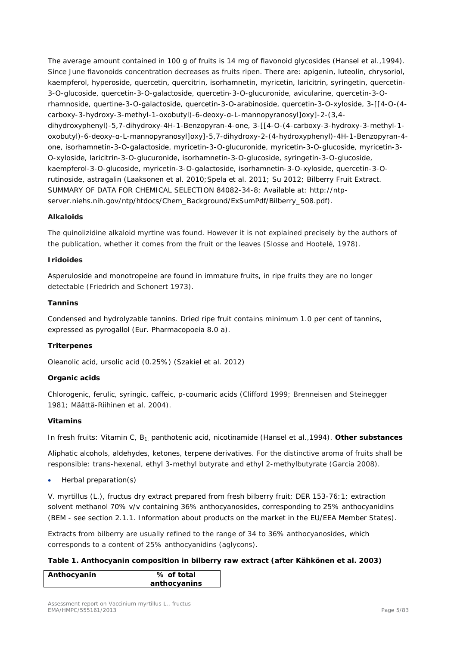The average amount contained in 100 g of fruits is 14 mg of flavonoid glycosides (Hansel *et al*.,1994). Since June flavonoids concentration decreases as fruits ripen. There are: apigenin, luteolin, chrysoriol, kaempferol, hyperoside, quercetin, quercitrin, isorhamnetin, myricetin, laricitrin, syringetin, quercetin-3-*O*-glucoside, quercetin-3-*O*-galactoside, quercetin-3-*O*-glucuronide, avicularine, quercetin-3-*O*rhamnoside, quertine-3-*O*-galactoside, quercetin-3-*O*-arabinoside, quercetin-3-*O*-xyloside, 3-[[4-O-(4 carboxy-3-hydroxy-3-methyl-1-oxobutyl)-6-deoxy-α-L-mannopyranosyl]oxy]-2-(3,4 dihydroxyphenyl)-5,7-dihydroxy-4H-1-Benzopyran-4-one, 3-[[4-O-(4-carboxy-3-hydroxy-3-methyl-1 oxobutyl)-6-deoxy-α-L-mannopyranosyl]oxy]-5,7-dihydroxy-2-(4-hydroxyphenyl)-4H-1-Benzopyran-4 one, isorhamnetin-3-*O*-galactoside, myricetin-3-*O*-glucuronide, myricetin-3-*O*-glucoside, myricetin-3- *O*-xyloside, laricitrin-3-*O*-glucuronide, isorhamnetin-3-*O*-glucoside, syringetin-3-*O*-glucoside, kaempferol-3-*O*-glucoside, myricetin-3-*O*-galactoside, isorhamnetin-3-*O*-xyloside, quercetin-3-*O*rutinoside, astragalin (Laaksonen *et al*. 2010;Spela *et al*. 2011; Su 2012; Bilberry Fruit Extract. SUMMARY OF DATA FOR CHEMICAL SELECTION 84082-34-8; Available at: http://ntpserver.niehs.nih.gov/ntp/htdocs/Chem\_Background/ExSumPdf/Bilberry\_508.pdf).

#### **Alkaloids**

The quinolizidine alkaloid myrtine was found. However it is not explained precisely by the authors of the publication, whether it comes from the fruit or the leaves (Slosse and Hootelé, 1978).

#### **Iridoides**

Asperuloside and monotropeine are found in immature fruits, in ripe fruits they are no longer detectable (Friedrich and Schonert 1973).

#### **Tannins**

Condensed and hydrolyzable tannins. Dried ripe fruit contains minimum 1.0 per cent of tannins, expressed as pyrogallol (Eur. Pharmacopoeia 8.0 a).

## **Triterpenes**

Oleanolic acid, ursolic acid (0.25%) (Szakiel et al. 2012)

#### **Organic acids**

Chlorogenic, ferulic, syringic, caffeic, p-coumaric acids (Clifford 1999; Brenneisen and Steinegger 1981; Määttä-Riihinen *et al*. 2004).

#### **Vitamins**

In fresh fruits: Vitamin C, B<sub>1</sub> panthotenic acid, nicotinamide (Hansel *et al.*,1994). **Other substances** 

Aliphatic alcohols, aldehydes, ketones, terpene derivatives. For the distinctive aroma of fruits shall be responsible: *trans*-hexenal, ethyl 3-methyl butyrate and ethyl 2-methylbutyrate (Garcia 2008).

• Herbal preparation(s)

*V. myrtillus* (L.), fructus dry extract prepared from fresh bilberry fruit; DER 153-76:1; extraction solvent methanol 70% v/v containing 36% anthocyanosides, corresponding to 25% anthocyanidins (BEM - see section 2.1.1. Information about products on the market in the EU/EEA Member States).

Extracts from bilberry are usually refined to the range of 34 to 36% anthocyanosides, which corresponds to a content of 25% anthocyanidins (aglycons).

#### **Table 1. Anthocyanin composition in bilberry raw extract (after Kähkönen** *et al***. 2003)**

| Anthocyanin | % of total   |
|-------------|--------------|
|             | anthocyanins |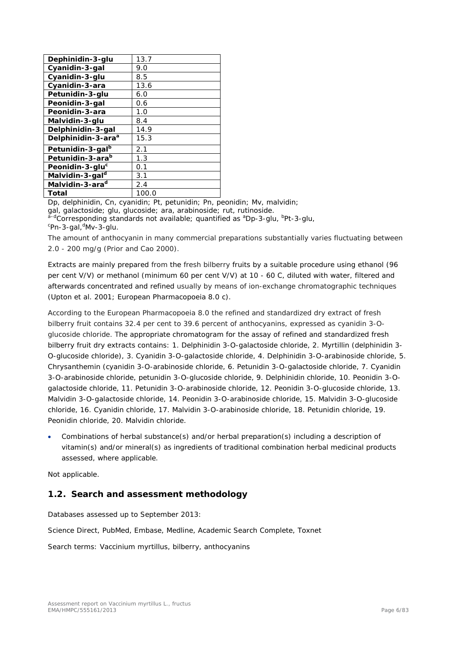| Dephinidin-3-glu               | 13.7  |
|--------------------------------|-------|
| Cyanidin-3-gal                 | 9.0   |
| Cyanidin-3-glu                 | 8.5   |
| Cyanidin-3-ara                 | 13.6  |
| Petunidin-3-glu                | 6.0   |
| Peonidin-3-gal                 | 0.6   |
| Peonidin-3-ara                 | 1.0   |
| Malvidin-3-glu                 | 8.4   |
| Delphinidin-3-gal              | 14.9  |
| Delphinidin-3-ara <sup>a</sup> | 15.3  |
| Petunidin-3-gal <sup>b</sup>   | 2.1   |
| Petunidin-3-ara <sup>b</sup>   | 1.3   |
| Peonidin-3-glu <sup>c</sup>    | 0.1   |
| Malvidin-3-gal <sup>d</sup>    | 3.1   |
| Malvidin-3-ara <sup>d</sup>    | 2.4   |
| Total                          | 100.0 |

Dp, delphinidin, Cn, cyanidin; Pt, petunidin; Pn, peonidin; Mv, malvidin;

gal, galactoside; glu, glucoside; ara, arabinoside; rut, rutinoside.

<sup>a-d</sup>Corresponding standards not available; quantified as <sup>a</sup>Dp-3-glu, <sup>b</sup>Pt-3-glu, <sup>c</sup>Pn-3-gal,<sup>d</sup>Mv-3-glu.

The amount of anthocyanin in many commercial preparations substantially varies fluctuating between 2.0 - 200 mg/g (Prior and Cao 2000).

Extracts are mainly prepared from the fresh bilberry fruits by a suitable procedure using ethanol (96 per cent *V/V*) or methanol (minimum 60 per cent *V/V*) at 10 - 60 C, diluted with water, filtered and afterwards concentrated and refined usually by means of ion-exchange chromatographic techniques (Upton *et al.* 2001; European Pharmacopoeia 8.0 c).

According to the European Pharmacopoeia 8.0 the refined and standardized dry extract of fresh bilberry fruit contains 32.4 per cent to 39.6 percent of anthocyanins, expressed as cyanidin 3-*O*glucoside chloride. The appropriate chromatogram for the assay of refined and standardized fresh bilberry fruit dry extracts contains: 1. Delphinidin 3-*O*-galactoside chloride, 2. Myrtillin (delphinidin 3- *O*-glucoside chloride), 3. Cyanidin 3-*O*-galactoside chloride, 4. Delphinidin 3-*O*-arabinoside chloride, 5. Chrysanthemin (cyanidin 3-*O*-arabinoside chloride, 6. Petunidin 3-*O*-galactoside chloride, 7. Cyanidin 3-*O*-arabinoside chloride, petunidin 3-*O*-glucoside chloride, 9. Delphinidin chloride, 10. Peonidin 3-*O*galactoside chloride, 11. Petunidin 3-*O*-arabinoside chloride, 12. Peonidin 3-*O*-glucoside chloride, 13. Malvidin 3-*O*-galactoside chloride, 14. Peonidin 3-*O*-arabinoside chloride, 15. Malvidin 3-*O*-glucoside chloride, 16. Cyanidin chloride, 17. Malvidin 3-*O*-arabinoside chloride, 18. Petunidin chloride, 19. Peonidin chloride, 20. Malvidin chloride.

• Combinations of herbal substance(s) and/or herbal preparation(s) including a description of vitamin(s) and/or mineral(s) as ingredients of traditional combination herbal medicinal products assessed, where applicable.

Not applicable.

# <span id="page-5-0"></span>*1.2. Search and assessment methodology*

Databases assessed up to September 2013:

Science Direct, PubMed, Embase, Medline, Academic Search Complete, Toxnet

Search terms: *Vaccinium myrtillus*, bilberry, anthocyanins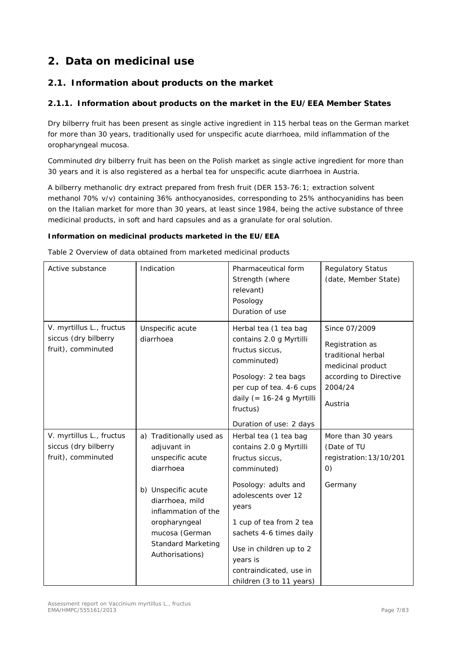# <span id="page-6-0"></span>**2. Data on medicinal use**

# <span id="page-6-1"></span>*2.1. Information about products on the market*

## <span id="page-6-2"></span>**2.1.1. Information about products on the market in the EU/EEA Member States**

Dry bilberry fruit has been present as single active ingredient in 115 herbal teas on the German market for more than 30 years, traditionally used for unspecific acute diarrhoea, mild inflammation of the oropharyngeal mucosa.

Comminuted dry bilberry fruit has been on the Polish market as single active ingredient for more than 30 years and it is also registered as a herbal tea for unspecific acute diarrhoea in Austria.

A bilberry methanolic dry extract prepared from fresh fruit (DER 153-76:1; extraction solvent methanol 70% v/v) containing 36% anthocyanosides, corresponding to 25% anthocyanidins has been on the Italian market for more than 30 years, at least since 1984, being the active substance of three medicinal products, in soft and hard capsules and as a granulate for oral solution.

## **Information on medicinal products marketed in the EU/EEA**

Table 2 Overview of data obtained from marketed medicinal products

| Active substance                                                       | Indication                                                                                                         | Pharmaceutical form<br>Strength (where<br>relevant)<br>Posology<br>Duration of use                                                                                                                           | <b>Regulatory Status</b><br>(date, Member State)                                                                            |
|------------------------------------------------------------------------|--------------------------------------------------------------------------------------------------------------------|--------------------------------------------------------------------------------------------------------------------------------------------------------------------------------------------------------------|-----------------------------------------------------------------------------------------------------------------------------|
| V. myrtillus L., fructus<br>siccus (dry bilberry<br>fruit), comminuted | Unspecific acute<br>diarrhoea                                                                                      | Herbal tea (1 tea bag<br>contains 2.0 g Myrtilli<br>fructus siccus,<br>comminuted)<br>Posology: 2 tea bags<br>per cup of tea. 4-6 cups<br>daily (= $16-24$ g Myrtilli<br>fructus)<br>Duration of use: 2 days | Since 07/2009<br>Registration as<br>traditional herbal<br>medicinal product<br>according to Directive<br>2004/24<br>Austria |
| V. myrtillus L., fructus<br>siccus (dry bilberry<br>fruit), comminuted | a) Traditionally used as<br>adjuvant in<br>unspecific acute<br>diarrhoea<br>b) Unspecific acute<br>diarrhoea, mild | Herbal tea (1 tea bag<br>contains 2.0 g Myrtilli<br>fructus siccus,<br>comminuted)<br>Posology: adults and<br>adolescents over 12                                                                            | More than 30 years<br>(Date of TU<br>registration: 13/10/201<br>$\left( 0\right)$<br>Germany                                |
|                                                                        | inflammation of the<br>oropharyngeal<br>mucosa (German<br><b>Standard Marketing</b><br>Authorisations)             | years<br>1 cup of tea from 2 tea<br>sachets 4-6 times daily<br>Use in children up to 2<br>years is<br>contraindicated, use in<br>children (3 to 11 years)                                                    |                                                                                                                             |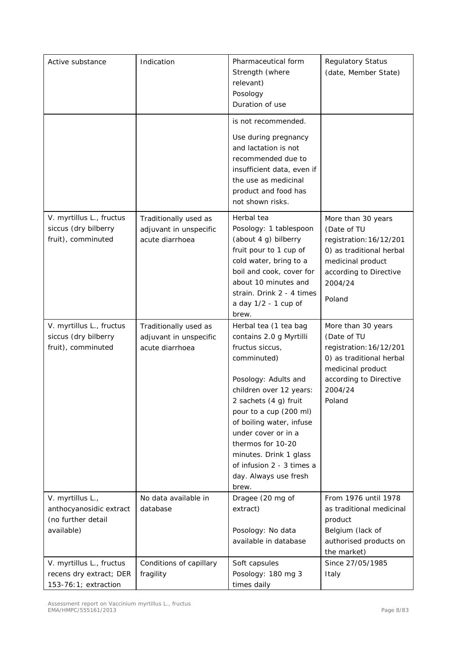| Active substance                                                                | Indication                                                         | Pharmaceutical form<br>Strength (where<br>relevant)<br>Posology<br>Duration of use                                                                                                                                                                                                                                                                        | <b>Regulatory Status</b><br>(date, Member State)                                                                                                             |
|---------------------------------------------------------------------------------|--------------------------------------------------------------------|-----------------------------------------------------------------------------------------------------------------------------------------------------------------------------------------------------------------------------------------------------------------------------------------------------------------------------------------------------------|--------------------------------------------------------------------------------------------------------------------------------------------------------------|
|                                                                                 |                                                                    | is not recommended.<br>Use during pregnancy<br>and lactation is not<br>recommended due to<br>insufficient data, even if<br>the use as medicinal<br>product and food has<br>not shown risks.                                                                                                                                                               |                                                                                                                                                              |
| V. myrtillus L., fructus<br>siccus (dry bilberry<br>fruit), comminuted          | Traditionally used as<br>adjuvant in unspecific<br>acute diarrhoea | Herbal tea<br>Posology: 1 tablespoon<br>(about 4 g) bilberry<br>fruit pour to 1 cup of<br>cold water, bring to a<br>boil and cook, cover for<br>about 10 minutes and<br>strain. Drink 2 - 4 times<br>a day 1/2 - 1 cup of<br>brew.                                                                                                                        | More than 30 years<br>(Date of TU<br>registration: 16/12/201<br>0) as traditional herbal<br>medicinal product<br>according to Directive<br>2004/24<br>Poland |
| V. myrtillus L., fructus<br>siccus (dry bilberry<br>fruit), comminuted          | Traditionally used as<br>adjuvant in unspecific<br>acute diarrhoea | Herbal tea (1 tea bag<br>contains 2.0 g Myrtilli<br>fructus siccus,<br>comminuted)<br>Posology: Adults and<br>children over 12 years:<br>2 sachets (4 g) fruit<br>pour to a cup (200 ml)<br>of boiling water, infuse<br>under cover or in a<br>thermos for 10-20<br>minutes. Drink 1 glass<br>of infusion 2 - 3 times a<br>day. Always use fresh<br>brew. | More than 30 years<br>(Date of TU<br>registration: 16/12/201<br>0) as traditional herbal<br>medicinal product<br>according to Directive<br>2004/24<br>Poland |
| V. myrtillus L.,<br>anthocyanosidic extract<br>(no further detail<br>available) | No data available in<br>database                                   | Dragee (20 mg of<br>extract)<br>Posology: No data<br>available in database                                                                                                                                                                                                                                                                                | From 1976 until 1978<br>as traditional medicinal<br>product<br>Belgium (lack of<br>authorised products on<br>the market)                                     |
| V. myrtillus L., fructus<br>recens dry extract; DER<br>153-76:1; extraction     | Conditions of capillary<br>fragility                               | Soft capsules<br>Posology: 180 mg 3<br>times daily                                                                                                                                                                                                                                                                                                        | Since 27/05/1985<br>Italy                                                                                                                                    |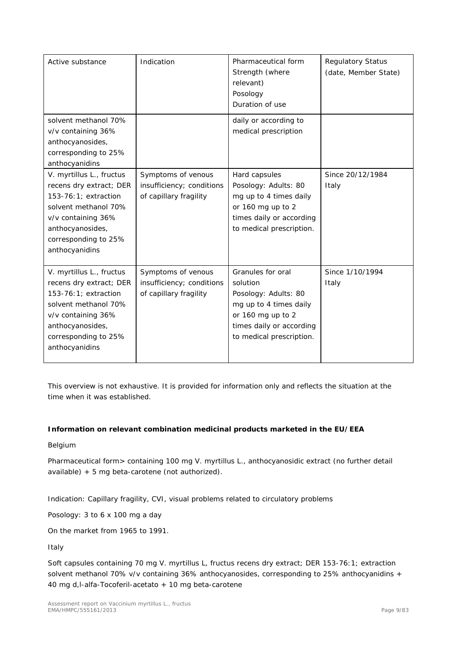| Active substance                                                                                                                                                                        | Indication                                                                | Pharmaceutical form<br>Strength (where<br>relevant)<br>Posology<br>Duration of use                                                                           | <b>Regulatory Status</b><br>(date, Member State) |
|-----------------------------------------------------------------------------------------------------------------------------------------------------------------------------------------|---------------------------------------------------------------------------|--------------------------------------------------------------------------------------------------------------------------------------------------------------|--------------------------------------------------|
| solvent methanol 70%<br>v/v containing 36%<br>anthocyanosides,<br>corresponding to 25%<br>anthocyanidins                                                                                |                                                                           | daily or according to<br>medical prescription                                                                                                                |                                                  |
| V. myrtillus L., fructus<br>recens dry extract; DER<br>153-76:1; extraction<br>solvent methanol 70%<br>v/v containing 36%<br>anthocyanosides,<br>corresponding to 25%<br>anthocyanidins | Symptoms of venous<br>insufficiency; conditions<br>of capillary fragility | Hard capsules<br>Posology: Adults: 80<br>mg up to 4 times daily<br>or 160 mg up to 2<br>times daily or according<br>to medical prescription.                 | Since 20/12/1984<br>Italy                        |
| V. myrtillus L., fructus<br>recens dry extract; DER<br>153-76:1; extraction<br>solvent methanol 70%<br>v/v containing 36%<br>anthocyanosides,<br>corresponding to 25%<br>anthocyanidins | Symptoms of venous<br>insufficiency; conditions<br>of capillary fragility | Granules for oral<br>solution<br>Posology: Adults: 80<br>mg up to 4 times daily<br>or 160 mg up to 2<br>times daily or according<br>to medical prescription. | Since 1/10/1994<br>Italy                         |

This overview is not exhaustive. It is provided for information only and reflects the situation at the time when it was established.

## **Information on relevant combination medicinal products marketed in the EU/EEA**

Belgium

Pharmaceutical form> containing 100 mg *V. myrtillus* L., anthocyanosidic extract (no further detail available) + 5 mg beta-carotene (not authorized).

Indication: Capillary fragility, CVI, visual problems related to circulatory problems

Posology: 3 to 6 x 100 mg a day

On the market from 1965 to 1991.

Italy

Soft capsules containing 70 mg V. myrtillus L, fructus recens dry extract; DER 153-76:1; extraction solvent methanol 70% v/v containing 36% anthocyanosides, corresponding to 25% anthocyanidins + 40 mg d,l-alfa-Tocoferil-acetato + 10 mg beta-carotene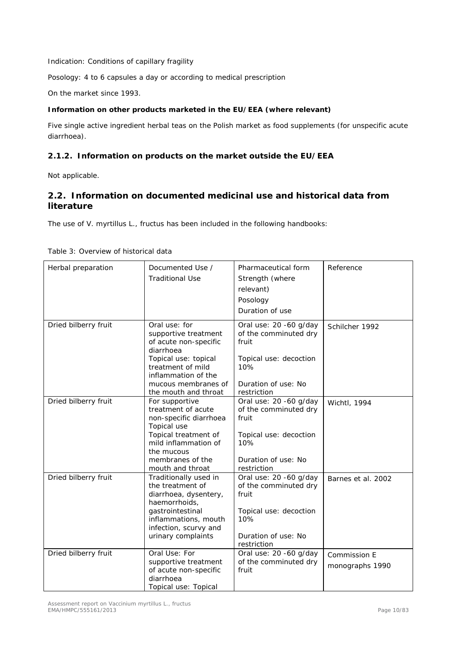Indication: Conditions of capillary fragility

Posology: 4 to 6 capsules a day or according to medical prescription

On the market since 1993.

#### **Information on other products marketed in the EU/EEA (where relevant)**

Five single active ingredient herbal teas on the Polish market as food supplements (for unspecific acute diarrhoea).

## <span id="page-9-0"></span>**2.1.2. Information on products on the market outside the EU/EEA**

Not applicable.

# <span id="page-9-1"></span>*2.2. Information on documented medicinal use and historical data from literature*

The use of *V. myrtillus* L., fructus has been included in the following handbooks:

| Herbal preparation   | Documented Use /<br><b>Traditional Use</b>                                  | Pharmaceutical form<br>Strength (where<br>relevant)      | Reference          |
|----------------------|-----------------------------------------------------------------------------|----------------------------------------------------------|--------------------|
|                      |                                                                             | Posology                                                 |                    |
|                      |                                                                             | Duration of use                                          |                    |
|                      |                                                                             |                                                          |                    |
| Dried bilberry fruit | Oral use: for<br>supportive treatment<br>of acute non-specific<br>diarrhoea | Oral use: 20 -60 g/day<br>of the comminuted dry<br>fruit | Schilcher 1992     |
|                      | Topical use: topical<br>treatment of mild<br>inflammation of the            | Topical use: decoction<br>10%                            |                    |
|                      | mucous membranes of<br>the mouth and throat                                 | Duration of use: No<br>restriction                       |                    |
| Dried bilberry fruit | For supportive<br>treatment of acute<br>non-specific diarrhoea              | Oral use: 20 -60 g/day<br>of the comminuted dry<br>fruit | Wichtl, 1994       |
|                      | Topical use                                                                 |                                                          |                    |
|                      | Topical treatment of<br>mild inflammation of                                | Topical use: decoction<br>10%                            |                    |
|                      | the mucous                                                                  |                                                          |                    |
|                      | membranes of the                                                            | Duration of use: No                                      |                    |
|                      | mouth and throat                                                            | restriction                                              |                    |
| Dried bilberry fruit | Traditionally used in<br>the treatment of                                   | Oral use: 20 -60 g/day<br>of the comminuted dry          | Barnes et al. 2002 |
|                      | diarrhoea, dysentery,                                                       | fruit                                                    |                    |
|                      | haemorrhoids,                                                               |                                                          |                    |
|                      | gastrointestinal                                                            | Topical use: decoction                                   |                    |
|                      | inflammations, mouth                                                        | 10%                                                      |                    |
|                      | infection, scurvy and<br>urinary complaints                                 | Duration of use: No                                      |                    |
|                      |                                                                             | restriction                                              |                    |
| Dried bilberry fruit | Oral Use: For                                                               | Oral use: 20 -60 g/day                                   | Commission E       |
|                      | supportive treatment                                                        | of the comminuted dry                                    |                    |
|                      | of acute non-specific                                                       | fruit                                                    | monographs 1990    |
|                      | diarrhoea                                                                   |                                                          |                    |
|                      | Topical use: Topical                                                        |                                                          |                    |

#### Table 3: Overview of historical data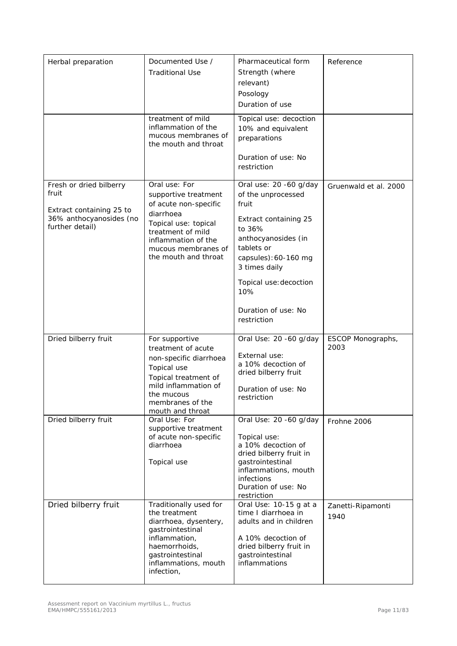| Herbal preparation                                                                                         | Documented Use /<br><b>Traditional Use</b>                                                                                                                                                     | Pharmaceutical form<br>Strength (where<br>relevant)<br>Posology<br>Duration of use                                                                                                                                                            | Reference                 |
|------------------------------------------------------------------------------------------------------------|------------------------------------------------------------------------------------------------------------------------------------------------------------------------------------------------|-----------------------------------------------------------------------------------------------------------------------------------------------------------------------------------------------------------------------------------------------|---------------------------|
|                                                                                                            | treatment of mild<br>inflammation of the<br>mucous membranes of<br>the mouth and throat                                                                                                        | Topical use: decoction<br>10% and equivalent<br>preparations                                                                                                                                                                                  |                           |
|                                                                                                            |                                                                                                                                                                                                | Duration of use: No<br>restriction                                                                                                                                                                                                            |                           |
| Fresh or dried bilberry<br>fruit<br>Extract containing 25 to<br>36% anthocyanosides (no<br>further detail) | Oral use: For<br>supportive treatment<br>of acute non-specific<br>diarrhoea<br>Topical use: topical<br>treatment of mild<br>inflammation of the<br>mucous membranes of<br>the mouth and throat | Oral use: 20 -60 g/day<br>of the unprocessed<br>fruit<br>Extract containing 25<br>to 36%<br>anthocyanosides (in<br>tablets or<br>capsules): 60-160 mg<br>3 times daily<br>Topical use: decoction<br>10%<br>Duration of use: No<br>restriction | Gruenwald et al. 2000     |
| Dried bilberry fruit                                                                                       | For supportive<br>treatment of acute<br>non-specific diarrhoea<br>Topical use<br>Topical treatment of<br>mild inflammation of<br>the mucous<br>membranes of the<br>mouth and throat            | Oral Use: 20 -60 g/day<br>External use:<br>a 10% decoction of<br>dried bilberry fruit<br>Duration of use: No<br>restriction                                                                                                                   | ESCOP Monographs,<br>2003 |
| Dried bilberry fruit                                                                                       | Oral Use: For<br>supportive treatment<br>of acute non-specific<br>diarrhoea<br>Topical use                                                                                                     | Oral Use: 20 -60 g/day<br>Topical use:<br>a 10% decoction of<br>dried bilberry fruit in<br>gastrointestinal<br>inflammations, mouth<br>infections<br>Duration of use: No<br>restriction                                                       | Frohne 2006               |
| Dried bilberry fruit                                                                                       | Traditionally used for<br>the treatment<br>diarrhoea, dysentery,<br>gastrointestinal<br>inflammation,<br>haemorrhoids,<br>gastrointestinal<br>inflammations, mouth<br>infection,               | Oral Use: 10-15 g at a<br>time I diarrhoea in<br>adults and in children<br>A 10% decoction of<br>dried bilberry fruit in<br>gastrointestinal<br>inflammations                                                                                 | Zanetti-Ripamonti<br>1940 |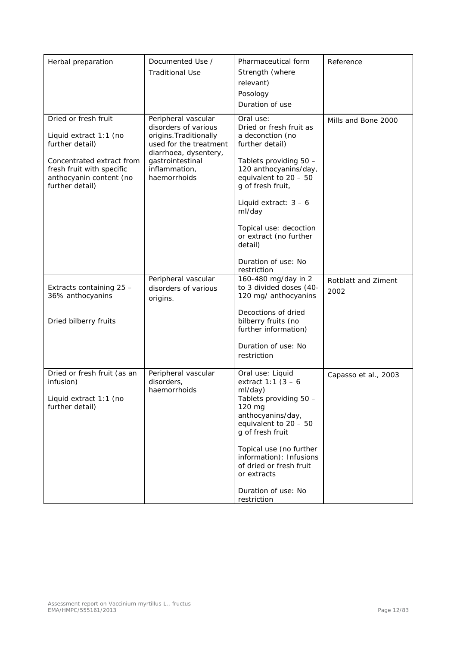| Herbal preparation                                                                                                                                                        | Documented Use /<br><b>Traditional Use</b>                                                                                                                                    | Pharmaceutical form<br>Strength (where<br>relevant)<br>Posology<br>Duration of use                                                                                                                                                                                                                                       | Reference                   |
|---------------------------------------------------------------------------------------------------------------------------------------------------------------------------|-------------------------------------------------------------------------------------------------------------------------------------------------------------------------------|--------------------------------------------------------------------------------------------------------------------------------------------------------------------------------------------------------------------------------------------------------------------------------------------------------------------------|-----------------------------|
| Dried or fresh fruit<br>Liquid extract 1:1 (no<br>further detail)<br>Concentrated extract from<br>fresh fruit with specific<br>anthocyanin content (no<br>further detail) | Peripheral vascular<br>disorders of various<br>origins. Traditionally<br>used for the treatment<br>diarrhoea, dysentery,<br>gastrointestinal<br>inflammation,<br>haemorrhoids | Oral use:<br>Dried or fresh fruit as<br>a deconction (no<br>further detail)<br>Tablets providing 50 -<br>120 anthocyanins/day,<br>equivalent to $20 - 50$<br>g of fresh fruit,<br>Liquid extract: $3 - 6$<br>ml/day<br>Topical use: decoction<br>or extract (no further<br>detail)<br>Duration of use: No<br>restriction | Mills and Bone 2000         |
| Extracts containing 25 -<br>36% anthocyanins<br>Dried bilberry fruits                                                                                                     | Peripheral vascular<br>disorders of various<br>origins.                                                                                                                       | 160-480 mg/day in 2<br>to 3 divided doses (40-<br>120 mg/ anthocyanins<br>Decoctions of dried<br>bilberry fruits (no<br>further information)<br>Duration of use: No<br>restriction                                                                                                                                       | Rotblatt and Ziment<br>2002 |
| Dried or fresh fruit (as an<br>infusion)<br>Liquid extract 1:1 (no<br>further detail)                                                                                     | Peripheral vascular<br>disorders,<br>haemorrhoids                                                                                                                             | Oral use: Liquid<br>extract 1:1 $(3 - 6)$<br>ml/day)<br>Tablets providing 50 -<br>120 mg<br>anthocyanins/day,<br>equivalent to $20 - 50$<br>g of fresh fruit<br>Topical use (no further<br>information): Infusions<br>of dried or fresh fruit<br>or extracts<br>Duration of use: No<br>restriction                       | Capasso et al., 2003        |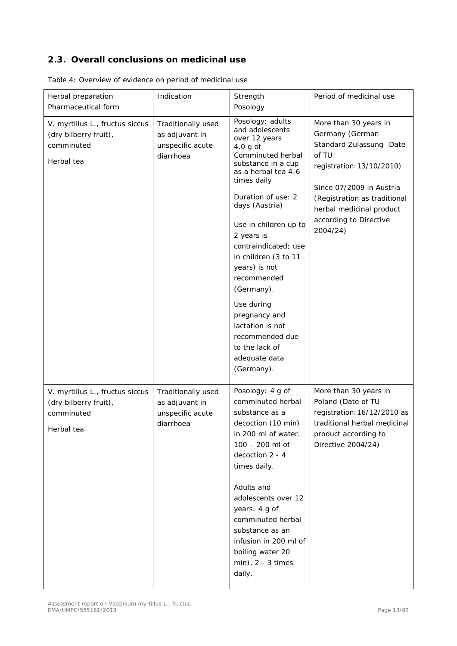# <span id="page-12-0"></span>*2.3. Overall conclusions on medicinal use*

| Herbal preparation<br>Pharmaceutical form                                            | Indication                                                            | Strength<br>Posology                                                                                                                                                                                                                                                                                                                                                                                                                                    | Period of medicinal use                                                                                                                                                                                                                   |
|--------------------------------------------------------------------------------------|-----------------------------------------------------------------------|---------------------------------------------------------------------------------------------------------------------------------------------------------------------------------------------------------------------------------------------------------------------------------------------------------------------------------------------------------------------------------------------------------------------------------------------------------|-------------------------------------------------------------------------------------------------------------------------------------------------------------------------------------------------------------------------------------------|
| V. myrtillus L., fructus siccus<br>(dry bilberry fruit),<br>comminuted<br>Herbal tea | Traditionally used<br>as adjuvant in<br>unspecific acute<br>diarrhoea | Posology: adults<br>and adolescents<br>over 12 years<br>$4.0$ g of<br>Comminuted herbal<br>substance in a cup<br>as a herbal tea 4-6<br>times daily<br>Duration of use: 2<br>days (Austria)<br>Use in children up to<br>2 years is<br>contraindicated; use<br>in children (3 to 11<br>years) is not<br>recommended<br>(Germany).<br>Use during<br>pregnancy and<br>lactation is not<br>recommended due<br>to the lack of<br>adequate data<br>(Germany). | More than 30 years in<br>Germany (German<br>Standard Zulassung - Date<br>of TU<br>registration: 13/10/2010)<br>Since 07/2009 in Austria<br>(Registration as traditional<br>herbal medicinal product<br>according to Directive<br>2004/24) |
| V. myrtillus L., fructus siccus<br>(dry bilberry fruit),<br>comminuted<br>Herbal tea | Traditionally used<br>as adjuvant in<br>unspecific acute<br>diarrhoea | Posology: 4 g of<br>comminuted herbal<br>substance as a<br>decoction (10 min)<br>in 200 ml of water.<br>$100 - 200$ ml of<br>decoction 2 - 4<br>times daily.<br>Adults and<br>adolescents over 12<br>years: 4 g of<br>comminuted herbal<br>substance as an<br>infusion in 200 ml of<br>boiling water 20<br>$min$ , 2 - 3 times<br>daily.                                                                                                                | More than 30 years in<br>Poland (Date of TU<br>registration: 16/12/2010 as<br>traditional herbal medicinal<br>product according to<br>Directive 2004/24)                                                                                  |

Table 4: Overview of evidence on period of medicinal use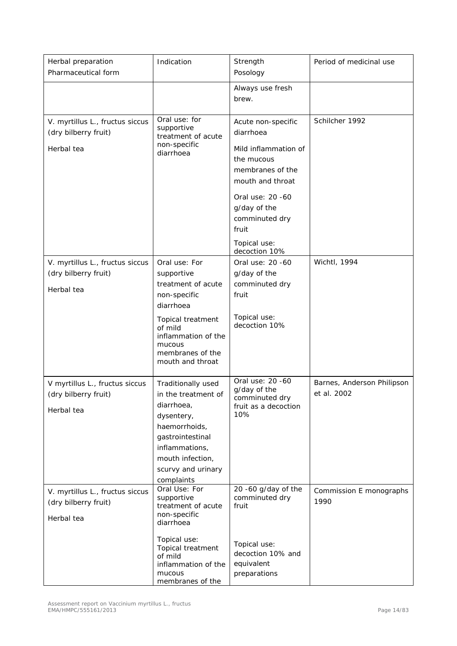| Herbal preparation<br>Pharmaceutical form                             | Indication                                                                                                                                                                              | Strength<br>Posology                                                                                                                                                                                          | Period of medicinal use                   |
|-----------------------------------------------------------------------|-----------------------------------------------------------------------------------------------------------------------------------------------------------------------------------------|---------------------------------------------------------------------------------------------------------------------------------------------------------------------------------------------------------------|-------------------------------------------|
|                                                                       |                                                                                                                                                                                         | Always use fresh<br>brew.                                                                                                                                                                                     |                                           |
| V. myrtillus L., fructus siccus<br>(dry bilberry fruit)<br>Herbal tea | Oral use: for<br>supportive<br>treatment of acute<br>non-specific<br>diarrhoea                                                                                                          | Acute non-specific<br>diarrhoea<br>Mild inflammation of<br>the mucous<br>membranes of the<br>mouth and throat<br>Oral use: 20 -60<br>g/day of the<br>comminuted dry<br>fruit<br>Topical use:<br>decoction 10% | Schilcher 1992                            |
| V. myrtillus L., fructus siccus<br>(dry bilberry fruit)<br>Herbal tea | Oral use: For<br>supportive<br>treatment of acute<br>non-specific<br>diarrhoea<br>Topical treatment<br>of mild<br>inflammation of the<br>mucous<br>membranes of the<br>mouth and throat | Oral use: 20 -60<br>g/day of the<br>comminuted dry<br>fruit<br>Topical use:<br>decoction 10%                                                                                                                  | Wichtl, 1994                              |
| V myrtillus L., fructus siccus<br>(dry bilberry fruit)<br>Herbal tea  | Traditionally used<br>in the treatment of<br>diarrhoea,<br>dysentery,<br>haemorrhoids,<br>gastrointestinal<br>inflammations,<br>mouth infection,<br>scurvy and urinary<br>complaints    | Oral use: 20 -60<br>g/day of the<br>comminuted dry<br>fruit as a decoction<br>10%                                                                                                                             | Barnes, Anderson Philipson<br>et al. 2002 |
| V. myrtillus L., fructus siccus<br>(dry bilberry fruit)<br>Herbal tea | Oral Use: For<br>supportive<br>treatment of acute<br>non-specific<br>diarrhoea                                                                                                          | 20 -60 g/day of the<br>comminuted dry<br>fruit                                                                                                                                                                | Commission E monographs<br>1990           |
|                                                                       | Topical use:<br>Topical treatment<br>of mild<br>inflammation of the<br>mucous<br>membranes of the                                                                                       | Topical use:<br>decoction 10% and<br>equivalent<br>preparations                                                                                                                                               |                                           |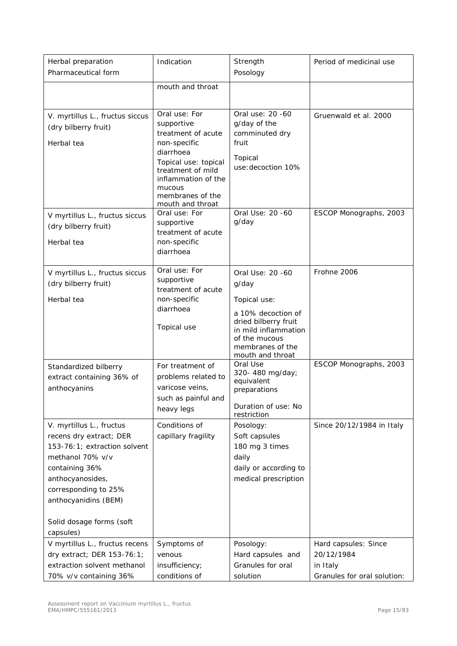| Herbal preparation<br>Pharmaceutical form                                                                                                                                                                                              | Indication                                                                                                                                                                                           | Strength<br>Posology                                                                                                                                                     | Period of medicinal use                                                       |
|----------------------------------------------------------------------------------------------------------------------------------------------------------------------------------------------------------------------------------------|------------------------------------------------------------------------------------------------------------------------------------------------------------------------------------------------------|--------------------------------------------------------------------------------------------------------------------------------------------------------------------------|-------------------------------------------------------------------------------|
|                                                                                                                                                                                                                                        | mouth and throat                                                                                                                                                                                     |                                                                                                                                                                          |                                                                               |
| V. myrtillus L., fructus siccus<br>(dry bilberry fruit)<br>Herbal tea                                                                                                                                                                  | Oral use: For<br>supportive<br>treatment of acute<br>non-specific<br>diarrhoea<br>Topical use: topical<br>treatment of mild<br>inflammation of the<br>mucous<br>membranes of the<br>mouth and throat | Oral use: 20 -60<br>g/day of the<br>comminuted dry<br>fruit<br>Topical<br>use: decoction 10%                                                                             | Gruenwald et al. 2000                                                         |
| V myrtillus L., fructus siccus<br>(dry bilberry fruit)<br>Herbal tea                                                                                                                                                                   | Oral use: For<br>supportive<br>treatment of acute<br>non-specific<br>diarrhoea                                                                                                                       | Oral Use: 20 -60<br>g/day                                                                                                                                                | ESCOP Monographs, 2003                                                        |
| V myrtillus L., fructus siccus<br>(dry bilberry fruit)<br>Herbal tea                                                                                                                                                                   | Oral use: For<br>supportive<br>treatment of acute<br>non-specific<br>diarrhoea<br>Topical use                                                                                                        | Oral Use: 20 -60<br>g/day<br>Topical use:<br>a 10% decoction of<br>dried bilberry fruit<br>in mild inflammation<br>of the mucous<br>membranes of the<br>mouth and throat | Frohne 2006                                                                   |
| Standardized bilberry<br>extract containing 36% of<br>anthocyanins                                                                                                                                                                     | For treatment of<br>problems related to<br>varicose veins,<br>such as painful and<br>heavy legs                                                                                                      | Oral Use<br>320-480 mg/day;<br>equivalent<br>preparations<br>Duration of use: No<br>restriction                                                                          | ESCOP Monographs, 2003                                                        |
| V. myrtillus L., fructus<br>recens dry extract; DER<br>153-76:1; extraction solvent<br>methanol 70% v/v<br>containing 36%<br>anthocyanosides,<br>corresponding to 25%<br>anthocyanidins (BEM)<br>Solid dosage forms (soft<br>capsules) | Conditions of<br>capillary fragility                                                                                                                                                                 | Posology:<br>Soft capsules<br>180 mg 3 times<br>daily<br>daily or according to<br>medical prescription                                                                   | Since 20/12/1984 in Italy                                                     |
| V myrtillus L., fructus recens<br>dry extract; DER 153-76:1;<br>extraction solvent methanol<br>70% v/v containing 36%                                                                                                                  | Symptoms of<br>venous<br>insufficiency;<br>conditions of                                                                                                                                             | Posology:<br>Hard capsules and<br>Granules for oral<br>solution                                                                                                          | Hard capsules: Since<br>20/12/1984<br>in Italy<br>Granules for oral solution: |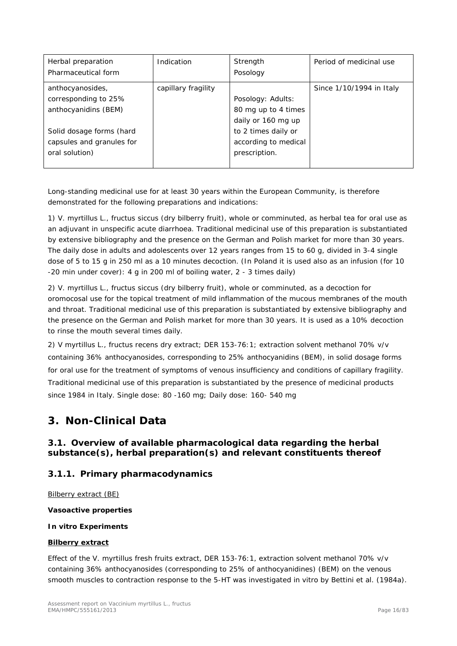| Herbal preparation<br>Pharmaceutical form                                                                                                   | Indication          | Strength<br>Posology                                                                                                           | Period of medicinal use  |
|---------------------------------------------------------------------------------------------------------------------------------------------|---------------------|--------------------------------------------------------------------------------------------------------------------------------|--------------------------|
| anthocyanosides,<br>corresponding to 25%<br>anthocyanidins (BEM)<br>Solid dosage forms (hard<br>capsules and granules for<br>oral solution) | capillary fragility | Posology: Adults:<br>80 mg up to 4 times<br>daily or 160 mg up<br>to 2 times daily or<br>according to medical<br>prescription. | Since 1/10/1994 in Italy |

Long-standing medicinal use for at least 30 years within the European Community, is therefore demonstrated for the following preparations and indications:

1) *V. myrtillus* L., fructus siccus (dry bilberry fruit), whole or comminuted, as herbal tea for oral use as an adjuvant in unspecific acute diarrhoea. Traditional medicinal use of this preparation is substantiated by extensive bibliography and the presence on the German and Polish market for more than 30 years. The daily dose in adults and adolescents over 12 years ranges from 15 to 60 g, divided in 3-4 single dose of 5 to 15 g in 250 ml as a 10 minutes decoction. (In Poland it is used also as an infusion (for 10 -20 min under cover): 4 g in 200 ml of boiling water, 2 - 3 times daily)

2) *V. myrtillus* L., fructus siccus (dry bilberry fruit), whole or comminuted, as a decoction for oromocosal use for the topical treatment of mild inflammation of the mucous membranes of the mouth and throat. Traditional medicinal use of this preparation is substantiated by extensive bibliography and the presence on the German and Polish market for more than 30 years. It is used as a 10% decoction to rinse the mouth several times daily.

2) *V myrtillus* L., fructus recens dry extract; DER 153-76:1; extraction solvent methanol 70% v/v containing 36% anthocyanosides, corresponding to 25% anthocyanidins (BEM), in solid dosage forms for oral use for the treatment of symptoms of venous insufficiency and conditions of capillary fragility. Traditional medicinal use of this preparation is substantiated by the presence of medicinal products since 1984 in Italy. Single dose: 80 -160 mg; Daily dose: 160- 540 mg

# <span id="page-15-0"></span>**3. Non-Clinical Data**

# <span id="page-15-1"></span>*3.1. Overview of available pharmacological data regarding the herbal substance(s), herbal preparation(s) and relevant constituents thereof*

# <span id="page-15-2"></span>**3.1.1. Primary pharmacodynamics**

Bilberry extract (BE)

## **Vasoactive properties**

## *In vitro* **Experiments**

## **Bilberry extract**

Effect of the *V. myrtillus* fresh fruits extract, DER 153-76:1, extraction solvent methanol 70% v/v containing 36% anthocyanosides (corresponding to 25% of anthocyanidines) (BEM) on the venous smooth muscles to contraction response to the 5-HT was investigated *in vitro* by Bettini *et al.* (1984a).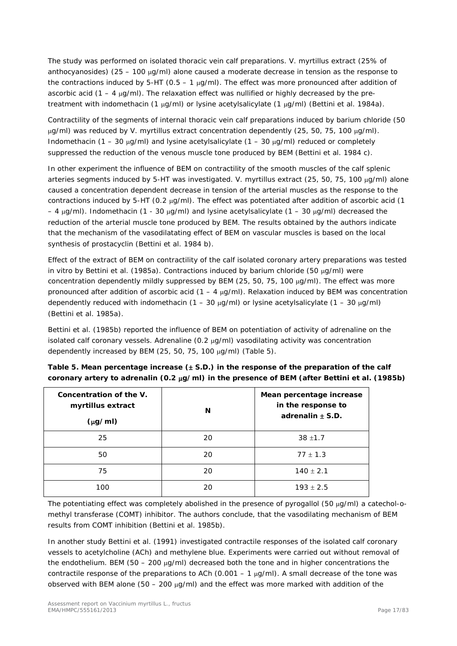The study was performed on isolated thoracic vein calf preparations. *V. myrtillus* extract (25% of anthocyanosides) (25 – 100 µg/ml) alone caused a moderate decrease in tension as the response to the contractions induced by 5-HT (0.5 – 1  $\mu$ g/ml). The effect was more pronounced after addition of ascorbic acid  $(1 - 4 \mu g/ml)$ . The relaxation effect was nullified or highly decreased by the pretreatment with indomethacin (1 µg/ml) or lysine acetylsalicylate (1 µg/ml) (Bettini *et al.* 1984a).

Contractility of the segments of internal thoracic vein calf preparations induced by barium chloride (50 µg/ml) was reduced by *V. myrtillus* extract concentration dependently (25, 50, 75, 100 µg/ml). Indomethacin (1 – 30  $\mu q/ml$ ) and lysine acetylsalicylate (1 – 30  $\mu q/ml$ ) reduced or completely suppressed the reduction of the venous muscle tone produced by BEM (Bettini *et al*. 1984 c).

In other experiment the influence of BEM on contractility of the smooth muscles of the calf splenic arteries segments induced by 5-HT was investigated. *V. myrtillus* extract (25, 50, 75, 100 µg/ml) alone caused a concentration dependent decrease in tension of the arterial muscles as the response to the contractions induced by 5-HT (0.2 µg/ml). The effect was potentiated after addition of ascorbic acid (1 – 4  $\mu$ g/ml). Indomethacin (1 - 30  $\mu$ g/ml) and lysine acetylsalicylate (1 – 30  $\mu$ g/ml) decreased the reduction of the arterial muscle tone produced by BEM. The results obtained by the authors indicate that the mechanism of the vasodilatating effect of BEM on vascular muscles is based on the local synthesis of prostacyclin (Bettini *et al.* 1984 b).

Effect of the extract of BEM on contractility of the calf isolated coronary artery preparations was tested *in vitro* by Bettini *et al.* (1985a). Contractions induced by barium chloride (50 µg/ml) were concentration dependently mildly suppressed by BEM (25, 50, 75, 100 µg/ml). The effect was more pronounced after addition of ascorbic acid  $(1 - 4 \mu g/ml)$ . Relaxation induced by BEM was concentration dependently reduced with indomethacin (1 – 30  $\mu$ g/ml) or lysine acetylsalicylate (1 – 30  $\mu$ g/ml) (Bettini *et al.* 1985a).

Bettini *et al.* (1985b) reported the influence of BEM on potentiation of activity of adrenaline on the isolated calf coronary vessels. Adrenaline (0.2 µg/ml) vasodilating activity was concentration dependently increased by BEM (25, 50, 75, 100 µg/ml) (Table 5).

| Concentration of the V.<br>myrtillus extract<br>$(\mu g/ml)$ | N  | Mean percentage increase<br>in the response to<br>adrenalin $\pm$ S.D. |
|--------------------------------------------------------------|----|------------------------------------------------------------------------|
| 25                                                           | 20 | $38 + 1.7$                                                             |
| 50                                                           | 20 | $77 \pm 1.3$                                                           |
| 75                                                           | 20 | $140 \pm 2.1$                                                          |
| 100                                                          | 20 | $193 \pm 2.5$                                                          |

**Table 5. Mean percentage increase (**± **S.D.) in the response of the preparation of the calf coronary artery to adrenalin (0.2** µ**g/ml) in the presence of BEM (after Bettini** *et al.* **(1985b)** 

The potentiating effect was completely abolished in the presence of pyrogallol (50 µg/ml) a catechol-omethyl transferase (COMT) inhibitor. The authors conclude, that the vasodilating mechanism of BEM results from COMT inhibition (Bettini *et al.* 1985b).

In another study Bettini *et al.* (1991) investigated contractile responses of the isolated calf coronary vessels to acetylcholine (ACh) and methylene blue. Experiments were carried out without removal of the endothelium. BEM (50 – 200  $\mu$ g/ml) decreased both the tone and in higher concentrations the contractile response of the preparations to ACh (0.001 – 1  $\mu$ g/ml). A small decrease of the tone was observed with BEM alone (50 – 200  $\mu q/ml$ ) and the effect was more marked with addition of the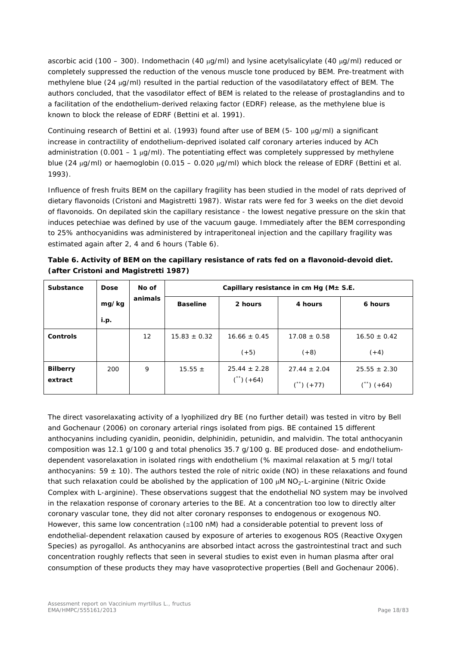ascorbic acid (100 – 300). Indomethacin (40 µg/ml) and lysine acetylsalicylate (40 µg/ml) reduced or completely suppressed the reduction of the venous muscle tone produced by BEM. Pre-treatment with methylene blue (24 µg/ml) resulted in the partial reduction of the vasodilatatory effect of BEM. The authors concluded, that the vasodilator effect of BEM is related to the release of prostaglandins and to a facilitation of the endothelium-derived relaxing factor (EDRF) release, as the methylene blue is known to block the release of EDRF (Bettini *et al.* 1991).

Continuing research of Bettini *et al.* (1993) found after use of BEM (5- 100 µg/ml) a significant increase in contractility of endothelium-deprived isolated calf coronary arteries induced by ACh administration (0.001 – 1  $\mu$ g/ml). The potentiating effect was completely suppressed by methylene blue (24 µg/ml) or haemoglobin (0.015 – 0.020 µg/ml) which block the release of EDRF (Bettini *et al.* 1993).

Influence of fresh fruits BEM on the capillary fragility has been studied in the model of rats deprived of dietary flavonoids (Cristoni and Magistretti 1987). Wistar rats were fed for 3 weeks on the diet devoid of flavonoids. On depilated skin the capillary resistance - the lowest negative pressure on the skin that induces petechiae was defined by use of the vacuum gauge. Immediately after the BEM corresponding to 25% anthocyanidins was administered by intraperitoneal injection and the capillary fragility was estimated again after 2, 4 and 6 hours (Table 6).

| Table 6. Activity of BEM on the capillary resistance of rats fed on a flavonoid-devoid diet. |
|----------------------------------------------------------------------------------------------|
| (after Cristoni and Magistretti 1987)                                                        |

| <b>Substance</b> | <b>Dose</b> | No of   | Capillary resistance in cm Hg ( $M \pm S.E$ . |                      |                      |                  |
|------------------|-------------|---------|-----------------------------------------------|----------------------|----------------------|------------------|
|                  | mg/kg       | animals | <b>Baseline</b>                               | 2 hours              | 4 hours              | 6 hours          |
|                  | i.p.        |         |                                               |                      |                      |                  |
| Controls         |             | 12      | $15.83 \pm 0.32$                              | $16.66 \pm 0.45$     | $17.08 \pm 0.58$     | $16.50 \pm 0.42$ |
|                  |             |         |                                               | $(+5)$               | $(+8)$               | $(+4)$           |
| <b>Bilberry</b>  | 200         | 9       | 15.55 $\pm$                                   | $25.44 \pm 2.28$     | $27.44 \pm 2.04$     | $25.55 \pm 2.30$ |
| extract          |             |         |                                               | $\binom{4}{1} (+64)$ | $\binom{1}{1} (+77)$ | $(+64)$          |

The direct vasorelaxating activity of a lyophilized dry BE (no further detail) was tested *in vitro* by Bell and Gochenaur (2006) on coronary arterial rings isolated from pigs. BE contained 15 different anthocyanins including cyanidin, peonidin, delphinidin, petunidin, and malvidin. The total anthocyanin composition was 12.1 g/100 g and total phenolics 35.7 g/100 g. BE produced dose- and endotheliumdependent vasorelaxation in isolated rings with endothelium (% maximal relaxation at 5 mg/l total anthocyanins:  $59 \pm 10$ ). The authors tested the role of nitric oxide (NO) in these relaxations and found that such relaxation could be abolished by the application of 100 µM NO2-L-arginine (*Nitric Oxide Complex* with *L-arginine*). These observations suggest that the endothelial NO system may be involved in the relaxation response of coronary arteries to the BE. At a concentration too low to directly alter coronary vascular tone, they did not alter coronary responses to endogenous or exogenous NO. However, this same low concentration (≅100 nM) had a considerable potential to prevent loss of endothelial-dependent relaxation caused by exposure of arteries to exogenous ROS (*Reactive Oxygen Species*) as pyrogallol. As anthocyanins are absorbed intact across the gastrointestinal tract and such concentration roughly reflects that seen in several studies to exist even in human plasma after oral consumption of these products they may have vasoprotective properties (Bell and Gochenaur 2006).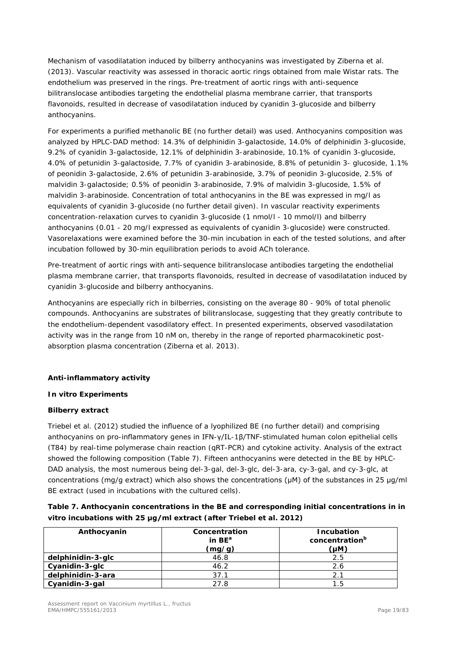Mechanism of vasodilatation induced by bilberry anthocyanins was investigated by Ziberna *et al.* (2013). Vascular reactivity was assessed in thoracic aortic rings obtained from male Wistar rats. The endothelium was preserved in the rings. Pre-treatment of aortic rings with anti-sequence bilitranslocase antibodies targeting the endothelial plasma membrane carrier, that transports flavonoids, resulted in decrease of vasodilatation induced by cyanidin 3-glucoside and bilberry anthocyanins.

For experiments a purified methanolic BE (no further detail) was used. Anthocyanins composition was analyzed by HPLC-DAD method: 14.3% of delphinidin 3-galactoside, 14.0% of delphinidin 3-glucoside, 9.2% of cyanidin 3-galactoside, 12.1% of delphinidin 3-arabinoside, 10.1% of cyanidin 3-glucoside, 4.0% of petunidin 3-galactoside, 7.7% of cyanidin 3-arabinoside, 8.8% of petunidin 3- glucoside, 1.1% of peonidin 3-galactoside, 2.6% of petunidin 3-arabinoside, 3.7% of peonidin 3-glucoside, 2.5% of malvidin 3-galactoside; 0.5% of peonidin 3-arabinoside, 7.9% of malvidin 3-glucoside, 1.5% of malvidin 3-arabinoside. Concentration of total anthocyanins in the BE was expressed in mg/l as equivalents of cyanidin 3-glucoside (no further detail given). In vascular reactivity experiments concentration-relaxation curves to cyanidin 3-glucoside (1 nmol/l - 10 mmol/l) and bilberry anthocyanins (0.01 - 20 mg/l expressed as equivalents of cyanidin 3-glucoside) were constructed. Vasorelaxations were examined before the 30-min incubation in each of the tested solutions, and after incubation followed by 30-min equilibration periods to avoid ACh tolerance.

Pre-treatment of aortic rings with anti-sequence bilitranslocase antibodies targeting the endothelial plasma membrane carrier, that transports flavonoids, resulted in decrease of vasodilatation induced by cyanidin 3-glucoside and bilberry anthocyanins.

Anthocyanins are especially rich in bilberries, consisting on the average 80 - 90% of total phenolic compounds. Anthocyanins are substrates of bilitranslocase, suggesting that they greatly contribute to the endothelium-dependent vasodilatory effect. In presented experiments, observed vasodilatation activity was in the range from 10 nM on, thereby in the range of reported pharmacokinetic postabsorption plasma concentration (Ziberna *et al.* 2013).

## **Anti-inflammatory activity**

#### **In vitro Experiments**

#### **Bilberry extract**

Triebel *et al.* (2012) studied the influence of a lyophilized BE (no further detail) and comprising anthocyanins on pro-inflammatory genes in IFN-γ/IL-1β/TNF-stimulated human colon epithelial cells (T84) by real-time polymerase chain reaction (qRT-PCR) and cytokine activity. Analysis of the extract showed the following composition (Table 7). Fifteen anthocyanins were detected in the BE by HPLC-DAD analysis, the most numerous being del-3-gal, del-3-glc, del-3-ara, cy-3-gal, and cy-3-glc, at concentrations (mg/g extract) which also shows the concentrations (μM) of the substances in 25 μg/ml BE extract (used in incubations with the cultured cells).

| Table 7. Anthocyanin concentrations in the BE and corresponding initial concentrations in in |
|----------------------------------------------------------------------------------------------|
| vitro incubations with 25 µg/ml extract (after Triebel et al. 2012)                          |

| Anthocyanin       | Concentration<br>in $BE^a$<br>(mg/g) | Incubation<br>concentration <sup>b</sup><br>(µM) |
|-------------------|--------------------------------------|--------------------------------------------------|
| delphinidin-3-glc | 46.8                                 | 2.5                                              |
| Cyanidin-3-glc    | 46.2                                 | 2.6                                              |
| delphinidin-3-ara | 37.1                                 | 2.1                                              |
| Cyanidin-3-gal    | 27.8                                 | 1.5                                              |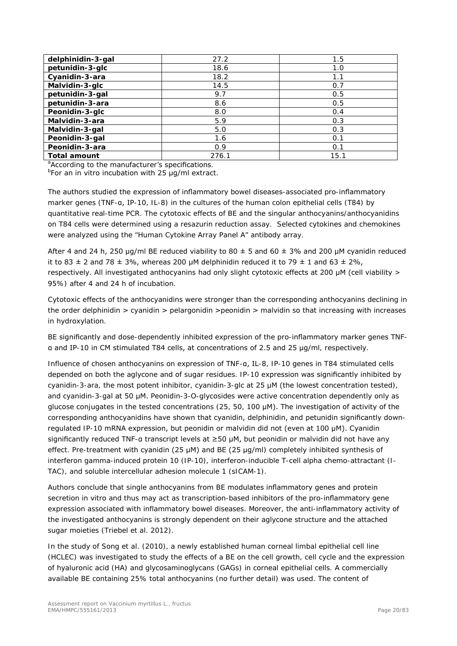| delphinidin-3-gal   | 27.2  | 1.5  |
|---------------------|-------|------|
| petunidin-3-glc     | 18.6  | 1.0  |
| Cyanidin-3-ara      | 18.2  | 1.1  |
| Malvidin-3-glc      | 14.5  | 0.7  |
| petunidin-3-gal     | 9.7   | 0.5  |
| petunidin-3-ara     | 8.6   | 0.5  |
| Peonidin-3-glc      | 8.0   | 0.4  |
| Malvidin-3-ara      | 5.9   | 0.3  |
| Malvidin-3-gal      | 5.0   | 0.3  |
| Peonidin-3-gal      | 1.6   | 0.1  |
| Peonidin-3-ara      | 0.9   | 0.1  |
| <b>Total amount</b> | 276.1 | 15.1 |

<sup>a</sup>According to the manufacturer's specifications.

b For an *in vitro* incubation with 25 μg/ml extract.

The authors studied the expression of inflammatory bowel diseases-associated pro-inflammatory marker genes (TNF-α, IP-10, IL-8) in the cultures of the human colon epithelial cells (T84) by quantitative real-time PCR. The cytotoxic effects of BE and the singular anthocyanins/anthocyanidins on T84 cells were determined using a resazurin reduction assay. Selected cytokines and chemokines were analyzed using the "Human Cytokine Array Panel A" antibody array.

After 4 and 24 h, 250 µg/ml BE reduced viability to 80  $\pm$  5 and 60  $\pm$  3% and 200 µM cyanidin reduced it to 83  $\pm$  2 and 78  $\pm$  3%, whereas 200 µM delphinidin reduced it to 79  $\pm$  1 and 63  $\pm$  2%, respectively. All investigated anthocyanins had only slight cytotoxic effects at 200 μM (cell viability > 95%) after 4 and 24 h of incubation.

Cytotoxic effects of the anthocyanidins were stronger than the corresponding anthocyanins declining in the order delphinidin > cyanidin > pelargonidin > peonidin > malvidin so that increasing with increases in hydroxylation.

BE significantly and dose-dependently inhibited expression of the pro-inflammatory marker genes TNFα and IP-10 in CM stimulated T84 cells, at concentrations of 2.5 and 25 μg/ml, respectively.

Influence of chosen anthocyanins on expression of TNF-α, IL-8, IP-10 genes in T84 stimulated cells depended on both the aglycone and of sugar residues. IP-10 expression was significantly inhibited by cyanidin-3-ara, the most potent inhibitor, cyanidin-3-glc at 25 μM (the lowest concentration tested), and cyanidin-3-gal at 50 μM. Peonidin-3-*O*-glycosides were active concentration dependently only as glucose conjugates in the tested concentrations (25, 50, 100 μM). The investigation of activity of the corresponding anthocyanidins have shown that cyanidin, delphinidin, and petunidin significantly downregulated IP-10 mRNA expression, but peonidin or malvidin did not (even at 100 μM). Cyanidin significantly reduced TNF-α transcript levels at ≥50 μM, but peonidin or malvidin did not have any effect. Pre-treatment with cyanidin (25 μM) and BE (25 μg/ml) completely inhibited synthesis of interferon gamma-induced protein 10 (IP-10), interferon-inducible T-cell alpha chemo-attractant (I-TAC), and soluble intercellular adhesion molecule 1 (sICAM-1).

Authors conclude that single anthocyanins from BE modulates inflammatory genes and protein secretion *in vitro* and thus may act as transcription-based inhibitors of the pro-inflammatory gene expression associated with inflammatory bowel diseases. Moreover, the anti-inflammatory activity of the investigated anthocyanins is strongly dependent on their aglycone structure and the attached sugar moieties (Triebel *et al.* 2012).

In the study of Song *et al.* (2010), a newly established human corneal limbal epithelial cell line (HCLEC) was investigated to study the effects of a BE on the cell growth, cell cycle and the expression of hyaluronic acid (HA) and glycosaminoglycans (GAGs) in corneal epithelial cells. A commercially available BE containing 25% total anthocyanins (no further detail) was used. The content of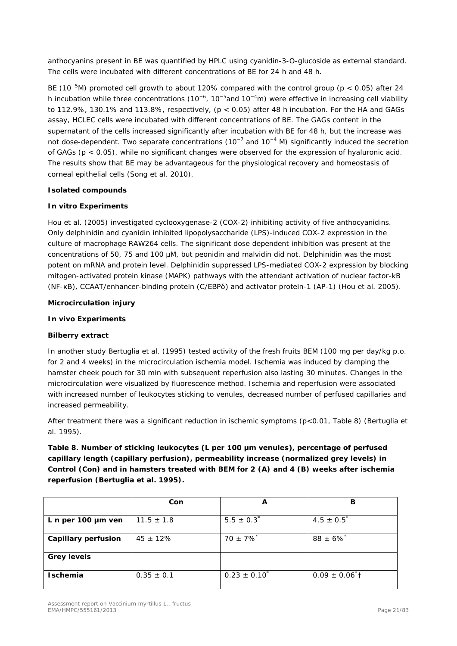anthocyanins present in BE was quantified by HPLC using cyanidin-3-O-glucoside as external standard. The cells were incubated with different concentrations of BE for 24 h and 48 h.

BE (10<sup>-5</sup>M) promoted cell growth to about 120% compared with the control group (p < 0.05) after 24 h incubation while three concentrations (10<sup>-6</sup>, 10<sup>-5</sup>and 10<sup>-4</sup>m) were effective in increasing cell viability to 112.9%, 130.1% and 113.8%, respectively,  $(p < 0.05)$  after 48 h incubation. For the HA and GAGs assay, HCLEC cells were incubated with different concentrations of BE. The GAGs content in the supernatant of the cells increased significantly after incubation with BE for 48 h, but the increase was not dose-dependent. Two separate concentrations (10<sup>-7</sup> and 10<sup>-4</sup> M) significantly induced the secretion of GAGs (p < 0.05), while no significant changes were observed for the expression of hyaluronic acid. The results show that BE may be advantageous for the physiological recovery and homeostasis of corneal epithelial cells (Song *et al.* 2010).

#### **Isolated compounds**

#### *In vitro* **Experiments**

Hou *et al.* (2005) investigated cyclooxygenase-2 (COX-2) inhibiting activity of five anthocyanidins. Only delphinidin and cyanidin inhibited lipopolysaccharide (LPS)-induced COX-2 expression in the culture of macrophage RAW264 cells. The significant dose dependent inhibition was present at the concentrations of 50, 75 and 100 µM, but peonidin and malvidin did not. Delphinidin was the most potent on mRNA and protein level. Delphinidin suppressed LPS-mediated COX-2 expression by blocking mitogen-activated protein kinase (MAPK) pathways with the attendant activation of nuclear factor-kB (NF-κB), CCAAT/enhancer-binding protein (C/EBPδ) and activator protein-1 (AP-1) (Hou *et al.* 2005).

#### **Microcirculation injury**

#### *In vivo* **Experiments**

## **Bilberry extract**

In another study Bertuglia *et al.* (1995) tested activity of the fresh fruits BEM (100 mg per day/kg p.o. for 2 and 4 weeks) in the microcirculation ischemia model. Ischemia was induced by clamping the hamster cheek pouch for 30 min with subsequent reperfusion also lasting 30 minutes. Changes in the microcirculation were visualized by fluorescence method. Ischemia and reperfusion were associated with increased number of leukocytes sticking to venules, decreased number of perfused capillaries and increased permeability.

After treatment there was a significant reduction in ischemic symptoms (p<0.01, Table 8) (Bertuglia *et al.* 1995).

**Table 8. Number of sticking leukocytes (L per 100 μm venules), percentage of perfused capillary length (capillary perfusion), permeability increase (normalized grey levels) in Control (Con) and in hamsters treated with BEM for 2 (A) and 4 (B) weeks after ischemia reperfusion (Bertuglia** *et al***. 1995).**

|                            | Con            | A                         | в                              |
|----------------------------|----------------|---------------------------|--------------------------------|
| L n per 100 $\mu$ m ven    | $11.5 \pm 1.8$ | $5.5 \pm 0.3^*$           | $4.5 \pm 0.5^*$                |
| <b>Capillary perfusion</b> | $45 \pm 12\%$  | $70 \pm 7\%$ <sup>*</sup> | $88 \pm 6\%$ <sup>*</sup>      |
| <b>Grey levels</b>         |                |                           |                                |
| <b>Ischemia</b>            | $0.35 \pm 0.1$ | $0.23 \pm 0.10^{\degree}$ | $0.09 \pm 0.06$ <sup>*</sup> t |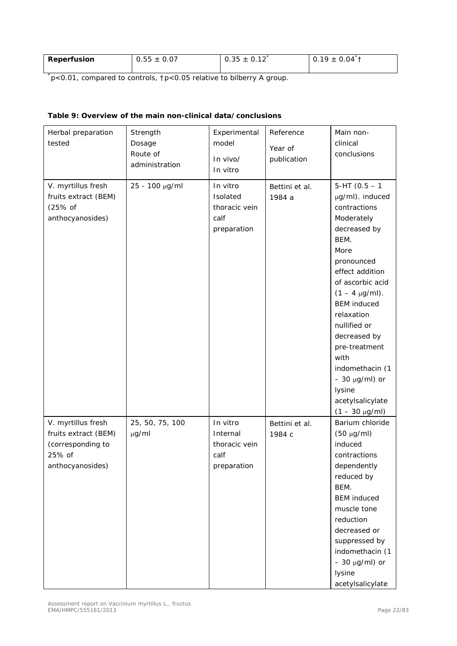| Reperfusion | $0.55 \pm 0.07$ | $0.35 \pm 0.12$ | $0.19 \pm 0.04$ <sup>2</sup> |
|-------------|-----------------|-----------------|------------------------------|
|             |                 |                 |                              |

\* p<0.01, compared to controls, †p<0.05 relative to bilberry A group.

| Herbal preparation<br>tested                                                                  | Strength<br>Dosage<br>Route of<br>administration | Experimental<br>model<br>In vivo/<br>In vitro                | Reference<br>Year of<br>publication | Main non-<br>clinical<br>conclusions                                                                                                                                                                                                                                                                                                                                      |
|-----------------------------------------------------------------------------------------------|--------------------------------------------------|--------------------------------------------------------------|-------------------------------------|---------------------------------------------------------------------------------------------------------------------------------------------------------------------------------------------------------------------------------------------------------------------------------------------------------------------------------------------------------------------------|
| V. myrtillus fresh<br>fruits extract (BEM)<br>$(25%$ of<br>anthocyanosides)                   | 25 - 100 µg/ml                                   | In vitro<br>Isolated<br>thoracic vein<br>calf<br>preparation | Bettini et al.<br>1984 a            | $5-HT(0.5 - 1)$<br>µg/ml). induced<br>contractions<br>Moderately<br>decreased by<br>BEM.<br>More<br>pronounced<br>effect addition<br>of ascorbic acid<br>$(1 - 4 \mu g/ml)$ .<br><b>BEM</b> induced<br>relaxation<br>nullified or<br>decreased by<br>pre-treatment<br>with<br>indomethacin (1<br>$-30 \mu g/ml$ ) or<br>lysine<br>acetylsalicylate<br>$(1 - 30 \mu g/ml)$ |
| V. myrtillus fresh<br>fruits extract (BEM)<br>(corresponding to<br>25% of<br>anthocyanosides) | 25, 50, 75, 100<br>$\mu$ g/ml                    | In vitro<br>Internal<br>thoracic vein<br>calf<br>preparation | Bettini et al.<br>1984 с            | Barium chloride<br>$(50 \mu g/ml)$<br>induced<br>contractions<br>dependently<br>reduced by<br>BEM.<br><b>BEM</b> induced<br>muscle tone<br>reduction<br>decreased or<br>suppressed by<br>indomethacin (1<br>$-30 \mu g/ml$ ) or<br>lysine<br>acetylsalicylate                                                                                                             |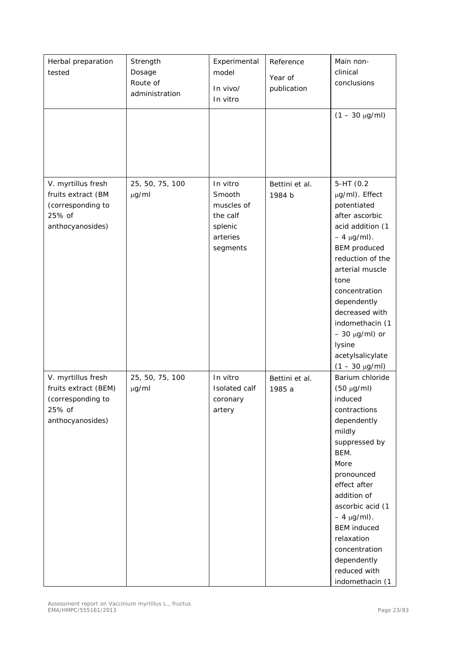| Herbal preparation<br>tested                                                                  | Strength<br>Dosage<br>Route of<br>administration | Experimental<br>model<br>In vivo/<br>In vitro                                   | Reference<br>Year of<br>publication | Main non-<br>clinical<br>conclusions<br>$(1 - 30 \mu g/ml)$                                                                                                                                                                                                                                                                 |
|-----------------------------------------------------------------------------------------------|--------------------------------------------------|---------------------------------------------------------------------------------|-------------------------------------|-----------------------------------------------------------------------------------------------------------------------------------------------------------------------------------------------------------------------------------------------------------------------------------------------------------------------------|
| V. myrtillus fresh<br>fruits extract (BM<br>(corresponding to<br>25% of<br>anthocyanosides)   | 25, 50, 75, 100<br>$\mu$ g/ml                    | In vitro<br>Smooth<br>muscles of<br>the calf<br>splenic<br>arteries<br>segments | Bettini et al.<br>1984 b            | 5-HT (0.2<br>µg/ml). Effect<br>potentiated<br>after ascorbic<br>acid addition (1<br>$-4 \mu g/ml$ ).<br><b>BEM</b> produced<br>reduction of the<br>arterial muscle<br>tone<br>concentration<br>dependently<br>decreased with<br>indomethacin (1<br>$-30 \mu g/ml$ ) or<br>lysine<br>acetylsalicylate<br>$(1 - 30 \mu g/ml)$ |
| V. myrtillus fresh<br>fruits extract (BEM)<br>(corresponding to<br>25% of<br>anthocyanosides) | 25, 50, 75, 100<br>$\mu$ g/ml                    | In vitro<br>Isolated calf<br>coronary<br>artery                                 | Bettini et al.<br>1985 a            | Barium chloride<br>$(50 \mu g/ml)$<br>induced<br>contractions<br>dependently<br>mildly<br>suppressed by<br>BEM.<br>More<br>pronounced<br>effect after<br>addition of<br>ascorbic acid (1<br>$-4 \mu g/ml$ ).<br><b>BEM</b> induced<br>relaxation<br>concentration<br>dependently<br>reduced with<br>indomethacin (1         |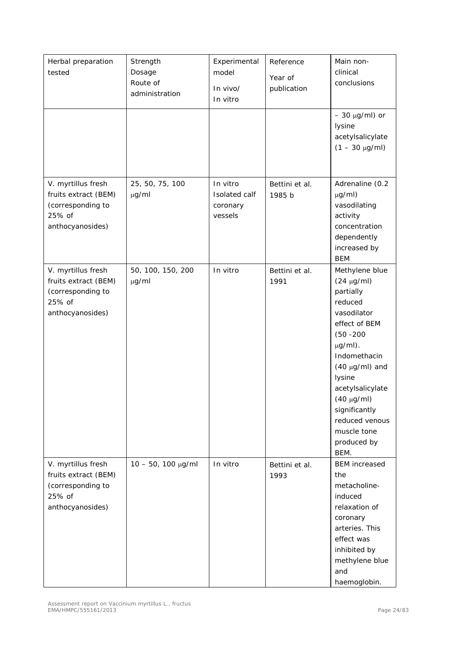| Herbal preparation<br>tested                                                                  | Strength<br>Dosage<br>Route of<br>administration | Experimental<br>model<br>In vivo/<br>In vitro    | Reference<br>Year of<br>publication | Main non-<br>clinical<br>conclusions                                                                                                                                                                                                                                                       |
|-----------------------------------------------------------------------------------------------|--------------------------------------------------|--------------------------------------------------|-------------------------------------|--------------------------------------------------------------------------------------------------------------------------------------------------------------------------------------------------------------------------------------------------------------------------------------------|
|                                                                                               |                                                  |                                                  |                                     | $-30 \mu g/ml$ ) or<br>lysine<br>acetylsalicylate<br>$(1 - 30 \mu g/ml)$                                                                                                                                                                                                                   |
| V. myrtillus fresh<br>fruits extract (BEM)<br>(corresponding to<br>25% of<br>anthocyanosides) | 25, 50, 75, 100<br>$\mu$ g/ml                    | In vitro<br>Isolated calf<br>coronary<br>vessels | Bettini et al.<br>1985 b            | Adrenaline (0.2<br>$\mu$ g/ml)<br>vasodilating<br>activity<br>concentration<br>dependently<br>increased by<br><b>BEM</b>                                                                                                                                                                   |
| V. myrtillus fresh<br>fruits extract (BEM)<br>(corresponding to<br>25% of<br>anthocyanosides) | 50, 100, 150, 200<br>$\mu$ g/ml                  | In vitro                                         | Bettini et al.<br>1991              | Methylene blue<br>$(24 \mu g/ml)$<br>partially<br>reduced<br>vasodilator<br>effect of BEM<br>$(50 - 200)$<br>$\mu$ g/ml).<br>Indomethacin<br>$(40 \mu g/ml)$ and<br>lysine<br>acetylsalicylate<br>$(40 \mu g/ml)$<br>significantly<br>reduced venous<br>muscle tone<br>produced by<br>BEM. |
| V. myrtillus fresh<br>fruits extract (BEM)<br>(corresponding to<br>25% of<br>anthocyanosides) | $10 - 50$ , $100 \mu g/ml$                       | In vitro                                         | Bettini et al.<br>1993              | <b>BEM</b> increased<br>the<br>metacholine-<br>induced<br>relaxation of<br>coronary<br>arteries. This<br>effect was<br>inhibited by<br>methylene blue<br>and<br>haemoglobin.                                                                                                               |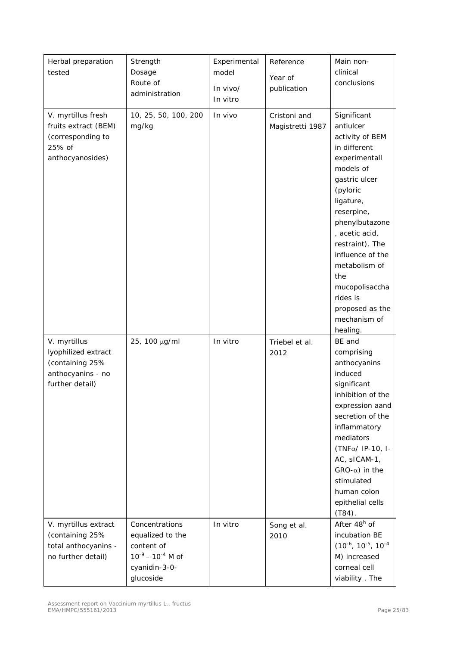| Herbal preparation<br>tested                                                                   | Strength<br>Dosage<br>Route of<br>administration                                                           | Experimental<br>model<br>In vivo/<br>In vitro | Reference<br>Year of<br>publication | Main non-<br>clinical<br>conclusions                                                                                                                                                                                                                                                                                              |
|------------------------------------------------------------------------------------------------|------------------------------------------------------------------------------------------------------------|-----------------------------------------------|-------------------------------------|-----------------------------------------------------------------------------------------------------------------------------------------------------------------------------------------------------------------------------------------------------------------------------------------------------------------------------------|
| V. myrtillus fresh<br>fruits extract (BEM)<br>(corresponding to<br>25% of<br>anthocyanosides)  | 10, 25, 50, 100, 200<br>mg/kg                                                                              | In vivo                                       | Cristoni and<br>Magistretti 1987    | Significant<br>antiulcer<br>activity of BEM<br>in different<br>experimentall<br>models of<br>gastric ulcer<br>(pyloric<br>ligature,<br>reserpine,<br>phenylbutazone<br>, acetic acid,<br>restraint). The<br>influence of the<br>metabolism of<br>the<br>mucopolisaccha<br>rides is<br>proposed as the<br>mechanism of<br>healing. |
| V. myrtillus<br>lyophilized extract<br>(containing 25%<br>anthocyanins - no<br>further detail) | 25, 100 µg/ml                                                                                              | In vitro                                      | Triebel et al.<br>2012              | BE and<br>comprising<br>anthocyanins<br>induced<br>significant<br>inhibition of the<br>expression aand<br>secretion of the<br>inflammatory<br>mediators<br>(TNFα/ IP-10, I-<br>AC, sICAM-1,<br>$GRO-\alpha)$ in the<br>stimulated<br>human colon<br>epithelial cells<br>$(T84)$ .                                                 |
| V. myrtillus extract<br>(containing 25%<br>total anthocyanins -<br>no further detail)          | Concentrations<br>equalized to the<br>content of<br>$10^{-9} - 10^{-4}$ M of<br>cyanidin-3-0-<br>glucoside | In vitro                                      | Song et al.<br>2010                 | After 48 <sup>h</sup> of<br>incubation BE<br>$(10^{-6}, 10^{-5}, 10^{-4})$<br>M) increased<br>corneal cell<br>viability. The                                                                                                                                                                                                      |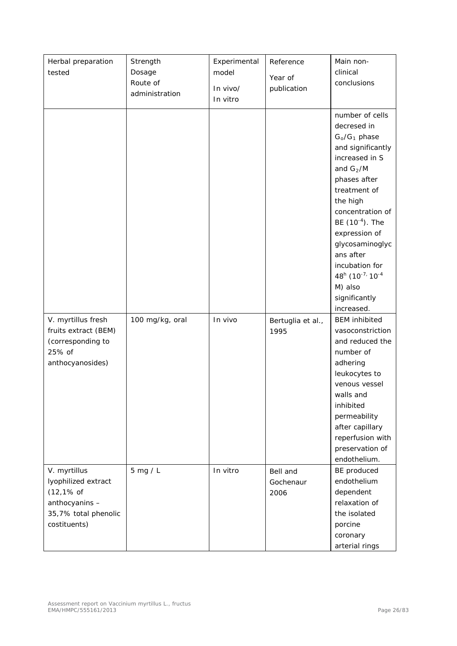| Herbal preparation<br>tested                                                                                            | Strength<br>Dosage<br>Route of<br>administration | Experimental<br>model<br>In vivo/<br>In vitro | Reference<br>Year of<br>publication | Main non-<br>clinical<br>conclusions                                                                                                                                                                                                                                                                                            |
|-------------------------------------------------------------------------------------------------------------------------|--------------------------------------------------|-----------------------------------------------|-------------------------------------|---------------------------------------------------------------------------------------------------------------------------------------------------------------------------------------------------------------------------------------------------------------------------------------------------------------------------------|
|                                                                                                                         |                                                  |                                               |                                     | number of cells<br>decresed in<br>$G_0/G_1$ phase<br>and significantly<br>increased in S<br>and $G_2/M$<br>phases after<br>treatment of<br>the high<br>concentration of<br>BE $(10^{-4})$ . The<br>expression of<br>glycosaminoglyc<br>ans after<br>incubation for<br>48h (10-7, 10-4<br>M) also<br>significantly<br>increased. |
| V. myrtillus fresh<br>fruits extract (BEM)<br>(corresponding to<br>25% of<br>anthocyanosides)                           | 100 mg/kg, oral                                  | In vivo                                       | Bertuglia et al.,<br>1995           | <b>BEM</b> inhibited<br>vasoconstriction<br>and reduced the<br>number of<br>adhering<br>leukocytes to<br>venous vessel<br>walls and<br>inhibited<br>permeability<br>after capillary<br>reperfusion with<br>preservation of<br>endothelium.                                                                                      |
| V. myrtillus<br>lyophilized extract<br>$(12, 1\% \text{ of }$<br>anthocyanins -<br>35,7% total phenolic<br>costituents) | $5$ mg / L                                       | In vitro                                      | Bell and<br>Gochenaur<br>2006       | BE produced<br>endothelium<br>dependent<br>relaxation of<br>the isolated<br>porcine<br>coronary<br>arterial rings                                                                                                                                                                                                               |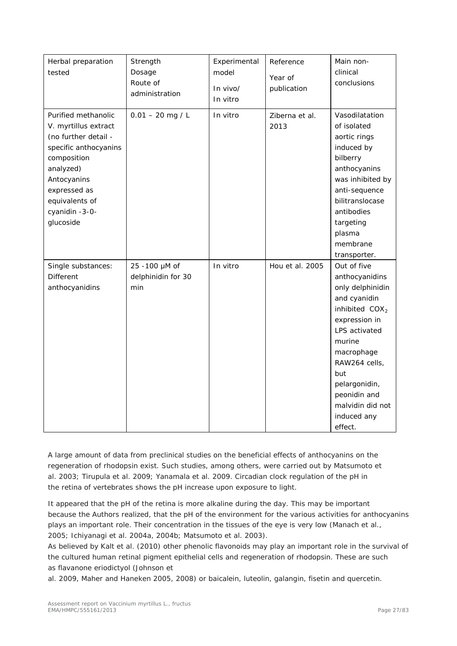| Herbal preparation<br>tested                                                                                                                                                                             | Strength<br>Dosage<br>Route of<br>administration | Experimental<br>model<br>In vivo/<br>In vitro | Reference<br>Year of<br>publication | Main non-<br>clinical<br>conclusions                                                                                                                                                                                                                   |
|----------------------------------------------------------------------------------------------------------------------------------------------------------------------------------------------------------|--------------------------------------------------|-----------------------------------------------|-------------------------------------|--------------------------------------------------------------------------------------------------------------------------------------------------------------------------------------------------------------------------------------------------------|
| Purified methanolic<br>V. myrtillus extract<br>(no further detail -<br>specific anthocyanins<br>composition<br>analyzed)<br>Antocyanins<br>expressed as<br>equivalents of<br>cyanidin -3-0-<br>glucoside | $0.01 - 20$ mg / L                               | In vitro                                      | Ziberna et al.<br>2013              | Vasodilatation<br>of isolated<br>aortic rings<br>induced by<br>bilberry<br>anthocyanins<br>was inhibited by<br>anti-sequence<br>bilitranslocase<br>antibodies<br>targeting<br>plasma<br>membrane<br>transporter.                                       |
| Single substances:<br>Different<br>anthocyanidins                                                                                                                                                        | 25 -100 µM of<br>delphinidin for 30<br>min       | In vitro                                      | Hou et al. 2005                     | Out of five<br>anthocyanidins<br>only delphinidin<br>and cyanidin<br>inhibited $COX2$<br>expression in<br>LPS activated<br>murine<br>macrophage<br>RAW264 cells,<br>but<br>pelargonidin,<br>peonidin and<br>malvidin did not<br>induced any<br>effect. |

A large amount of data from preclinical studies on the beneficial effects of anthocyanins on the regeneration of rhodopsin exist. Such studies, among others, were carried out by Matsumoto *et al.* 2003; Tirupula *et al.* 2009; Yanamala *et al.* 2009. Circadian clock regulation of the pH in the retina of vertebrates shows the pH increase upon exposure to light.

It appeared that the pH of the retina is more alkaline during the day. This may be important because the Authors realized, that the pH of the environment for the various activities for anthocyanins plays an important role. Their concentration in the tissues of the eye is very low (Manach *et al.*, 2005; Ichiyanagi *et al.* 2004a, 2004b; Matsumoto *et al.* 2003).

As believed by Kalt *et al.* (2010) other phenolic flavonoids may play an important role in the survival of the cultured human retinal pigment epithelial cells and regeneration of rhodopsin. These are such as flavanone eriodictyol (Johnson *et* 

*al.* 2009, Maher and Haneken 2005, 2008) or baicalein, luteolin, galangin, fisetin and quercetin.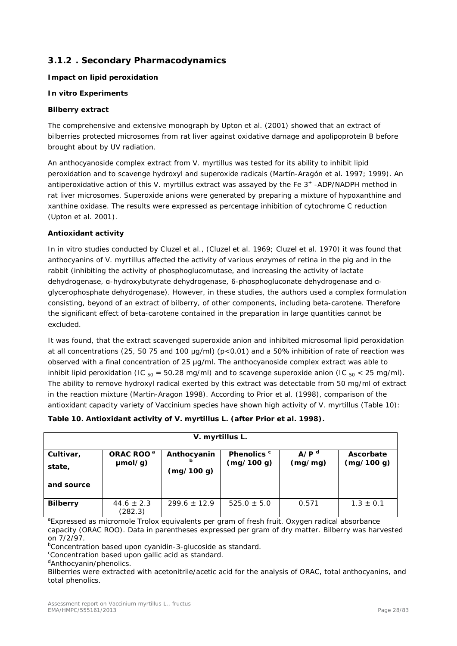## <span id="page-27-0"></span>**3.1.2 . Secondary Pharmacodynamics**

#### **Impact on lipid peroxidation**

#### *In vitro* **Experiments**

#### **Bilberry extract**

The comprehensive and extensive monograph by Upton *et al.* (2001) showed that an extract of bilberries protected microsomes from rat liver against oxidative damage and apolipoprotein B before brought about by UV radiation.

An anthocyanoside complex extract from *V. myrtillus* was tested for its ability to inhibit lipid peroxidation and to scavenge hydroxyl and superoxide radicals (Martín-Aragón *et al.* 1997; 1999). An antiperoxidative action of this *V. myrtillus* extract was assayed by the Fe 3<sup>+</sup> -ADP/NADPH method in rat liver microsomes. Superoxide anions were generated by preparing a mixture of hypoxanthine and xanthine oxidase. The results were expressed as percentage inhibition of cytochrome C reduction (Upton *et al.* 2001).

## **Antioxidant activity**

In *in vitro* studies conducted by Cluzel *et al.*, (Cluzel *et al.* 1969; Cluzel *et al.* 1970) it was found that anthocyanins of *V. myrtillus* affected the activity of various enzymes of retina in the pig and in the rabbit (inhibiting the activity of phosphoglucomutase, and increasing the activity of lactate dehydrogenase, α-hydroxybutyrate dehydrogenase, 6-phosphogluconate dehydrogenase and αglycerophosphate dehydrogenase). However, in these studies, the authors used a complex formulation consisting, beyond of an extract of bilberry, of other components, including beta-carotene. Therefore the significant effect of beta-carotene contained in the preparation in large quantities cannot be excluded.

It was found, that the extract scavenged superoxide anion and inhibited microsomal lipid peroxidation at all concentrations (25, 50 75 and 100 μg/ml) (p<0.01) and a 50% inhibition of rate of reaction was observed with a final concentration of 25 μg/ml. The anthocyanoside complex extract was able to inhibit lipid peroxidation (IC  $_{50}$  = 50.28 mg/ml) and to scavenge superoxide anion (IC  $_{50}$  < 25 mg/ml). The ability to remove hydroxyl radical exerted by this extract was detectable from 50 mg/ml of extract in the reaction mixture (Martin-Aragon 1998). According to Prior *et al.* (1998), comparison of the antioxidant capacity variety of *Vaccinium* species have shown high activity of *V. myrtillus* (Table 10):

| V. myrtillus L.     |                                  |                           |                           |                             |                         |
|---------------------|----------------------------------|---------------------------|---------------------------|-----------------------------|-------------------------|
| Cultivar,<br>state, | ORAC ROO <sup>a</sup><br>µmol/g) | Anthocyanin<br>(mg/100 g) | Phenolics c<br>(mg/100 g) | A/P <sup>d</sup><br>(mg/mg) | Ascorbate<br>(mg/100 g) |
| and source          |                                  |                           |                           |                             |                         |
| <b>Bilberry</b>     | $44.6 \pm 2.3$<br>(282.3)        | $299.6 \pm 12.9$          | $525.0 \pm 5.0$           | 0.571                       | $1.3 \pm 0.1$           |

## **Table 10. Antioxidant activity of** *V. myrtillus* **L. (after Prior** *et al***. 1998).**

<sup>a</sup>Expressed as micromole Trolox equivalents per gram of fresh fruit. Oxygen radical absorbance capacity (ORAC ROO). Data in parentheses expressed per gram of dry matter. Bilberry was harvested on 7/2/97.

<sup>b</sup>Concentration based upon cyanidin-3-glucoside as standard.

<sup>c</sup>Concentration based upon gallic acid as standard.

<sup>d</sup>Anthocyanin/phenolics.

Bilberries were extracted with acetonitrile/acetic acid for the analysis of ORAC, total anthocyanins, and total phenolics.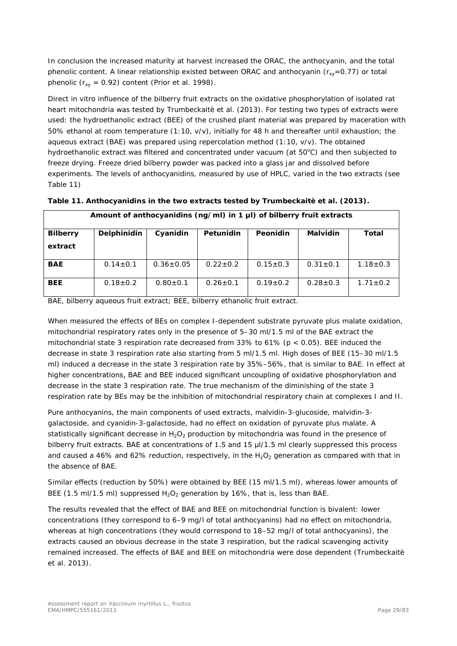In conclusion the increased maturity at harvest increased the ORAC, the anthocyanin, and the total phenolic content. A linear relationship existed between ORAC and anthocyanin ( $r_{xy}=0.77$ ) or total phenolic ( $r_{xy}$  = 0.92) content (Prior *et al.* 1998).

Direct *in vitro* influence of the bilberry fruit extracts on the oxidative phosphorylation of isolated rat heart mitochondria was tested by Trumbeckaitè *et al.* (2013). For testing two types of extracts were used: the hydroethanolic extract (BEE) of the crushed plant material was prepared by maceration with 50% ethanol at room temperature (1:10, v/v), initially for 48 h and thereafter until exhaustion; the aqueous extract (BAE) was prepared using repercolation method (1:10, v/v). The obtained hydroethanolic extract was filtered and concentrated under vacuum (at 50°C) and then subjected to freeze drying. Freeze dried bilberry powder was packed into a glass jar and dissolved before experiments. The levels of anthocyanidins, measured by use of HPLC, varied in the two extracts (see Table 11)

| Amount of anthocyanidins ( $ng/ml$ ) in 1 $\mu$ I) of bilberry fruit extracts |                |                 |                |                |                 |                |
|-------------------------------------------------------------------------------|----------------|-----------------|----------------|----------------|-----------------|----------------|
| <b>Bilberry</b>                                                               | Delphinidin    | Cyanidin        | Petunidin      | Peonidin       | <b>Malvidin</b> | Total          |
| extract                                                                       |                |                 |                |                |                 |                |
| <b>BAE</b>                                                                    | $0.14 \pm 0.1$ | $0.36 \pm 0.05$ | $0.22 \pm 0.2$ | $0.15 \pm 0.3$ | $0.31 \pm 0.1$  | $1.18 \pm 0.3$ |
| <b>BEE</b>                                                                    | $0.18 \pm 0.2$ | $0.80 \pm 0.1$  | $0.26 \pm 0.1$ | $0.19 \pm 0.2$ | $0.28 \pm 0.3$  | $1.71 \pm 0.2$ |

**Table 11. Anthocyanidins in the two extracts tested by Trumbeckaitè** *et al.* **(2013).**

BAE, bilberry aqueous fruit extract; BEE, bilberry ethanolic fruit extract.

When measured the effects of BEs on complex I-dependent substrate pyruvate plus malate oxidation, mitochondrial respiratory rates only in the presence of 5–30 ml/1.5 ml of the BAE extract the mitochondrial state 3 respiration rate decreased from 33% to 61% ( $p < 0.05$ ). BEE induced the decrease in state 3 respiration rate also starting from 5 ml/1.5 ml. High doses of BEE (15–30 ml/1.5 ml) induced a decrease in the state 3 respiration rate by 35%–56%, that is similar to BAE. In effect at higher concentrations, BAE and BEE induced significant uncoupling of oxidative phosphorylation and decrease in the state 3 respiration rate. The true mechanism of the diminishing of the state 3 respiration rate by BEs may be the inhibition of mitochondrial respiratory chain at complexes I and II.

Pure anthocyanins, the main components of used extracts, malvidin-3-glucoside, malvidin-3 galactoside, and cyanidin-3-galactoside, had no effect on oxidation of pyruvate plus malate. A statistically significant decrease in  $H_2O_2$  production by mitochondria was found in the presence of bilberry fruit extracts. BAE at concentrations of 1.5 and 15  $\mu$ I/1.5 ml clearly suppressed this process and caused a 46% and 62% reduction, respectively, in the  $H_2O_2$  generation as compared with that in the absence of BAE.

Similar effects (reduction by 50%) were obtained by BEE (15 ml/1.5 ml), whereas lower amounts of BEE (1.5 ml/1.5 ml) suppressed  $H_2O_2$  generation by 16%, that is, less than BAE.

The results revealed that the effect of BAE and BEE on mitochondrial function is bivalent: lower concentrations (they correspond to 6–9 mg/l of total anthocyanins) had no effect on mitochondria, whereas at high concentrations (they would correspond to 18–52 mg/l of total anthocyanins), the extracts caused an obvious decrease in the state 3 respiration, but the radical scavenging activity remained increased. The effects of BAE and BEE on mitochondria were dose dependent (Trumbeckaitè *et al.* 2013).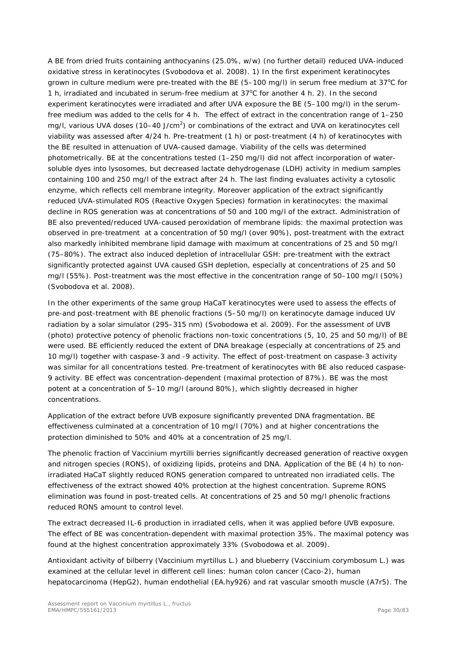A BE from dried fruits containing anthocyanins (25.0%, w/w) (no further detail) reduced UVA-induced oxidative stress in keratinocytes (Svobodova *et al.* 2008). 1) In the first experiment keratinocytes grown in culture medium were pre-treated with the BE  $(5-100 \text{ mg/l})$  in serum free medium at 37°C for 1 h, irradiated and incubated in serum-free medium at  $37^{\circ}$ C for another 4 h. 2). In the second experiment keratinocytes were irradiated and after UVA exposure the BE (5–100 mg/l) in the serumfree medium was added to the cells for 4 h. The effect of extract in the concentration range of 1–250 mg/l, various UVA doses (10–40 J/cm<sup>2</sup>) or combinations of the extract and UVA on keratinocytes cell viability was assessed after 4/24 h. Pre-treatment (1 h) or post-treatment (4 h) of keratinocytes with the BE resulted in attenuation of UVA-caused damage. Viability of the cells was determined photometrically. BE at the concentrations tested (1–250 mg/l) did not affect incorporation of watersoluble dyes into lysosomes, but decreased lactate dehydrogenase (LDH) activity in medium samples containing 100 and 250 mg/l of the extract after 24 h. The last finding evaluates activity a cytosolic enzyme, which reflects cell membrane integrity. Moreover application of the extract significantly reduced UVA-stimulated ROS (*Reactive Oxygen Species*) formation in keratinocytes: the maximal decline in ROS generation was at concentrations of 50 and 100 mg/l of the extract. Administration of BE also prevented/reduced UVA-caused peroxidation of membrane lipids: the maximal protection was observed in pre-treatment at a concentration of 50 mg/l (over 90%), post-treatment with the extract also markedly inhibited membrane lipid damage with maximum at concentrations of 25 and 50 mg/l (75–80%). The extract also induced depletion of intracellular GSH: pre-treatment with the extract significantly protected against UVA caused GSH depletion, especially at concentrations of 25 and 50 mg/l (55%). Post-treatment was the most effective in the concentration range of 50–100 mg/l (50%) (Svobodova *et al.* 2008).

In the other experiments of the same group HaCaT keratinocytes were used to assess the effects of pre-and post-treatment with BE phenolic fractions (5–50 mg/l) on keratinocyte damage induced UV radiation by a solar simulator (295–315 nm) (Svobodowa *et al.* 2009). For the assessment of UVB (photo) protective potency of phenolic fractions non-toxic concentrations (5, 10, 25 and 50 mg/l) of BE were used. BE efficiently reduced the extent of DNA breakage (especially at concentrations of 25 and 10 mg/l) together with caspase-3 and -9 activity. The effect of post-treatment on caspase-3 activity was similar for all concentrations tested. Pre-treatment of keratinocytes with BE also reduced caspase-9 activity. BE effect was concentration-dependent (maximal protection of 87%). BE was the most potent at a concentration of 5–10 mg/l (around 80%), which slightly decreased in higher concentrations.

Application of the extract before UVB exposure significantly prevented DNA fragmentation. BE effectiveness culminated at a concentration of 10 mg/l (70%) and at higher concentrations the protection diminished to 50% and 40% at a concentration of 25 mg/l.

The phenolic fraction of *Vaccinium myrtilli* berries significantly decreased generation of reactive oxygen and nitrogen species (RONS), of oxidizing lipids, proteins and DNA. Application of the BE (4 h) to nonirradiated HaCaT slightly reduced RONS generation compared to untreated non irradiated cells. The effectiveness of the extract showed 40% protection at the highest concentration. Supreme RONS elimination was found in post-treated cells. At concentrations of 25 and 50 mg/l phenolic fractions reduced RONS amount to control level.

The extract decreased IL-6 production in irradiated cells, when it was applied before UVB exposure. The effect of BE was concentration-dependent with maximal protection 35%. The maximal potency was found at the highest concentration approximately 33% (Svobodowa *et al.* 2009).

Antioxidant activity of bilberry (*Vaccinium myrtillus* L.) and blueberry (*Vaccinium corymbosum* L.) was examined at the cellular level in different cell lines: human colon cancer (Caco-2), human hepatocarcinoma (HepG2), human endothelial (EA.hy926) and rat vascular smooth muscle (A7r5). The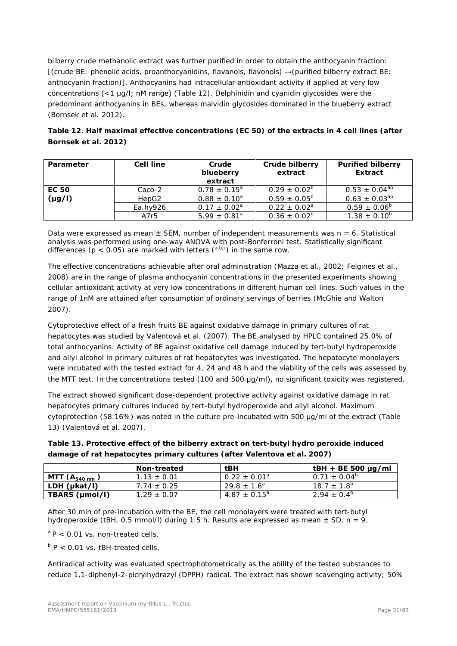bilberry crude methanolic extract was further purified in order to obtain the anthocyanin fraction: [(crude BE: phenolic acids, proanthocyanidins, flavanols, flavonols) →(purified bilberry extract BE: anthocyanin fraction)]. Anthocyanins had intracellular antioxidant activity if applied at very low concentrations (<1 μg/l; nM range) (Table 12). Delphinidin and cyanidin glycosides were the predominant anthocyanins in BEs, whereas malvidin glycosides dominated in the blueberry extract (Bornsek *et al.* 2012).

# **Table 12. Half maximal effective concentrations (EC 50) of the extracts in 4 cell lines (after Bornsek** *et al.* **2012)**

| Parameter    | <b>Cell line</b>  | Crude<br>blueberry<br>extract | Crude bilberry<br>extract | <b>Purified bilberry</b><br>Extract |
|--------------|-------------------|-------------------------------|---------------------------|-------------------------------------|
| <b>EC 50</b> | Caco-2            | $0.78 \pm 0.15^{\circ}$       | $0.29 \pm 0.02^b$         | $0.53 \pm 0.04^{ab}$                |
| $(\mu g/I)$  | HepG <sub>2</sub> | $0.88 \pm 0.10^a$             | $0.59 \pm 0.05^{\circ}$   | $0.63 \pm 0.03^{ab}$                |
|              | $Ea.$ hv $926$    | $0.17 \pm 0.02^a$             | $0.22 \pm 0.02^{\circ}$   | $0.59 \pm 0.06^{\circ}$             |
|              | A7r5              | $5.99 \pm 0.81$ <sup>a</sup>  | $0.36 \pm 0.02^{\circ}$   | $1.38 \pm 0.10^6$                   |

Data were expressed as mean  $\pm$  SEM, number of independent measurements was n = 6. Statistical analysis was performed using one-way ANOVA with post-Bonferroni test. Statistically significant differences ( $p < 0.05$ ) are marked with letters ( $a,b,c$ ) in the same row.

The effective concentrations achievable after oral administration (Mazza *et al.*, 2002; Felgines *et al.*, 2008) are in the range of plasma anthocyanin concentrations in the presented experiments showing cellular antioxidant activity at very low concentrations in different human cell lines. Such values in the range of 1nM are attained after consumption of ordinary servings of berries (McGhie and Walton 2007).

Cytoprotective effect of a fresh fruits BE against oxidative damage in primary cultures of rat hepatocytes was studied by Valentová *et al.* (2007). The BE analysed by HPLC contained 25.0% of total anthocyanins. Activity of BE against oxidative cell damage induced by tert-butyl hydroperoxide and allyl alcohol in primary cultures of rat hepatocytes was investigated. The hepatocyte monolayers were incubated with the tested extract for 4, 24 and 48 h and the viability of the cells was assessed by the MTT test. In the concentrations tested (100 and 500 μg/ml), no significant toxicity was registered.

The extract showed significant dose-dependent protective activity against oxidative damage in rat hepatocytes primary cultures induced by tert-butyl hydroperoxide and allyl alcohol. Maximum cytoprotection (58.16%) was noted in the culture pre-incubated with 500 μg/ml of the extract (Table 13) (Valentová *et al.* 2007).

| Table 13. Protective effect of the bilberry extract on tert-butyl hydro peroxide induced |
|------------------------------------------------------------------------------------------|
| damage of rat hepatocytes primary cultures (after Valentova et al. 2007)                 |

|                            | <b>Non-treated</b> | $t$ BH                  | $t$ BH + BE 500 µg/ml   |
|----------------------------|--------------------|-------------------------|-------------------------|
| MTT $(A_{540 \text{ nm}})$ | $1.13 \pm 0.01$    | $0.22 \pm 0.01^a$       | $0.71 \pm 0.04^{\circ}$ |
| LDH (ukat/l)               | $7.74 \pm 0.25$    | $29.8 \pm 1.6^a$        | $18.7 \pm 1.8^{\circ}$  |
| TBARS (µmol/l)             | $1.29 \pm 0.07$    | $4.87 \pm 0.15^{\circ}$ | $2.94 \pm 0.4^{\circ}$  |

After 30 min of pre-incubation with the BE, the cell monolayers were treated with tert-butyl hydroperoxide (tBH, 0.5 mmol/l) during 1.5 h. Results are expressed as mean  $\pm$  SD, n = 9.

 $a$  P < 0.01 vs. non-treated cells.

 $b$  P < 0.01 vs. tBH-treated cells.

Antiradical activity was evaluated spectrophotometrically as the ability of the tested substances to reduce 1,1-diphenyl-2-picrylhydrazyl (DPPH) radical. The extract has shown scavenging activity; 50%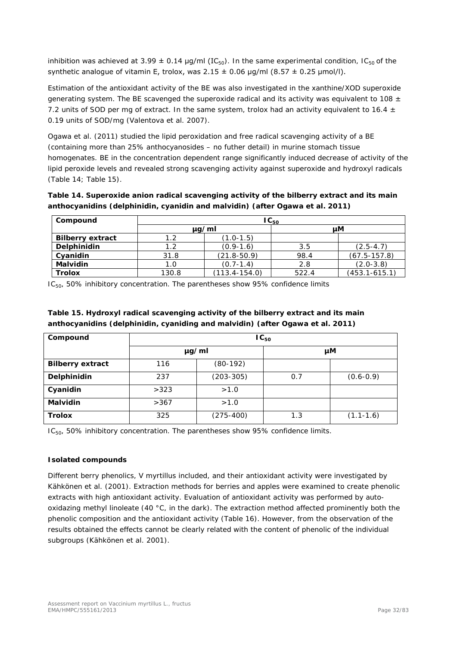inhibition was achieved at 3.99  $\pm$  0.14 µg/ml (IC<sub>50</sub>). In the same experimental condition, IC<sub>50</sub> of the synthetic analogue of vitamin E, trolox, was  $2.15 \pm 0.06$  µg/ml (8.57  $\pm$  0.25 µmol/l).

Estimation of the antioxidant activity of the BE was also investigated in the xanthine/XOD superoxide generating system. The BE scavenged the superoxide radical and its activity was equivalent to 108  $\pm$ 7.2 units of SOD per mg of extract. In the same system, trolox had an activity equivalent to 16.4  $\pm$ 0.19 units of SOD/mg (Valentova *et al*. 2007).

Ogawa *et al.* (2011) studied the lipid peroxidation and free radical scavenging activity of a BE (containing more than 25% anthocyanosides – no futher detail) in murine stomach tissue homogenates. BE in the concentration dependent range significantly induced decrease of activity of the lipid peroxide levels and revealed strong scavenging activity against superoxide and hydroxyl radicals (Table 14; Table 15).

**Table 14. Superoxide anion radical scavenging activity of the bilberry extract and its main anthocyanidins (delphinidin, cyanidin and malvidin) (after Ogawa** *et al.* **2011)**

| Compound                | $IC_{50}$  |                 |       |                   |  |
|-------------------------|------------|-----------------|-------|-------------------|--|
|                         | $\mu q/ml$ |                 |       | uМ                |  |
| <b>Bilberry extract</b> | 1.2        | $(1.0 - 1.5)$   |       |                   |  |
| <b>Delphinidin</b>      | 1.2        | $(0.9-1.6)$     | 3.5   | $(2.5 - 4.7)$     |  |
| Cyanidin                | 31.8       | $(21.8 - 50.9)$ | 98.4  | $(67.5 - 157.8)$  |  |
| <b>Malvidin</b>         | 1.0        | $(0.7 - 1.4)$   | 2.8   | $(2.0-3.8)$       |  |
| <b>Trolox</b>           | 130.8      | (113.4-154.0)   | 522.4 | $(453.1 - 615.1)$ |  |

IC50, 50% inhibitory concentration. The parentheses show 95% confidence limits

| Compound                | $IC_{50}$ |               |     |               |  |
|-------------------------|-----------|---------------|-----|---------------|--|
|                         | µg/ml     |               |     | μM            |  |
| <b>Bilberry extract</b> | 116       | $(80-192)$    |     |               |  |
| Delphinidin             | 237       | $(203 - 305)$ | 0.7 | $(0.6 - 0.9)$ |  |
| Cyanidin                | >323      | >1.0          |     |               |  |
| Malvidin                | >367      | >1.0          |     |               |  |
| <b>Trolox</b>           | 325       | $(275-400)$   | 1.3 | $(1.1 - 1.6)$ |  |

**Table 15. Hydroxyl radical scavenging activity of the bilberry extract and its main anthocyanidins (delphinidin, cyaniding and malvidin) (after Ogawa** *et al***. 2011)** 

IC<sub>50</sub>, 50% inhibitory concentration. The parentheses show 95% confidence limits.

## **Isolated compounds**

Different berry phenolics, *V myrtillus* included, and their antioxidant activity were investigated by Kähkönen *et al.* (2001). Extraction methods for berries and apples were examined to create phenolic extracts with high antioxidant activity. Evaluation of antioxidant activity was performed by autooxidazing methyl linoleate (40 °C, in the dark). The extraction method affected prominently both the phenolic composition and the antioxidant activity (Table 16). However, from the observation of the results obtained the effects cannot be clearly related with the content of phenolic of the individual subgroups (Kähkönen *et al.* 2001).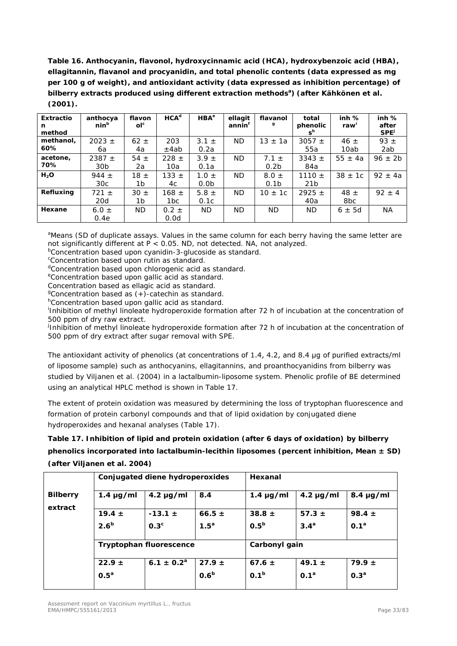**Table 16. Anthocyanin, flavonol, hydroxycinnamic acid (HCA), hydroxybenzoic acid (HBA), ellagitannin, flavanol and procyanidin, and total phenolic contents (data expressed as mg per 100 g of weight), and antioxidant activity (data expressed as inhibition percentage) of**  bilberry extracts produced using different extraction methods<sup>a</sup>) (after Kähkönen et al. **(2001).**

| <b>Extractio</b><br>n | anthocya<br>nin <sup>b</sup> | flavon<br>ol <sup>c</sup> | HCA <sup>d</sup> | HBA <sup>e</sup> | ellagit<br>annin <sup>t</sup> | flavanol<br>g    | total<br>phenolic | inh%<br>raw' | inh%<br>after    |
|-----------------------|------------------------------|---------------------------|------------------|------------------|-------------------------------|------------------|-------------------|--------------|------------------|
| method                |                              |                           |                  |                  |                               |                  | s <sup>n</sup>    |              | SPE <sup>J</sup> |
| methanol,             | $2023 +$                     | $62 \pm$                  | 203              | $3.1 \pm$        | <b>ND</b>                     | $13 \pm 1a$      | $3057 \pm$        | $46 \pm$     | 93 $\pm$         |
| 60%                   | 6а                           | 4a                        | ±4ab             | 0.2a             |                               |                  | 55а               | 10ab         | 2ab              |
| acetone,              | $2387 +$                     | 54 $\pm$                  | $228 \pm$        | $3.9 \pm$        | <b>ND</b>                     | $7.1 \pm$        | $3343 +$          | $55 \pm 4a$  | $96 \pm 2b$      |
| 70%                   | 30 <sub>b</sub>              | 2a                        | 10a              | 0.1a             |                               | 0.2 <sub>b</sub> | 84a               |              |                  |
| H <sub>2</sub> O      | 944 $\pm$                    | $18 \pm$                  | 133 $\pm$        | $1.0 \pm$        | <b>ND</b>                     | $8.0 \pm$        | 1110 $\pm$        | $38 \pm 10$  | $92 \pm 4a$      |
|                       | 30c                          | 1b                        | 4c               | 0.0 <sub>b</sub> |                               | 0.1 <sub>b</sub> | 21 <sub>b</sub>   |              |                  |
| Refluxing             | $721 \pm$                    | $30 \pm$                  | 168 $\pm$        | 5.8 $\pm$        | <b>ND</b>                     | $10 \pm 1c$      | $2925 \pm$        | $48 \pm$     | $92 \pm 4$       |
|                       | 20d                          | 1b                        | 1 <sub>bc</sub>  | 0.1c             |                               |                  | 40a               | 8bc          |                  |
| Hexane                | 6.0 $\pm$                    | <b>ND</b>                 | $0.2 \pm$        | <b>ND</b>        | <b>ND</b>                     | ND.              | <b>ND</b>         | $6 \pm 5d$   | <b>NA</b>        |
|                       | 0.4e                         |                           | 0.0d             |                  |                               |                  |                   |              |                  |

<sup>a</sup>Means (SD of duplicate assays. Values in the same column for each berry having the same letter are not significantly different at  $\overline{P}$  < 0.05. ND, not detected. NA, not analyzed.

<sup>b</sup>Concentration based upon cyanidin-3-glucoside as standard.

<sup>c</sup>Concentration based upon rutin as standard.

<sup>d</sup>Concentration based upon chlorogenic acid as standard.

eConcentration based upon gallic acid as standard.

Concentration based as ellagic acid as standard.

<sup>g</sup>Concentration based as (+)-catechin as standard.

<sup>h</sup>Concentration based upon gallic acid as standard.

i Inhibition of methyl linoleate hydroperoxide formation after 72 h of incubation at the concentration of 500 ppm of dry raw extract.

j Inhibition of methyl linoleate hydroperoxide formation after 72 h of incubation at the concentration of 500 ppm of dry extract after sugar removal with SPE.

The antioxidant activity of phenolics (at concentrations of 1.4, 4.2, and 8.4 μg of purified extracts/ml of liposome sample) such as anthocyanins, ellagitannins, and proanthocyanidins from bilberry was studied by Viljanen *et al.* (2004) in a lactalbumin-liposome system. Phenolic profile of BE determined using an analytical HPLC method is shown in Table 17.

The extent of protein oxidation was measured by determining the loss of tryptophan fluorescence and formation of protein carbonyl compounds and that of lipid oxidation by conjugated diene hydroperoxides and hexanal analyses (Table 17).

**Table 17. Inhibition of lipid and protein oxidation (after 6 days of oxidation) by bilberry phenolics incorporated into lactalbumin-lecithin liposomes (percent inhibition, Mean ± SD) (after Viljanen** *et al.* **2004)**

|                 | Conjugated diene hydroperoxides |                  |                  | Hexanal          |                  |                  |  |
|-----------------|---------------------------------|------------------|------------------|------------------|------------------|------------------|--|
| <b>Bilberry</b> | 1.4 $\mu$ g/ml                  | $4.2 \mu g/ml$   | 8.4              | $1.4 \mu g/ml$   | $4.2 \mu g/ml$   | $8.4 \mu g/ml$   |  |
| extract         | 19.4 $\pm$                      | $-13.1 \pm$      | 66.5 $\pm$       | $38.8 \pm$       | 57.3 $\pm$       | 98.4 $\pm$       |  |
|                 | 2.6 <sup>b</sup>                | 0.3 <sup>c</sup> | 1.5 <sup>a</sup> | 0.5 <sup>b</sup> | 3.4 <sup>a</sup> | 0.1 <sup>a</sup> |  |
|                 | <b>Tryptophan fluorescence</b>  |                  |                  | Carbonyl gain    |                  |                  |  |
|                 | $22.9 \pm$                      | $6.1 \pm 0.2^a$  | $27.9 \pm$       | $67.6 \pm$       | 49.1 $\pm$       | $79.9 \pm$       |  |
|                 | 0.5 <sup>a</sup>                |                  | 0.6 <sup>b</sup> | 0.1 <sup>b</sup> | 0.1 <sup>a</sup> | 0.3 <sup>a</sup> |  |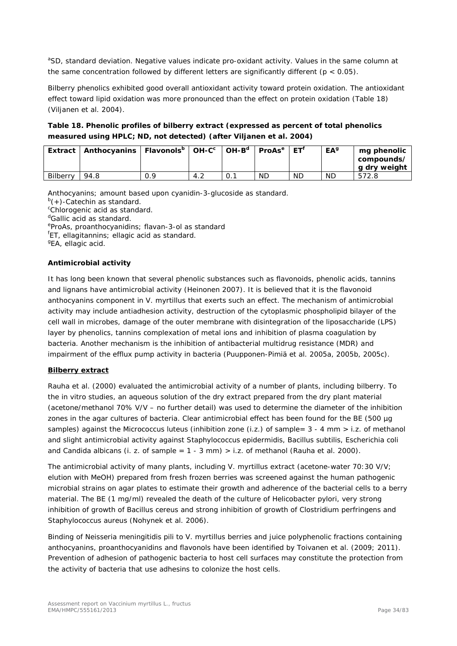<sup>a</sup>SD, standard deviation. Negative values indicate pro-oxidant activity. Values in the same column at the same concentration followed by different letters are significantly different ( $p < 0.05$ ).

Bilberry phenolics exhibited good overall antioxidant activity toward protein oxidation. The antioxidant effect toward lipid oxidation was more pronounced than the effect on protein oxidation (Table 18) (Viljanen *et al.* 2004).

## **Table 18. Phenolic profiles of bilberry extract (expressed as percent of total phenolics measured using HPLC; ND, not detected) (after Viljanen** *et al.* **2004)**

|                 | Extract   Anthocyanins   Flavonols <sup>b</sup>   OH-C <sup>c</sup> |     |     | $OH-Bd$ | $ $ ProAs <sup>e</sup> $ $ ET <sup>f</sup> |           | <b>EA</b> <sup>9</sup> | mg phenolic<br>compounds/<br>g dry weight |
|-----------------|---------------------------------------------------------------------|-----|-----|---------|--------------------------------------------|-----------|------------------------|-------------------------------------------|
| <b>Bilberry</b> | 94.8                                                                | ם ר | 4.2 |         | <b>ND</b>                                  | <b>ND</b> | ND                     | 572.8                                     |

Anthocyanins; amount based upon cyanidin-3-glucoside as standard.

<sup>b</sup>(+)-Catechin as standard.

<sup>c</sup>Chlorogenic acid as standard.

<sup>d</sup>Gallic acid as standard.

eproAs, proanthocyanidins; flavan-3-ol as standard<br><sup>f</sup>ET, ellagitannins: ellagic acid as standard

ET, ellagitannins; ellagic acid as standard.

<sup>g</sup>EA, ellagic acid.

#### **Antimicrobial activity**

It has long been known that several phenolic substances such as flavonoids, phenolic acids, tannins and lignans have antimicrobial activity (Heinonen 2007). It is believed that it is the flavonoid anthocyanins component in *V. myrtillus* that exerts such an effect. The mechanism of antimicrobial activity may include antiadhesion activity, destruction of the cytoplasmic phospholipid bilayer of the cell wall in microbes, damage of the outer membrane with disintegration of the liposaccharide (LPS) layer by phenolics, tannins complexation of metal ions and inhibition of plasma coagulation by bacteria. Another mechanism is the inhibition of antibacterial multidrug resistance (MDR) and impairment of the efflux pump activity in bacteria (Puupponen-Pimiä *et al.* 2005a, 2005b, 2005c).

#### **Bilberry extract**

Rauha *et al.* (2000) evaluated the antimicrobial activity of a number of plants, including bilberry. To the *in vitro* studies, an aqueous solution of the dry extract prepared from the dry plant material (acetone/methanol 70% V/V – no further detail) was used to determine the diameter of the inhibition zones in the agar cultures of bacteria. Clear antimicrobial effect has been found for the BE (500 µg samples) against the *Micrococcus luteus* (inhibition zone (i.z.) of sample= 3 - 4 mm > i.z. of methanol and slight antimicrobial activity against *Staphylococcus epidermidis*, *Bacillus subtilis*, *Escherichia coli* and *Candida albicans* (i. z. of sample = 1 - 3 mm) > i.z. of methanol (Rauha *et al.* 2000).

The antimicrobial activity of many plants, including *V. myrtillus* extract (acetone-water 70:30 V/V; elution with MeOH) prepared from fresh frozen berries was screened against the human pathogenic microbial strains on agar plates to estimate their growth and adherence of the bacterial cells to a berry material. The BE (1 mg/ml) revealed the death of the culture of *Helicobacter pylori*, very strong inhibition of growth of *Bacillus cereus* and strong inhibition of growth of *Clostridium perfringens* and *Staphylococcus aureus* (Nohynek *et al.* 2006).

Binding of *Neisseria meningitidis* pili to *V. myrtillus* berries and juice polyphenolic fractions containing anthocyanins, proanthocyanidins and flavonols have been identified by Toivanen *et al.* (2009; 2011). Prevention of adhesion of pathogenic bacteria to host cell surfaces may constitute the protection from the activity of bacteria that use adhesins to colonize the host cells.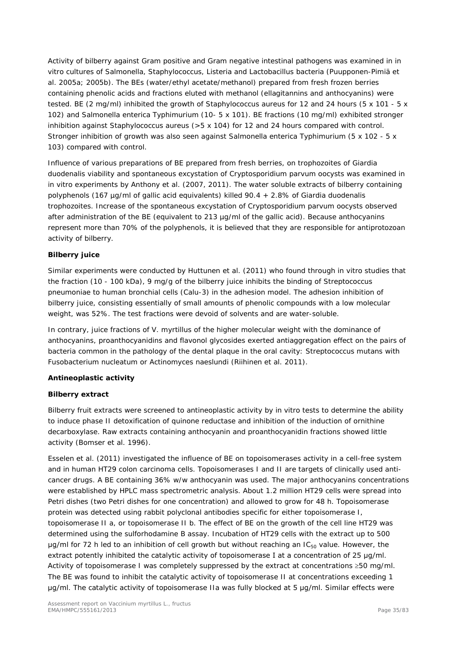Activity of bilberry against Gram positive and Gram negative intestinal pathogens was examined in *in vitro* cultures of *Salmonella*, *Staphylococcus*, *Listeria* and *Lactobacillus* bacteria (Puupponen-Pimiä *et al.* 2005a; 2005b). The BEs (water/ethyl acetate/methanol) prepared from fresh frozen berries containing phenolic acids and fractions eluted with methanol (ellagitannins and anthocyanins) were tested. BE (2 mg/ml) inhibited the growth of *Staphylococcus aureus* for 12 and 24 hours (5 x 101 - 5 x 102) and *Salmonella enterica Typhimurium* (10- 5 x 101). BE fractions (10 mg/ml) exhibited stronger inhibition against *Staphylococcus aureus* (>5 x 104) for 12 and 24 hours compared with control. Stronger inhibition of growth was also seen against *Salmonella enterica Typhimurium* (5 x 102 - 5 x 103) compared with control.

Influence of various preparations of BE prepared from fresh berries, on trophozoites of *Giardia duodenalis* viability and spontaneous excystation of *Cryptosporidium parvum oocysts* was examined in *in vitro* experiments by Anthony *et al.* (2007, 2011). The water soluble extracts of bilberry containing polyphenols (167 µg/ml of gallic acid equivalents) killed 90.4 + 2.8% of *Giardia duodenalis trophozoites*. Increase of the spontaneous excystation of *Cryptosporidium parvum oocysts* observed after administration of the BE (equivalent to 213 µg/ml of the gallic acid). Because anthocyanins represent more than 70% of the polyphenols, it is believed that they are responsible for antiprotozoan activity of bilberry.

## **Bilberry juice**

Similar experiments were conducted by Huttunen *et al.* (2011) who found through *in vitro* studies that the fraction (10 - 100 kDa), 9 mg/g of the bilberry juice inhibits the binding of *Streptococcus pneumoniae* to human bronchial cells (Calu-3) in the adhesion model. The adhesion inhibition of bilberry juice, consisting essentially of small amounts of phenolic compounds with a low molecular weight, was 52%. The test fractions were devoid of solvents and are water-soluble.

In contrary, juice fractions of *V. myrtillus* of the higher molecular weight with the dominance of anthocyanins, proanthocyanidins and flavonol glycosides exerted antiaggregation effect on the pairs of bacteria common in the pathology of the dental plaque in the oral cavity: *Streptococcus mutans* with *Fusobacterium nucleatum* or *Actinomyces naeslundi* (Riihinen *et al.* 2011).

## **Antineoplastic activity**

## **Bilberry extract**

Bilberry fruit extracts were screened to antineoplastic activity by *in vitro* tests to determine the ability to induce phase II detoxification of quinone reductase and inhibition of the induction of ornithine decarboxylase. Raw extracts containing anthocyanin and proanthocyanidin fractions showed little activity (Bomser *et al.* 1996).

Esselen *et al.* (2011) investigated the influence of BE on topoisomerases activity in a cell-free system and in human HT29 colon carcinoma cells. Topoisomerases I and II are targets of clinically used anticancer drugs. A BE containing 36% w/w anthocyanin was used. The major anthocyanins concentrations were established by HPLC mass spectrometric analysis. About 1.2 million HT29 cells were spread into Petri dishes (two Petri dishes for one concentration) and allowed to grow for 48 h. Topoisomerase protein was detected using rabbit polyclonal antibodies specific for either topoisomerase I, topoisomerase II a, or topoisomerase II b. The effect of BE on the growth of the cell line HT29 was determined using the sulforhodamine B assay. Incubation of HT29 cells with the extract up to 500  $\mu$ g/ml for 72 h led to an inhibition of cell growth but without reaching an IC<sub>50</sub> value. However, the extract potently inhibited the catalytic activity of topoisomerase I at a concentration of 25 μg/ml. Activity of topoisomerase I was completely suppressed by the extract at concentrations ≥50 mg/ml. The BE was found to inhibit the catalytic activity of topoisomerase II at concentrations exceeding 1 μg/ml. The catalytic activity of topoisomerase IIa was fully blocked at 5 μg/ml. Similar effects were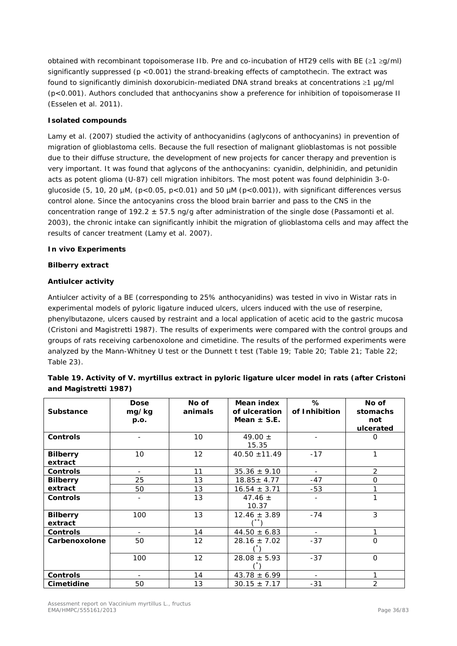obtained with recombinant topoisomerase IIb. Pre and co-incubation of HT29 cells with BE (≥1 ≥g/ml) significantly suppressed (p <0.001) the strand-breaking effects of camptothecin. The extract was found to significantly diminish doxorubicin-mediated DNA strand breaks at concentrations ≥1 μg/ml (p<0.001). Authors concluded that anthocyanins show a preference for inhibition of topoisomerase II (Esselen *et al.* 2011).

#### **Isolated compounds**

Lamy *et al.* (2007) studied the activity of anthocyanidins (aglycons of anthocyanins) in prevention of migration of glioblastoma cells. Because the full resection of malignant glioblastomas is not possible due to their diffuse structure, the development of new projects for cancer therapy and prevention is very important. It was found that aglycons of the anthocyanins: cyanidin, delphinidin, and petunidin acts as potent glioma (U-87) cell migration inhibitors. The most potent was found delphinidin 3-*0* glucoside (5, 10, 20  $\mu$ M, (p<0.05, p<0.01) and 50  $\mu$ M (p<0.001)), with significant differences versus control alone. Since the antocyanins cross the blood brain barrier and pass to the CNS in the concentration range of 192.2 ± 57.5 ng/g after administration of the single dose (Passamonti *et al.* 2003), the chronic intake can significantly inhibit the migration of glioblastoma cells and may affect the results of cancer treatment (Lamy *et al.* 2007).

#### *In vivo* **Experiments**

#### **Bilberry extract**

#### **Antiulcer activity**

Antiulcer activity of a BE (corresponding to 25% anthocyanidins) was tested *in vivo* in Wistar rats in experimental models of pyloric ligature induced ulcers, ulcers induced with the use of reserpine, phenylbutazone, ulcers caused by restraint and a local application of acetic acid to the gastric mucosa (Cristoni and Magistretti 1987). The results of experiments were compared with the control groups and groups of rats receiving carbenoxolone and cimetidine. The results of the performed experiments were analyzed by the Mann-Whitney U test or the Dunnett t test (Table 19; Table 20; Table 21; Table 22; Table 23).

| and Magistretti 1987)                                                                                     |  |  |
|-----------------------------------------------------------------------------------------------------------|--|--|
| Table 19. Activity of <i>V. myrtillus</i> extract in pyloric ligature ulcer model in rats (after Cristoni |  |  |

|                  | <b>Dose</b> | No of   | Mean index        | %              | No of          |
|------------------|-------------|---------|-------------------|----------------|----------------|
| <b>Substance</b> | mg/kg       | animals | of ulceration     | of Inhibition  | stomachs       |
|                  | p.o.        |         | Mean $\pm$ S.E.   |                | not            |
|                  |             |         |                   |                | ulcerated      |
| <b>Controls</b>  |             | 10      | 49.00 $\pm$       |                | 0              |
|                  |             |         | 15.35             |                |                |
| <b>Bilberry</b>  | 10          | 12      | $40.50 \pm 11.49$ | $-17$          | 1              |
| extract          |             |         |                   |                |                |
| <b>Controls</b>  |             | 11      | $35.36 \pm 9.10$  | $\blacksquare$ | $\overline{2}$ |
| <b>Bilberry</b>  | 25          | 13      | $18.85 \pm 4.77$  | $-47$          | $\mathbf{O}$   |
| extract          | 50          | 13      | $16.54 \pm 3.71$  | $-53$          | 1              |
| <b>Controls</b>  |             | 13      | 47.46 $\pm$       | $\blacksquare$ | 1              |
|                  |             |         | 10.37             |                |                |
| <b>Bilberry</b>  | 100         | 13      | $12.46 \pm 3.89$  | $-74$          | 3              |
| extract          |             |         |                   |                |                |
| <b>Controls</b>  |             | 14      | $44.50 \pm 6.83$  | $\sim$         | 1              |
| Carbenoxolone    | 50          | 12      | $28.16 \pm 7.02$  | $-37$          | $\Omega$       |
|                  |             |         |                   |                |                |
|                  | 100         | 12      | $28.08 \pm 5.93$  | $-37$          | $\mathbf{O}$   |
|                  |             |         |                   |                |                |
| <b>Controls</b>  |             | 14      | $43.78 \pm 6.99$  |                | 1              |
| Cimetidine       | 50          | 13      | $30.15 \pm 7.17$  | $-31$          | $\overline{2}$ |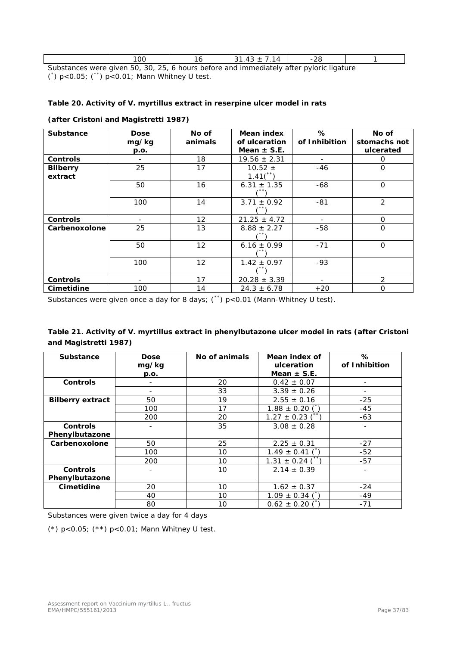| Cubeteness uses aluse EO, 30, 35, / hours before and immediately often pulsately and the |  |  |  |
|------------------------------------------------------------------------------------------|--|--|--|

Substances were given 50, 30, 25, 6 hours before and immediately after pyloric ligature (\* ) p<0.05; (\*\*) p<0.01; Mann Whitney U test.

#### **Table 20. Activity of** *V. myrtillus* **extract in reserpine ulcer model in rats**

| <b>Substance</b> | <b>Dose</b><br>mg/kg<br>p.o. | No of<br>animals | Mean index<br>of ulceration<br>Mean $\pm$ S.E. | %<br>of Inhibition | No of<br>stomachs not<br>ulcerated |
|------------------|------------------------------|------------------|------------------------------------------------|--------------------|------------------------------------|
| <b>Controls</b>  |                              | 18               | $19.56 \pm 2.31$                               |                    | 0                                  |
|                  |                              |                  |                                                |                    |                                    |
| <b>Bilberry</b>  | 25                           | 17               | $10.52 \pm$<br>1.41(                           | $-46$              | $\Omega$                           |
| extract          |                              |                  |                                                |                    |                                    |
|                  | 50                           | 16               | $6.31 \pm 1.35$                                | $-68$              | $\Omega$                           |
|                  |                              |                  |                                                |                    |                                    |
|                  | 100                          | 14               | $3.71 \pm 0.92$                                | $-81$              | 2                                  |
|                  |                              |                  |                                                |                    |                                    |
| <b>Controls</b>  |                              | 12               | $21.25 \pm 4.72$                               |                    | $\mathbf 0$                        |
| Carbenoxolone    | 25                           | 13               | $8.88 \pm 2.27$                                | -58                | $\mathbf{O}$                       |
|                  |                              |                  |                                                |                    |                                    |
|                  | 50                           | 12               | $6.16 \pm 0.99$                                | $-71$              | $\Omega$                           |
|                  |                              |                  |                                                |                    |                                    |
|                  | 100                          | 12               | $1.42 \pm 0.97$                                | $-93$              |                                    |
|                  |                              |                  |                                                |                    |                                    |
| <b>Controls</b>  |                              | 17               | $20.28 \pm 3.39$                               |                    | $\mathcal{P}$                      |
| Cimetidine       | 100                          | 14               | $24.3 \pm 6.78$                                | $+20$              | $\Omega$                           |

#### **(after Cristoni and Magistretti 1987)**

Substances were given once a day for 8 days; (\*\*) p<0.01 (Mann-Whitney U test).

| Table 21. Activity of V. myrtillus extract in phenylbutazone ulcer model in rats (after Cristoni |  |
|--------------------------------------------------------------------------------------------------|--|
| and Magistretti 1987)                                                                            |  |

| <b>Substance</b>        | <b>Dose</b>   | No of animals | Mean index of<br>ulceration | ℅<br>of Inhibition |
|-------------------------|---------------|---------------|-----------------------------|--------------------|
|                         | mg/kg<br>p.o. |               | Mean $\pm$ S.E.             |                    |
| <b>Controls</b>         |               | 20            | $0.42 \pm 0.07$             |                    |
|                         | ۰             | 33            | $3.39 \pm 0.26$             |                    |
| <b>Bilberry extract</b> | 50            | 19            | $2.55 \pm 0.16$             | $-25$              |
|                         | 100           | 17            | $1.88 \pm 0.20$             | $-45$              |
|                         | 200           | 20            | $1.27 \pm 0.23$             | $-63$              |
| <b>Controls</b>         |               | 35            | $3.08 \pm 0.28$             |                    |
| Phenylbutazone          |               |               |                             |                    |
| Carbenoxolone           | 50            | 25            | $2.25 \pm 0.31$             | $-27$              |
|                         | 100           | 10            | $1.49 \pm 0.41$             | $-52$              |
|                         | 200           | 10            | $1.31 \pm 0.24$             | $-57$              |
| <b>Controls</b>         |               | 10            | $2.14 \pm 0.39$             |                    |
| Phenylbutazone          |               |               |                             |                    |
| Cimetidine              | 20            | 10            | $1.62 \pm 0.37$             | $-24$              |
|                         | 40            | 10            | $1.09 \pm 0.34$             | -49                |
|                         | 80            | 10            | $0.62 \pm 0.20$             | $-71$              |

Substances were given twice a day for 4 days

(\*) p<0.05; (\*\*) p<0.01; Mann Whitney U test.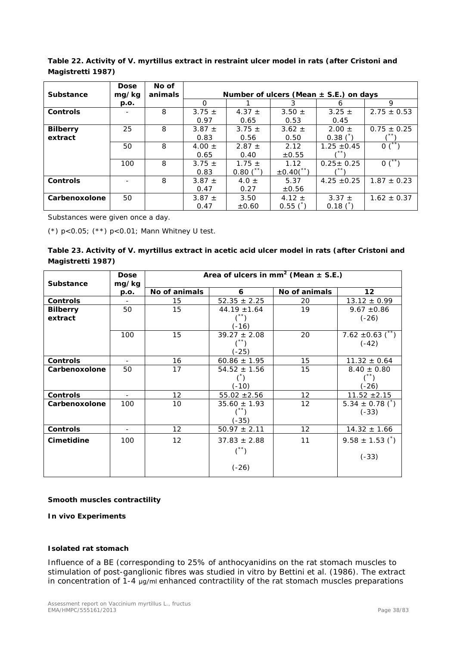**Table 22. Activity of** *V. myrtillus* **extract in restraint ulcer model in rats (after Cristoni and Magistretti 1987)**

| <b>Substance</b> | <b>Dose</b><br>mg/kg | No of<br>animals | Number of ulcers (Mean $\pm$ S.E.) on days |               |                   |                 |                    |
|------------------|----------------------|------------------|--------------------------------------------|---------------|-------------------|-----------------|--------------------|
|                  | p.o.                 |                  | $\Omega$                                   |               | 3                 | <sub>n</sub>    | 9                  |
| <b>Controls</b>  |                      | 8                | $3.75 \pm$                                 | 4.37 $\pm$    | $3.50 \pm$        | $3.25 \pm$      | $2.75 \pm 0.53$    |
|                  |                      |                  | 0.97                                       | 0.65          | 0.53              | 0.45            |                    |
| <b>Bilberry</b>  | 25                   | 8                | 3.87 $\pm$                                 | $3.75 \pm$    | $3.62 \pm$        | $2.00 \pm$      | $0.75 \pm 0.25$    |
| extract          |                      |                  | 0.83                                       | 0.56          | 0.50              | $0.38\(^{5})$   |                    |
|                  | 50                   | 8                | 4.00 $\pm$                                 | $2.87 \pm$    | 2.12              | $1.25 \pm 0.45$ | $0^{\overline{1}}$ |
|                  |                      |                  | 0.65                                       | 0.40          | $\pm 0.55$        |                 |                    |
|                  | 100                  | 8                | $3.75 \pm$                                 | $1.75 \pm$    | 1.12              | $0.25 \pm 0.25$ | $0^{\prime}$       |
|                  |                      |                  | 0.83                                       | $0.80(^{**})$ | $\pm 0.40(^{**})$ |                 |                    |
| <b>Controls</b>  |                      | 8                | $3.87 +$                                   | 4.0 $\pm$     | 5.37              | $4.25 \pm 0.25$ | $1.87 \pm 0.23$    |
|                  |                      |                  | 0.47                                       | 0.27          | $\pm 0.56$        |                 |                    |
| Carbenoxolone    | 50                   |                  | 3.87 $\pm$                                 | 3.50          | 4.12 $\pm$        | $3.37 \pm$      | $1.62 \pm 0.37$    |
|                  |                      |                  | 0.47                                       | $\pm 0.60$    | $0.55$ $($        | $0.18$ $($      |                    |

Substances were given once a day.

(\*) p<0.05; (\*\*) p<0.01; Mann Whitney U test.

|                   | Table 23. Activity of <i>V. myrtillus</i> extract in acetic acid ulcer model in rats (after Cristoni and |  |  |  |  |
|-------------------|----------------------------------------------------------------------------------------------------------|--|--|--|--|
| Magistretti 1987) |                                                                                                          |  |  |  |  |

| <b>Substance</b> | <b>Dose</b><br>mg/kg | Area of ulcers in mm <sup>2</sup> (Mean $\pm$ S.E.) |                  |                   |                              |
|------------------|----------------------|-----------------------------------------------------|------------------|-------------------|------------------------------|
|                  | p.o.                 | No of animals                                       | 6                | No of animals     | $12 \overline{ }$            |
| <b>Controls</b>  |                      | 15                                                  | $52.35 \pm 2.25$ | 20                | $13.12 \pm 0.99$             |
| <b>Bilberry</b>  | 50                   | 15                                                  | $44.19 \pm 1.64$ | 19                | $9.67 \pm 0.86$              |
| extract          |                      |                                                     | $\binom{5}{x}$   |                   | $(-26)$                      |
|                  |                      |                                                     | $(-16)$          |                   |                              |
|                  | 100                  | 15                                                  | $39.27 \pm 2.08$ | 20                | 7.62 $\pm$ 0.63 (**)         |
|                  |                      |                                                     |                  |                   | $(-42)$                      |
|                  |                      |                                                     | (-25)            |                   |                              |
| <b>Controls</b>  |                      | 16                                                  | $60.86 \pm 1.95$ | 15                | $11.32 \pm 0.64$             |
| Carbenoxolone    | 50                   | 17                                                  | $54.52 \pm 1.56$ | 15                | $8.40 \pm 0.80$              |
|                  |                      |                                                     | $\left( \right)$ |                   | $(\overline{\phantom{a}}^*)$ |
|                  |                      |                                                     | (-10)            |                   | $(-26)$                      |
| <b>Controls</b>  |                      | $12 \overline{ }$                                   | $55.02 \pm 2.56$ | 12                | $11.52 \pm 2.15$             |
| Carbenoxolone    | 100                  | 10                                                  | $35.60 \pm 1.93$ | 12                | $5.34 \pm 0.78$ (1)          |
|                  |                      |                                                     |                  |                   | $(-33)$                      |
|                  |                      |                                                     | $(-35)$          |                   |                              |
| <b>Controls</b>  |                      | 12                                                  | $50.97 \pm 2.11$ | $12 \overline{ }$ | $14.32 \pm 1.66$             |
| Cimetidine       | 100                  | 12                                                  | $37.83 \pm 2.88$ | 11                | $9.58 \pm 1.53$ (*)          |
|                  |                      |                                                     |                  |                   | $(-33)$                      |
|                  |                      |                                                     | $(-26)$          |                   |                              |

#### **Smooth muscles contractility**

**In vivo Experiments**

#### **Isolated rat stomach**

Influence of a BE (corresponding to 25% of anthocyanidins on the rat stomach muscles to stimulation of post-ganglionic fibres was studied *in vitro* by Bettini *et al.* (1986). The extract in concentration of 1-4 μg/ml enhanced contractility of the rat stomach muscles preparations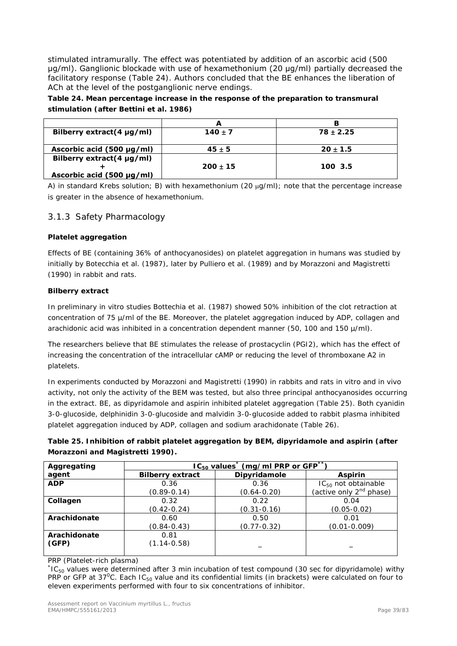stimulated intramurally. The effect was potentiated by addition of an ascorbic acid (500 μg/ml). Ganglionic blockade with use of hexamethonium (20 μg/ml) partially decreased the facilitatory response (Table 24). Authors concluded that the BE enhances the liberation of ACh at the level of the postganglionic nerve endings.

**Table 24. Mean percentage increase in the response of the preparation to transmural stimulation (after Bettini** *et al.* **1986)**

|                                |              | в             |
|--------------------------------|--------------|---------------|
| Bilberry extract(4 $\mu$ g/ml) | $140 \pm 7$  | $78 \pm 2.25$ |
| Ascorbic acid (500 µg/ml)      | $45 \pm 5$   | $20 \pm 1.5$  |
| Bilberry extract(4 µg/ml)      | $200 \pm 15$ | 100 3.5       |
| Ascorbic acid (500 µg/ml)      |              |               |

A) in standard Krebs solution; B) with hexamethonium (20  $\mu$ g/ml); note that the percentage increase is greater in the absence of hexamethonium.

## 3.1.3 Safety Pharmacology

#### **Platelet aggregation**

Effects of BE (containing 36% of anthocyanosides) on platelet aggregation in humans was studied by initially by Botecchia *et al.* (1987), later by Pulliero *et al.* (1989) and by Morazzoni and Magistretti (1990) in rabbit and rats.

#### **Bilberry extract**

In preliminary *in vitro* studies Bottechia *et al.* (1987) showed 50% inhibition of the clot retraction at concentration of 75 µ/ml of the BE. Moreover, the platelet aggregation induced by ADP, collagen and arachidonic acid was inhibited in a concentration dependent manner (50, 100 and 150 µ/ml).

The researchers believe that BE stimulates the release of prostacyclin (PGI2), which has the effect of increasing the concentration of the intracellular cAMP or reducing the level of thromboxane A2 in platelets.

In experiments conducted by Morazzoni and Magistretti (1990) in rabbits and rats *in vitro* and *in vivo* activity, not only the activity of the BEM was tested, but also three principal anthocyanosides occurring in the extract. BE, as dipyridamole and aspirin inhibited platelet aggregation (Table 25). Both cyanidin 3-0-glucoside, delphinidin 3-0-glucoside and malvidin 3-0-glucoside added to rabbit plasma inhibited platelet aggregation induced by ADP, collagen and sodium arachidonate (Table 26).

| Table 25. Inhibition of rabbit platelet aggregation by BEM, dipyridamole and aspirin (after |  |
|---------------------------------------------------------------------------------------------|--|
| Morazzoni and Magistretti 1990).                                                            |  |

| Aggregating  | $IC_{50}$ values <sup>*</sup> (mg/ml PRP or GFP <sup>**</sup> ) |                 |                                     |  |  |
|--------------|-----------------------------------------------------------------|-----------------|-------------------------------------|--|--|
| agent        | <b>Bilberry extract</b>                                         | Dipyridamole    | <b>Aspirin</b>                      |  |  |
| <b>ADP</b>   | 0.36                                                            | 0.36            | $IC_{50}$ not obtainable            |  |  |
|              | $(0.89 - 0.14)$                                                 | $(0.64 - 0.20)$ | (active only 2 <sup>nd</sup> phase) |  |  |
| Collagen     | 0.32                                                            | 0.22            | 0.04                                |  |  |
|              | $(0.42 - 0.24)$                                                 | $(0.31 - 0.16)$ | $(0.05 - 0.02)$                     |  |  |
| Arachidonate | 0.60                                                            | 0.50            | 0.01                                |  |  |
|              | $(0.84 - 0.43)$                                                 | $(0.77 - 0.32)$ | $(0.01 - 0.009)$                    |  |  |
| Arachidonate | 0.81                                                            |                 |                                     |  |  |
| (GFP)        | $(1.14 - 0.58)$                                                 |                 |                                     |  |  |
|              |                                                                 |                 |                                     |  |  |

PRP (Platelet-rich plasma)

 $k$ IC<sub>50</sub> values were determined after 3 min incubation of test compound (30 sec for dipyridamole) withy PRP or GFP at 37<sup>o</sup>C. Each IC<sub>50</sub> value and its confidential limits (in brackets) were calculated on four to eleven experiments performed with four to six concentrations of inhibitor.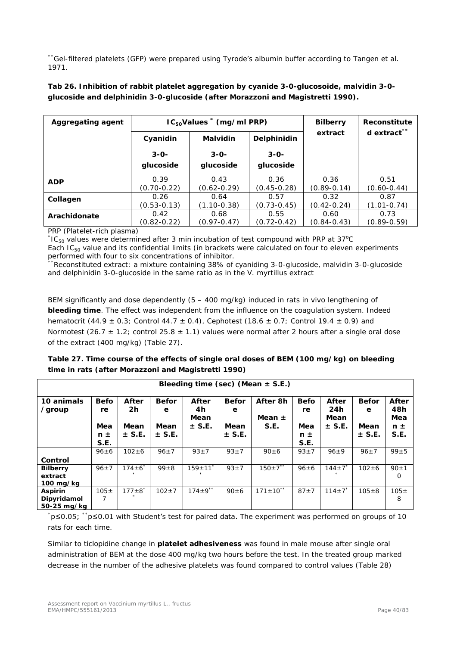\*\*Gel-filtered platelets (GFP) were prepared using Tyrode's albumin buffer according to Tangen *et al.* 1971.

| <b>Aggregating agent</b> | $IC_{50}$ Values $*$ (mg/ml PRP) |                                |                         | <b>Bilberry</b>         | <b>Reconstitute</b>     |
|--------------------------|----------------------------------|--------------------------------|-------------------------|-------------------------|-------------------------|
|                          | Cyanidin                         | <b>Malvidin</b><br>Delphinidin |                         | extract                 | d extract**             |
|                          | $3 - 0 -$                        | $3 - 0 -$                      | $3 - 0 -$               |                         |                         |
|                          | glucoside                        | glucoside                      | glucoside               |                         |                         |
| <b>ADP</b>               | 0.39<br>$(0.70 - 0.22)$          | 0.43<br>$(0.62 - 0.29)$        | 0.36<br>$(0.45 - 0.28)$ | 0.36<br>$(0.89 - 0.14)$ | 0.51<br>$(0.60 - 0.44)$ |
| Collagen                 | 0.26<br>$(0.53 - 0.13)$          | 0.64<br>$(1.10 - 0.38)$        | 0.57<br>$(0.73 - 0.45)$ | 0.32<br>$(0.42 - 0.24)$ | 0.87<br>$(1.01 - 0.74)$ |
| Arachidonate             | 0.42<br>(0.82-0.22)              | 0.68<br>$(0.97 - 0.47)$        | 0.55<br>$(0.72 - 0.42)$ | 0.60<br>$(0.84 - 0.43)$ | 0.73<br>$(0.89 - 0.59)$ |

## **Tab 26. Inhibition of rabbit platelet aggregation by cyanide 3-0-glucosoide, malvidin 3-0 glucoside and delphinidin 3-0-glucoside (after Morazzoni and Magistretti 1990).**

PRP (Platelet-rich plasma)

 $k$ IC<sub>50</sub> values were determined after 3 min incubation of test compound with PRP at 37°C Each  $IC_{50}$  value and its confidential limits (in brackets were calculated on four to eleven experiments performed with four to six concentrations of inhibitor.

<sup>\*</sup>Reconstituted extract: a mixture containing 38% of cyaniding 3-0-glucoside, malvidin 3-0-glucoside and delphinidin 3-0-glucoside in the same ratio as in the *V. myrtillus* extract

BEM significantly and dose dependently (5 – 400 mg/kg) induced in rats *in vivo* lengthening of **bleeding time**. The effect was independent from the influence on the coagulation system. Indeed hematocrit (44.9  $\pm$  0.3; Control 44.7  $\pm$  0.4), Cephotest (18.6  $\pm$  0.7; Control 19.4  $\pm$  0.9) and Normotest (26.7  $\pm$  1.2; control 25.8  $\pm$  1.1) values were normal after 2 hours after a single oral dose of the extract (400 mg/kg) (Table 27).

| Table 27. Time course of the effects of single oral doses of BEM (100 mg/kg) on bleeding |
|------------------------------------------------------------------------------------------|
| time in rats (after Morazzoni and Magistretti 1990)                                      |

| Bleeding time (sec) (Mean $\pm$ S.E.)             |                          |                          |                           |                                   |                           |                                |                          |                                    |                           |                                |
|---------------------------------------------------|--------------------------|--------------------------|---------------------------|-----------------------------------|---------------------------|--------------------------------|--------------------------|------------------------------------|---------------------------|--------------------------------|
| 10 animals<br>/group                              | <b>Befo</b><br>re<br>Mea | After<br>2h<br>Mean      | <b>Befor</b><br>e<br>Mean | After<br>4h<br>Mean<br>$\pm$ S.E. | <b>Befor</b><br>е<br>Mean | After 8h<br>Mean $\pm$<br>S.E. | <b>Befo</b><br>re<br>Mea | After<br>24h<br>Mean<br>$\pm$ S.E. | <b>Befor</b><br>e<br>Mean | After<br>48h<br>Mea<br>$n \pm$ |
|                                                   | $n \pm$<br>S.E.          | $\pm$ S.E.               | $\pm$ S.E.                |                                   | $\pm$ S.E.                |                                | $n \pm$<br>S.E.          |                                    | $\pm$ S.E.                | S.E.                           |
|                                                   | $96 \pm 6$               | $102 + 6$                | $96 \pm 7$                | $93+7$                            | $93 \pm 7$                | $90 \pm 6$                     | $93+7$                   | $96+9$                             | $96 + 7$                  | $99 + 5$                       |
| Control                                           |                          |                          |                           |                                   |                           |                                |                          |                                    |                           |                                |
| <b>Bilberry</b><br>extract<br>$100 \text{ mg/kg}$ | $96 \pm 7$               | $174\pm6$ <sup>*</sup>   | $99 + 8$                  | $159 \pm 11^{x}$                  | $93 + 7$                  | $150 \pm 7^{**}$               | $96 \pm 6$               | $144 \pm 7$                        | $102 + 6$                 | $90 \pm 1$<br>$\Omega$         |
| <b>Aspirin</b><br>Dipyridamol<br>50-25 mg/kg      | $105 \pm$                | $177 \pm 8$ <sup>*</sup> | $102 \pm 7$               | $174 \pm 9$ **                    | $90 \pm 6$                | $171 \pm 10^{**}$              | $87 + 7$                 | $114 \pm 7$ <sup>*</sup>           | $105 + 8$                 | $105 \pm$<br>8                 |

\* p≤0.05; \*\*p≤0.01 with Student's test for paired data. The experiment was performed on groups of 10 rats for each time.

Similar to ticlopidine change in **platelet adhesiveness** was found in male mouse after single oral administration of BEM at the dose 400 mg/kg two hours before the test. In the treated group marked decrease in the number of the adhesive platelets was found compared to control values (Table 28)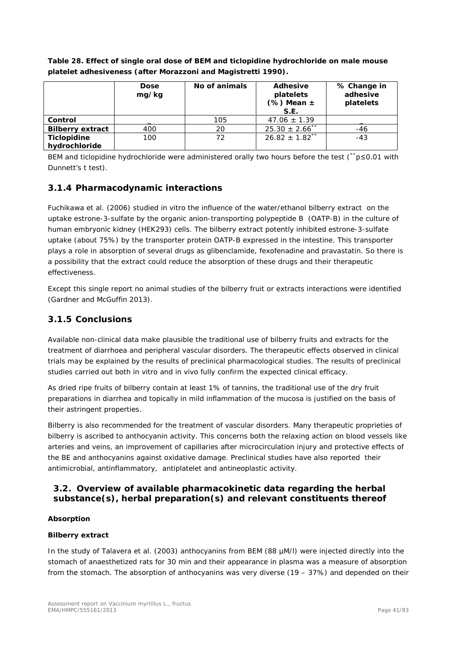|                         | <b>Dose</b><br>mg/kg | No of animals | <b>Adhesive</b><br>platelets<br>$(% \mathcal{L}_{0})$ Mean $\pm$<br>S.E. | % Change in<br>adhesive<br>platelets |
|-------------------------|----------------------|---------------|--------------------------------------------------------------------------|--------------------------------------|
| Control                 |                      | 105           | $47.06 \pm 1.39$                                                         |                                      |
| <b>Bilberry extract</b> | 400                  | 20            | $25.30 \pm 2.66$ <sup>*</sup>                                            | -46                                  |
| Ticlopidine             | 100                  | 72            | $26.82 \pm 1.82$ <sup>**</sup>                                           | $-43$                                |
| hydrochloride           |                      |               |                                                                          |                                      |

**Table 28. Effect of single oral dose of BEM and ticlopidine hydrochloride on male mouse platelet adhesiveness (after Morazzoni and Magistretti 1990).**

BEM and ticlopidine hydrochloride were administered orally two hours before the test (\*\*p≤0.01 with Dunnett's t test).

## **3.1.4 Pharmacodynamic interactions**

Fuchikawa et al. (2006) studied *in vitro* the influence of the water/ethanol bilberry extract on the uptake estrone-3-sulfate by the organic anion-transporting polypeptide B (OATP-B) in the culture of human embryonic kidney (HEK293) cells. The bilberry extract potently inhibited estrone-3-sulfate uptake (about 75%) by the transporter protein OATP-B expressed in the intestine. This transporter plays a role in absorption of several drugs as glibenclamide, fexofenadine and pravastatin. So there is a possibility that the extract could reduce the absorption of these drugs and their therapeutic effectiveness.

Except this single report no animal studies of the bilberry fruit or extracts interactions were identified (Gardner and McGuffin 2013).

## **3.1.5 Conclusions**

Available non-clinical data make plausible the traditional use of bilberry fruits and extracts for the treatment of diarrhoea and peripheral vascular disorders. The therapeutic effects observed in clinical trials may be explained by the results of preclinical pharmacological studies. The results of preclinical studies carried out both *in vitro* and *in vivo* fully confirm the expected clinical efficacy.

As dried ripe fruits of bilberry contain at least 1% of tannins, the traditional use of the dry fruit preparations in diarrhea and topically in mild inflammation of the mucosa is justified on the basis of their astringent properties.

Bilberry is also recommended for the treatment of vascular disorders. Many therapeutic proprieties of bilberry is ascribed to anthocyanin activity. This concerns both the relaxing action on blood vessels like arteries and veins, an improvement of capillaries after microcirculation injury and protective effects of the BE and anthocyanins against oxidative damage. Preclinical studies have also reported their antimicrobial, antinflammatory, antiplatelet and antineoplastic activity.

# *3.2. Overview of available pharmacokinetic data regarding the herbal substance(s), herbal preparation(s) and relevant constituents thereof*

#### **Absorption**

#### **Bilberry extract**

In the study of Talavera *et al.* (2003) anthocyanins from BEM (88 µM/l) were injected directly into the stomach of anaesthetized rats for 30 min and their appearance in plasma was a measure of absorption from the stomach. The absorption of anthocyanins was very diverse (19 – 37%) and depended on their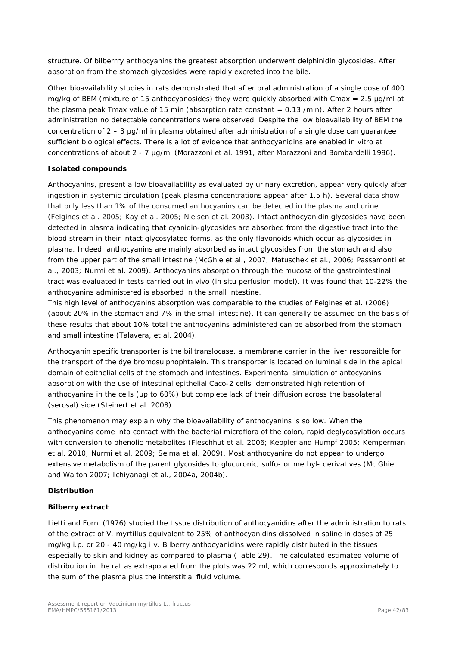structure. Of bilberrry anthocyanins the greatest absorption underwent delphinidin glycosides. After absorption from the stomach glycosides were rapidly excreted into the bile.

Other bioavailability studies in rats demonstrated that after oral administration of a single dose of 400 mg/kg of BEM (mixture of 15 anthocyanosides) they were quickly absorbed with Cmax =  $2.5 \mu q/ml$  at the plasma peak Tmax value of 15 min (absorption rate constant  $= 0.13$  /min). After 2 hours after administration no detectable concentrations were observed. Despite the low bioavailability of BEM the concentration of  $2 - 3 \mu q/ml$  in plasma obtained after administration of a single dose can quarantee sufficient biological effects. There is a lot of evidence that anthocyanidins are enabled *in vitro* at concentrations of about 2 - 7 µg/ml (Morazzoni *et al.* 1991, after Morazzoni and Bombardelli 1996).

#### **Isolated compounds**

Anthocyanins, present a low bioavailability as evaluated by urinary excretion, appear very quickly after ingestion in systemic circulation (peak plasma concentrations appear after 1.5 h). Several data show that only less than 1% of the consumed anthocyanins can be detected in the plasma and urine (Felgines *et al.* 2005; Kay *et al.* 2005; Nielsen *et al.* 2003). Intact anthocyanidin glycosides have been detected in plasma indicating that cyanidin-glycosides are absorbed from the digestive tract into the blood stream in their intact glycosylated forms, as the only flavonoids which occur as glycosides in plasma. Indeed, anthocyanins are mainly absorbed as intact glycosides from the stomach and also from the upper part of the small intestine (McGhie *et al.*, 2007; Matuschek *et al.*, 2006; Passamonti *et al.*, 2003; Nurmi *et al.* 2009). Anthocyanins absorption through the mucosa of the gastrointestinal tract was evaluated in tests carried out *in vivo* (in situ perfusion model). It was found that 10-22% the anthocyanins administered is absorbed in the small intestine.

This high level of anthocyanins absorption was comparable to the studies of Felgines *et al.* (2006) (about 20% in the stomach and 7% in the small intestine). It can generally be assumed on the basis of these results that about 10% total the anthocyanins administered can be absorbed from the stomach and small intestine (Talavera, *et al.* 2004).

Anthocyanin specific transporter is the bilitranslocase, a membrane carrier in the liver responsible for the transport of the dye bromosulphophtalein. This transporter is located on luminal side in the apical domain of epithelial cells of the stomach and intestines. Experimental simulation of antocyanins absorption with the use of intestinal epithelial Caco-2 cells demonstrated high retention of anthocyanins in the cells (up to 60%) but complete lack of their diffusion across the basolateral (serosal) side (Steinert *et al.* 2008).

This phenomenon may explain why the bioavailability of anthocyanins is so low. When the anthocyanins come into contact with the bacterial microflora of the colon, rapid deglycosylation occurs with conversion to phenolic metabolites (Fleschhut *et al.* 2006; Keppler and Humpf 2005; Kemperman *et al.* 2010; Nurmi *et al.* 2009; Selma *et al.* 2009). Most anthocyanins do not appear to undergo extensive metabolism of the parent glycosides to glucuronic, sulfo- or methyl- derivatives (Mc Ghie and Walton 2007; Ichiyanagi *et al.*, 2004a, 2004b).

#### **Distribution**

#### **Bilberry extract**

Lietti and Forni (1976) studied the tissue distribution of anthocyanidins after the administration to rats of the extract of *V. myrtillus* equivalent to 25% of anthocyanidins dissolved in saline in doses of 25 mg/kg i.p. or 20 - 40 mg/kg i.v. Bilberry anthocyanidins were rapidly distributed in the tissues especially to skin and kidney as compared to plasma (Table 29). The calculated estimated volume of distribution in the rat as extrapolated from the plots was 22 ml, which corresponds approximately to the sum of the plasma plus the interstitial fluid volume.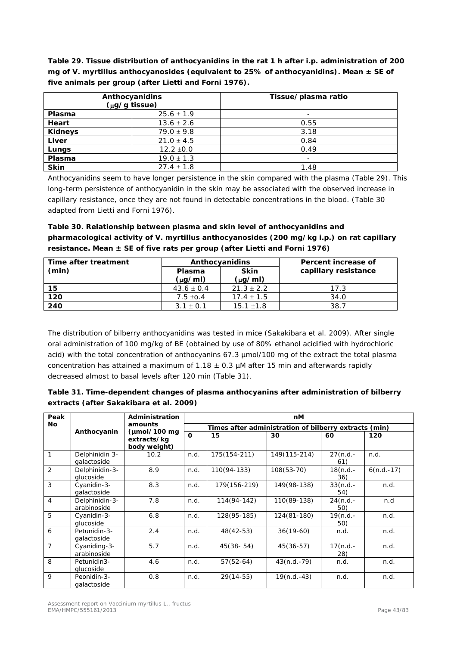**Table 29. Tissue distribution of anthocyanidins in the rat 1 h after i.p. administration of 200 mg of** *V. myrtillus* **anthocyanosides (equivalent to 25% of anthocyanidins). Mean ± SE of five animals per group (after Lietti and Forni 1976).**

|                | Anthocyanidins<br>$(\mu g/g$ tissue) | Tissue/plasma ratio |  |  |  |
|----------------|--------------------------------------|---------------------|--|--|--|
| Plasma         | $25.6 \pm 1.9$                       |                     |  |  |  |
| Heart          | $13.6 \pm 2.6$                       | 0.55                |  |  |  |
| <b>Kidneys</b> | $79.0 \pm 9.8$                       | 3.18                |  |  |  |
| Liver          | $21.0 \pm 4.5$                       | 0.84                |  |  |  |
| Lungs          | $12.2 \pm 0.0$                       | 0.49                |  |  |  |
| <b>Plasma</b>  | $19.0 \pm 1.3$                       |                     |  |  |  |
| <b>Skin</b>    | $27.4 \pm 1.8$                       | 1.48                |  |  |  |

Anthocyanidins seem to have longer persistence in the skin compared with the plasma (Table 29). This long-term persistence of anthocyanidin in the skin may be associated with the observed increase in capillary resistance, once they are not found in detectable concentrations in the blood. (Table 30 adapted from Lietti and Forni 1976).

**Table 30. Relationship between plasma and skin level of anthocyanidins and pharmacological activity of** *V. myrtillus* **anthocyanosides (200 mg/kg i.p.) on rat capillary resistance. Mean ± SE of five rats per group (after Lietti and Forni 1976)**

| Time after treatment |                               | Anthocyanidins              | Percent increase of  |  |  |
|----------------------|-------------------------------|-----------------------------|----------------------|--|--|
| (min)                | <b>Plasma</b><br>$(\mu q/ml)$ | <b>Skin</b><br>$(\mu$ g/ml) | capillary resistance |  |  |
| 15                   | $43.6 \pm 0.4$                | $21.3 \pm 2.2$              | 17.3                 |  |  |
| 120                  | $7.5 \pm 0.4$                 | $17.4 \pm 1.5$              | 34.0                 |  |  |
| 240                  | $3.1 \pm 0.1$                 | $15.1 \pm 1.8$              | 38.7                 |  |  |

The distribution of bilberry anthocyanidins was tested in mice (Sakakibara *et al.* 2009). After single oral administration of 100 mg/kg of BE (obtained by use of 80% ethanol acidified with hydrochloric acid) with the total concentration of anthocyanins 67.3 µmol/100 mg of the extract the total plasma concentration has attained a maximum of 1.18  $\pm$  0.3 µM after 15 min and afterwards rapidly decreased almost to basal levels after 120 min (Table 31).

| Table 31. Time-dependent changes of plasma anthocyanins after administration of bilberry |  |
|------------------------------------------------------------------------------------------|--|
| extracts (after Sakakibara et al. 2009)                                                  |  |

| Peak           |                               | Administration                                  | nM       |                                                       |               |                   |              |  |  |  |
|----------------|-------------------------------|-------------------------------------------------|----------|-------------------------------------------------------|---------------|-------------------|--------------|--|--|--|
| <b>No</b>      |                               | amounts                                         |          | Times after administration of bilberry extracts (min) |               |                   |              |  |  |  |
|                | Anthocyanin                   | $\mu$ mol/100 mg<br>extracts/kg<br>body weight) | $\Omega$ | 15                                                    | 30            | 60                | 120          |  |  |  |
| 1              | Delphinidin 3-<br>qalactoside | 10.2                                            | n.d.     | 175(154-211)                                          | 149(115-214)  | $27(n.d.-$<br>61) | n.d.         |  |  |  |
| 2              | Delphinidin-3-<br>glucoside   | 8.9                                             | n.d.     | 110(94-133)                                           | $108(53-70)$  | $18(n.d.-$<br>36) | $6(n.d.-17)$ |  |  |  |
| 3              | Cyanidin-3-<br>galactoside    | 8.3                                             | n.d.     | 179(156-219)                                          | 149(98-138)   | $33(n.d.-$<br>54) | n.d.         |  |  |  |
| 4              | Delphinidin-3-<br>arabinoside | 7.8                                             | n.d.     | 114(94-142)                                           | 110(89-138)   | $24(n.d.-$<br>50) | n.d          |  |  |  |
| 5              | Cyanidin-3-<br>glucoside      | 6.8                                             | n.d.     | 128(95-185)                                           | 124(81-180)   | $19(n.d.-$<br>50) | n.d.         |  |  |  |
| 6              | Petunidin-3-<br>qalactoside   | 2.4                                             | n.d.     | $48(42-53)$                                           | $36(19-60)$   | n.d.              | n.d.         |  |  |  |
| $\overline{7}$ | Cyaniding-3-<br>arabinoside   | 5.7                                             | n.d.     | $45(38 - 54)$                                         | $45(36-57)$   | $17(n.d.-$<br>28) | n.d.         |  |  |  |
| 8              | Petunidin3-<br>glucoside      | 4.6                                             | n.d.     | $57(52-64)$                                           | $43(n.d.-79)$ | n.d.              | n.d.         |  |  |  |
| 9              | Peonidin-3-<br>galactoside    | 0.8                                             | n.d.     | $29(14-55)$                                           | $19(n.d.-43)$ | n.d.              | n.d.         |  |  |  |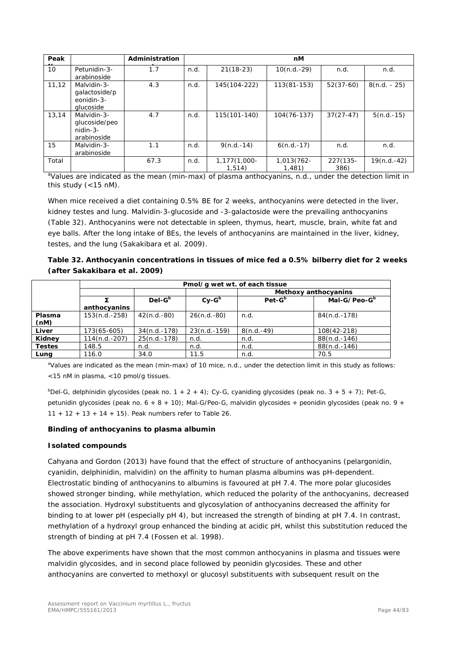| Peak   |                                                            | Administration |      |                        | nM                   |                  |                |
|--------|------------------------------------------------------------|----------------|------|------------------------|----------------------|------------------|----------------|
| 10     | Petunidin-3-<br>arabinoside                                | 1.7            | n.d. | $21(18-23)$            | $10(n.d.-29)$        | n.d.             | n.d.           |
| 11, 12 | Malvidin-3-<br>qalactoside/p<br>eonidin-3-<br>alucoside    | 4.3            | n.d. | 145(104-222)           | $113(81 - 153)$      | $52(37-60)$      | $8(n.d. - 25)$ |
| 13.14  | Malvidin-3-<br>glucoside/peo<br>$n$ idin-3-<br>arabinoside | 4.7            | n.d. | 115(101-140)           | $104(76-137)$        | $37(27-47)$      | $5(n.d.-15)$   |
| 15     | Malvidin-3-<br>arabinoside                                 | 1.1            | n.d. | $9(n.d.-14)$           | $6(n.d.-17)$         | n.d.             | n.d.           |
| Total  |                                                            | 67.3           | n.d. | 1,177(1,000-<br>1,514) | 1,013(762-<br>1,481) | 227(135-<br>386) | $19(n.d.-42)$  |

<sup>a</sup>Values are indicated as the mean (min-max) of plasma anthocyanins, n.d., under the detection limit in this study (<15 nM).

When mice received a diet containing 0.5% BE for 2 weeks, anthocyanins were detected in the liver, kidney testes and lung. Malvidin-3-glucoside and -3-galactoside were the prevailing anthocyanins (Table 32). Anthocyanins were not detectable in spleen, thymus, heart, muscle, brain, white fat and eye balls. After the long intake of BEs, the levels of anthocyanins are maintained in the liver, kidney, testes, and the lung (Sakakibara *et al.* 2009).

**Table 32. Anthocyanin concentrations in tissues of mice fed a 0.5% bilberry diet for 2 weeks (after Sakakibara** *et al.* **2009)**

|               | Pmol/g wet wt. of each tissue |                |                |                                      |                |  |  |  |  |
|---------------|-------------------------------|----------------|----------------|--------------------------------------|----------------|--|--|--|--|
|               | Methoxy anthocyanins          |                |                |                                      |                |  |  |  |  |
|               |                               | $Del-Gb$       | $Cv-Gb$        | $Pet-Gb$<br>Mal-G/Peo-G <sup>b</sup> |                |  |  |  |  |
|               | anthocyanins                  |                |                |                                      |                |  |  |  |  |
| Plasma        | $153(n.d.-258)$               | $42(n.d.-80)$  | $26(n.d.-80)$  | n.d.                                 | 84(n.d.-178)   |  |  |  |  |
| (nM)          |                               |                |                |                                      |                |  |  |  |  |
| Liver         | 173(65-605)                   | $34(n.d.-178)$ | $23(n.d.-159)$ | $8(n.d.-49)$                         | 108(42-218)    |  |  |  |  |
| Kidney        | 114(n.d.-207)                 | $25(n.d.-178)$ | n.d.           | n.d.                                 | $88(n.d.-146)$ |  |  |  |  |
| <b>Testes</b> | 148.5                         | n.d.           | n.d.           | n.d.                                 | 88(n.d.-146)   |  |  |  |  |
| Lung          | 116.0                         | 34.0           | 11.5           | n.d.                                 | 70.5           |  |  |  |  |

aValues are indicated as the mean (min-max) of 10 mice, n.d., under the detection limit in this study as follows: <15 nM in plasma, <10 pmol/g tissues.

 $b$ Del-G, delphinidin glycosides (peak no. 1 + 2 + 4); Cy-G, cyaniding glycosides (peak no. 3 + 5 + 7); Pet-G, petunidin glycosides (peak no.  $6 + 8 + 10$ ); Mal-G/Peo-G, malvidin glycosides + peonidin glycosides (peak no.  $9 +$  $11 + 12 + 13 + 14 + 15$ . Peak numbers refer to Table 26.

#### **Binding of anthocyanins to plasma albumin**

#### **Isolated compounds**

Cahyana and Gordon (2013) have found that the effect of structure of anthocyanins (pelargonidin, cyanidin, delphinidin, malvidin) on the affinity to human plasma albumins was pH-dependent. Electrostatic binding of anthocyanins to albumins is favoured at pH 7.4. The more polar glucosides showed stronger binding, while methylation, which reduced the polarity of the anthocyanins, decreased the association. Hydroxyl substituents and glycosylation of anthocyanins decreased the affinity for binding to at lower pH (especially pH 4), but increased the strength of binding at pH 7.4. In contrast, methylation of a hydroxyl group enhanced the binding at acidic pH, whilst this substitution reduced the strength of binding at pH 7.4 (Fossen *et al.* 1998).

The above experiments have shown that the most common anthocyanins in plasma and tissues were malvidin glycosides, and in second place followed by peonidin glycosides. These and other anthocyanins are converted to methoxyl or glucosyl substituents with subsequent result on the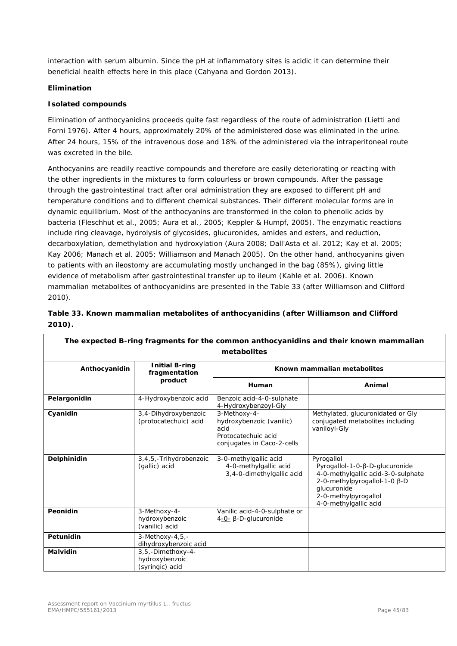interaction with serum albumin. Since the pH at inflammatory sites is acidic it can determine their beneficial health effects here in this place (Cahyana and Gordon 2013).

#### **Elimination**

#### **Isolated compounds**

Elimination of anthocyanidins proceeds quite fast regardless of the route of administration (Lietti and Forni 1976). After 4 hours, approximately 20% of the administered dose was eliminated in the urine. After 24 hours, 15% of the intravenous dose and 18% of the administered via the intraperitoneal route was excreted in the bile.

Anthocyanins are readily reactive compounds and therefore are easily deteriorating or reacting with the other ingredients in the mixtures to form colourless or brown compounds. After the passage through the gastrointestinal tract after oral administration they are exposed to different pH and temperature conditions and to different chemical substances. Their different molecular forms are in dynamic equilibrium. Most of the anthocyanins are transformed in the colon to phenolic acids by bacteria (Fleschhut *et al.*, 2005; Aura *et al.*, 2005; Keppler & Humpf, 2005). The enzymatic reactions include ring cleavage, hydrolysis of glycosides, glucuronides, amides and esters, and reduction, decarboxylation, demethylation and hydroxylation (Aura 2008; Dall'Asta *et al.* 2012; Kay *et al.* 2005; Kay 2006; Manach *et al.* 2005; Williamson and Manach 2005). On the other hand, anthocyanins given to patients with an ileostomy are accumulating mostly unchanged in the bag (85%), giving little evidence of metabolism after gastrointestinal transfer up to ileum (Kahle *et al.* 2006). Known mammalian metabolites of anthocyanidins are presented in the Table 33 (after Williamson and Clifford 2010).

|           | Table 33. Known mammalian metabolites of anthocyanidins (after Williamson and Clifford |  |  |
|-----------|----------------------------------------------------------------------------------------|--|--|
| $2010$ ). |                                                                                        |  |  |

| The expected B-ring fragments for the common anthocyanidins and their known mammalian |                                                        |                                                                                                       |                                                                                                                                                                                    |  |  |  |  |  |  |  |
|---------------------------------------------------------------------------------------|--------------------------------------------------------|-------------------------------------------------------------------------------------------------------|------------------------------------------------------------------------------------------------------------------------------------------------------------------------------------|--|--|--|--|--|--|--|
| metabolites                                                                           |                                                        |                                                                                                       |                                                                                                                                                                                    |  |  |  |  |  |  |  |
| Anthocyanidin                                                                         | <b>Initial B-ring</b><br>fragmentation                 | Known mammalian metabolites                                                                           |                                                                                                                                                                                    |  |  |  |  |  |  |  |
|                                                                                       | product                                                | Human                                                                                                 | Animal                                                                                                                                                                             |  |  |  |  |  |  |  |
| Pelargonidin                                                                          | 4-Hydroxybenzoic acid                                  | Benzoic acid-4-0-sulphate<br>4-Hydroxybenzoyl-Gly                                                     |                                                                                                                                                                                    |  |  |  |  |  |  |  |
| Cyanidin                                                                              | 3,4-Dihydroxybenzoic<br>(protocatechuic) acid          | 3-Methoxy-4-<br>hydroxybenzoic (vanilic)<br>acid<br>Protocatechuic acid<br>conjugates in Caco-2-cells | Methylated, glucuronidated or Gly<br>conjugated metabolites including<br>vaniloyl-Gly                                                                                              |  |  |  |  |  |  |  |
| Delphinidin                                                                           | 3,4,5,-Trihydrobenzoic<br>(gallic) acid                | 3-0-methylgallic acid<br>4-0-methylgallic acid<br>3,4-0-dimethylgallic acid                           | Pyrogallol<br>Pyrogallol-1-0-β-D-glucuronide<br>4-0-methylgallic acid-3-0-sulphate<br>2-0-methylpyrogallol-1-0 β-D<br>glucuronide<br>2-0-methylpyrogallol<br>4-0-methylgallic acid |  |  |  |  |  |  |  |
| Peonidin                                                                              | 3-Methoxy-4-<br>hydroxybenzoic<br>(vanilic) acid       | Vanilic acid-4-0-sulphate or<br>$4 - 0 - \beta - D$ -glucuronide                                      |                                                                                                                                                                                    |  |  |  |  |  |  |  |
| Petunidin                                                                             | 3-Methoxy-4,5,-<br>dihydroxybenzoic acid               |                                                                                                       |                                                                                                                                                                                    |  |  |  |  |  |  |  |
| <b>Malvidin</b>                                                                       | 3,5,-Dimethoxy-4-<br>hydroxybenzoic<br>(syringic) acid |                                                                                                       |                                                                                                                                                                                    |  |  |  |  |  |  |  |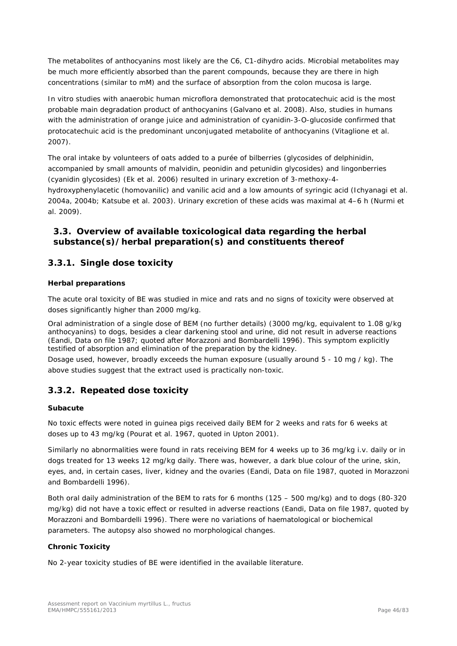The metabolites of anthocyanins most likely are the C6, C1-dihydro acids. Microbial metabolites may be much more efficiently absorbed than the parent compounds, because they are there in high concentrations (similar to mM) and the surface of absorption from the colon mucosa is large.

*In vitro* studies with anaerobic human microflora demonstrated that protocatechuic acid is the most probable main degradation product of anthocyanins (Galvano *et al.* 2008). Also, studies in humans with the administration of orange juice and administration of cyanidin-3-O-glucoside confirmed that protocatechuic acid is the predominant unconjugated metabolite of anthocyanins (Vitaglione *et al.* 2007).

The oral intake by volunteers of oats added to a purée of bilberries (glycosides of delphinidin, accompanied by small amounts of malvidin, peonidin and petunidin glycosides) and lingonberries (cyanidin glycosides) (Ek *et al.* 2006) resulted in urinary excretion of 3-methoxy-4 hydroxyphenylacetic (homovanilic) and vanilic acid and a low amounts of syringic acid (Ichyanagi *et al.* 2004a, 2004b; Katsube *et al.* 2003). Urinary excretion of these acids was maximal at 4–6 h (Nurmi *et al.* 2009).

## *3.3. Overview of available toxicological data regarding the herbal substance(s)/herbal preparation(s) and constituents thereof*

## **3.3.1. Single dose toxicity**

#### *Herbal preparations*

The acute oral toxicity of BE was studied in mice and rats and no signs of toxicity were observed at doses significantly higher than 2000 mg/kg.

Oral administration of a single dose of BEM (no further details) (3000 mg/kg, equivalent to 1.08 g/kg anthocyanins) to dogs, besides a clear darkening stool and urine, did not result in adverse reactions (Eandi, Data on file 1987; quoted after Morazzoni and Bombardelli 1996). This symptom explicitly testified of absorption and elimination of the preparation by the kidney.

Dosage used, however, broadly exceeds the human exposure (usually around 5 - 10 mg / kg). The above studies suggest that the extract used is practically non-toxic.

## **3.3.2. Repeated dose toxicity**

#### *Subacute*

No toxic effects were noted in guinea pigs received daily BEM for 2 weeks and rats for 6 weeks at doses up to 43 mg/kg (Pourat *et al.* 1967, quoted in Upton 2001).

Similarly no abnormalities were found in rats receiving BEM for 4 weeks up to 36 mg/kg i.v. daily or in dogs treated for 13 weeks 12 mg/kg daily. There was, however, a dark blue colour of the urine, skin, eyes, and, in certain cases, liver, kidney and the ovaries (Eandi, Data on file 1987, quoted in Morazzoni and Bombardelli 1996).

Both oral daily administration of the BEM to rats for 6 months (125 – 500 mg/kg) and to dogs (80-320 mg/kg) did not have a toxic effect or resulted in adverse reactions (Eandi, Data on file 1987, quoted by Morazzoni and Bombardelli 1996). There were no variations of haematological or biochemical parameters. The autopsy also showed no morphological changes.

#### *Chronic Toxicity*

No 2-year toxicity studies of BE were identified in the available literature.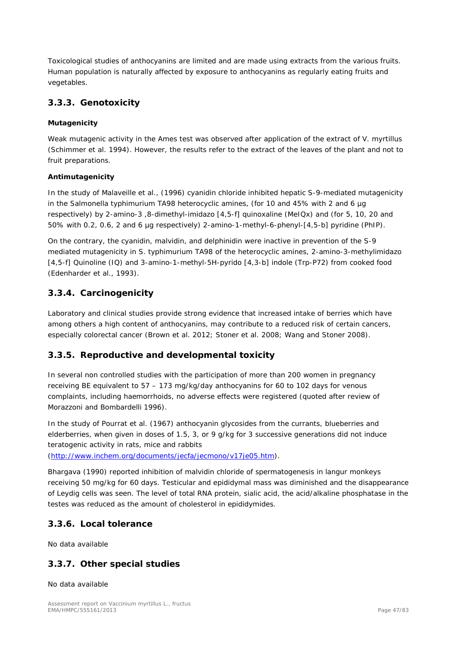Toxicological studies of anthocyanins are limited and are made using extracts from the various fruits. Human population is naturally affected by exposure to anthocyanins as regularly eating fruits and vegetables.

## **3.3.3. Genotoxicity**

#### **Mutagenicity**

Weak mutagenic activity in the Ames test was observed after application of the extract of *V. myrtillus* (Schimmer *et al.* 1994). However, the results refer to the extract of the leaves of the plant and not to fruit preparations.

#### **Antimutagenicity**

In the study of Malaveille *et al.*, (1996) cyanidin chloride inhibited hepatic S-9-mediated mutagenicity in the *Salmonella typhimurium* TA98 heterocyclic amines, (for 10 and 45% with 2 and 6 µg respectively) by 2-amino-3 ,8-dimethyl-imidazo [4,5-f] quinoxaline (MeIQx) and (for 5, 10, 20 and 50% with 0.2, 0.6, 2 and 6 µg respectively) 2-amino-1-methyl-6-phenyl-[4,5-b] pyridine (PhIP).

On the contrary, the cyanidin, malvidin, and delphinidin were inactive in prevention of the S-9 mediated mutagenicity in *S. typhimurium* TA98 of the heterocyclic amines, 2-amino-3-methylimidazo [4,5-f] Quinoline (IQ) and 3-amino-1-methyl-5H-pyrido [4,3-b] indole (Trp-P72) from cooked food (Edenharder *et al.*, 1993).

## **3.3.4. Carcinogenicity**

Laboratory and clinical studies provide strong evidence that increased intake of berries which have among others a high content of anthocyanins, may contribute to a reduced risk of certain cancers, especially colorectal cancer (Brown *et al.* 2012; Stoner *et al.* 2008; Wang and Stoner 2008).

## **3.3.5. Reproductive and developmental toxicity**

In several non controlled studies with the participation of more than 200 women in pregnancy receiving BE equivalent to 57 – 173 mg/kg/day anthocyanins for 60 to 102 days for venous complaints, including haemorrhoids, no adverse effects were registered (quoted after review of Morazzoni and Bombardelli 1996).

In the study of Pourrat *et al.* (1967) anthocyanin glycosides from the currants, blueberries and elderberries, when given in doses of 1.5, 3, or 9 g/kg for 3 successive generations did not induce teratogenic activity in rats, mice and rabbits

[\(http://www.inchem.org/documents/jecfa/jecmono/v17je05.htm\)](http://www.inchem.org/documents/jecfa/jecmono/v17je05.htm).

Bhargava (1990) reported inhibition of malvidin chloride of spermatogenesis in langur monkeys receiving 50 mg/kg for 60 days. Testicular and epididymal mass was diminished and the disappearance of Leydig cells was seen. The level of total RNA protein, sialic acid, the acid/alkaline phosphatase in the testes was reduced as the amount of cholesterol in epididymides.

## **3.3.6. Local tolerance**

No data available

## **3.3.7. Other special studies**

No data available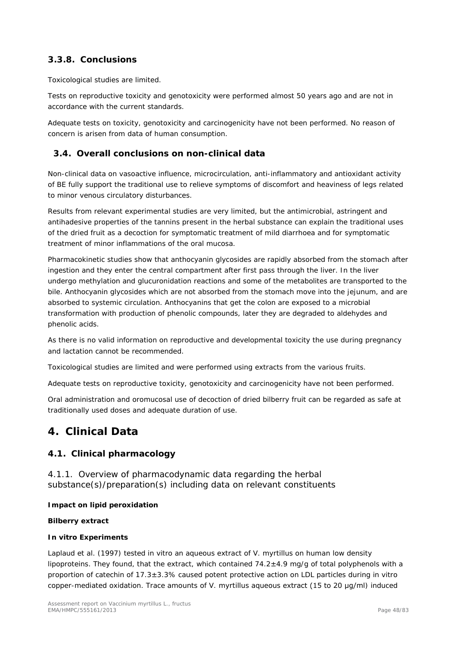# **3.3.8. Conclusions**

Toxicological studies are limited.

Tests on reproductive toxicity and genotoxicity were performed almost 50 years ago and are not in accordance with the current standards.

Adequate tests on toxicity, genotoxicity and carcinogenicity have not been performed. No reason of concern is arisen from data of human consumption.

## *3.4. Overall conclusions on non-clinical data*

Non-clinical data on vasoactive influence, microcirculation, anti-inflammatory and antioxidant activity of BE fully support the traditional use to relieve symptoms of discomfort and heaviness of legs related to minor venous circulatory disturbances.

Results from relevant experimental studies are very limited, but the antimicrobial, astringent and antihadesive properties of the tannins present in the herbal substance can explain the traditional uses of the dried fruit as a decoction for symptomatic treatment of mild diarrhoea and for symptomatic treatment of minor inflammations of the oral mucosa.

Pharmacokinetic studies show that anthocyanin glycosides are rapidly absorbed from the stomach after ingestion and they enter the central compartment after first pass through the liver. In the liver undergo methylation and glucuronidation reactions and some of the metabolites are transported to the bile. Anthocyanin glycosides which are not absorbed from the stomach move into the jejunum, and are absorbed to systemic circulation. Anthocyanins that get the colon are exposed to a microbial transformation with production of phenolic compounds, later they are degraded to aldehydes and phenolic acids.

As there is no valid information on reproductive and developmental toxicity the use during pregnancy and lactation cannot be recommended.

Toxicological studies are limited and were performed using extracts from the various fruits.

Adequate tests on reproductive toxicity, genotoxicity and carcinogenicity have not been performed.

Oral administration and oromucosal use of decoction of dried bilberry fruit can be regarded as safe at traditionally used doses and adequate duration of use.

# **4. Clinical Data**

## *4.1. Clinical pharmacology*

4.1.1. Overview of pharmacodynamic data regarding the herbal substance(s)/preparation(s) including data on relevant constituents

#### **Impact on lipid peroxidation**

#### **Bilberry extract**

#### *In vitro* **Experiments**

Laplaud *et al.* (1997) tested *in vitro* an aqueous extract of *V. myrtillus* on human low density lipoproteins. They found, that the extract, which contained  $74.2\pm4.9$  mg/g of total polyphenols with a proportion of catechin of 17.3±3.3% caused potent protective action on LDL particles during *in vitro* copper-mediated oxidation. Trace amounts of *V. myrtillus* aqueous extract (15 to 20 μg/ml) induced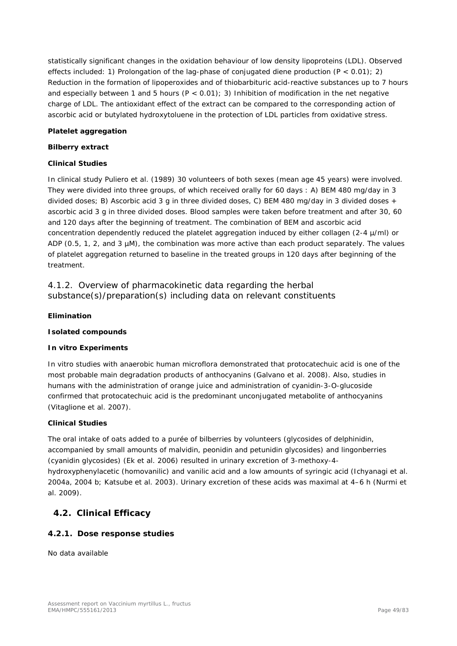statistically significant changes in the oxidation behaviour of low density lipoproteins (LDL). Observed effects included: 1) Prolongation of the lag-phase of conjugated diene production (P < 0.01); 2) Reduction in the formation of lipoperoxides and of thiobarbituric acid-reactive substances up to 7 hours and especially between 1 and 5 hours ( $P < 0.01$ ); 3) Inhibition of modification in the net negative charge of LDL. The antioxidant effect of the extract can be compared to the corresponding action of ascorbic acid or butylated hydroxytoluene in the protection of LDL particles from oxidative stress.

#### **Platelet aggregation**

#### **Bilberry extract**

#### **Clinical Studies**

In clinical study Puliero *et al.* (1989) 30 volunteers of both sexes (mean age 45 years) were involved. They were divided into three groups, of which received orally for 60 days : A) BEM 480 mg/day in 3 divided doses; B) Ascorbic acid 3 g in three divided doses, C) BEM 480 mg/day in 3 divided doses + ascorbic acid 3 g in three divided doses. Blood samples were taken before treatment and after 30, 60 and 120 days after the beginning of treatment. The combination of BEM and ascorbic acid concentration dependently reduced the platelet aggregation induced by either collagen (2-4 µ/ml) or ADP (0.5, 1, 2, and 3 µM), the combination was more active than each product separately. The values of platelet aggregation returned to baseline in the treated groups in 120 days after beginning of the treatment.

4.1.2. Overview of pharmacokinetic data regarding the herbal substance(s)/preparation(s) including data on relevant constituents

#### **Elimination**

#### **Isolated compounds**

#### *In vitro* **Experiments**

*In vitro* studies with anaerobic human microflora demonstrated that protocatechuic acid is one of the most probable main degradation products of anthocyanins (Galvano *et al.* 2008). Also, studies in humans with the administration of orange juice and administration of cyanidin-3-O-glucoside confirmed that protocatechuic acid is the predominant unconjugated metabolite of anthocyanins (Vitaglione *et al.* 2007).

#### **Clinical Studies**

The oral intake of oats added to a purée of bilberries by volunteers (glycosides of delphinidin, accompanied by small amounts of malvidin, peonidin and petunidin glycosides) and lingonberries (cyanidin glycosides) (Ek *et al.* 2006) resulted in urinary excretion of 3-methoxy-4 hydroxyphenylacetic (homovanilic) and vanilic acid and a low amounts of syringic acid (Ichyanagi *et al.* 2004a, 2004 b; Katsube *et al.* 2003). Urinary excretion of these acids was maximal at 4–6 h (Nurmi *et al.* 2009).

#### *4.2. Clinical Efficacy*

#### **4.2.1. Dose response studies**

No data available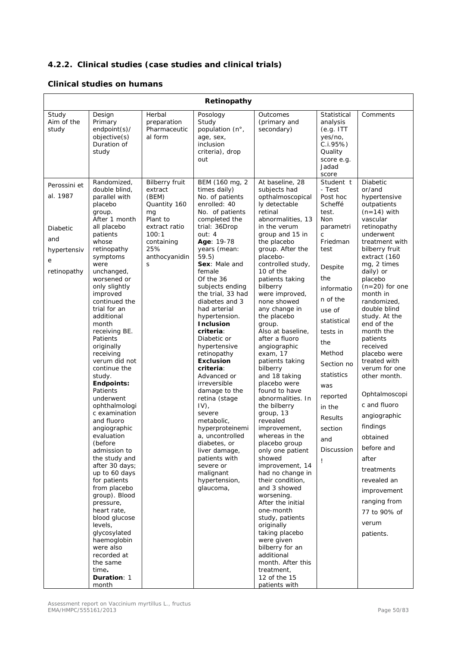# **4.2.2. Clinical studies (case studies and clinical trials)**

#### **Clinical studies on humans**

| Retinopathy                                                                    |                                                                                                                                                                                                                                                                                                                                                                                                                                                                                                                                                                                                                                                                                                                                                                                                      |                                                                                                                                                  |                                                                                                                                                                                                                                                                                                                                                                                                                                                                                                                                                                                                                                                                               |                                                                                                                                                                                                                                                                                                                                                                                                                                                                                                                                                                                                                                                                                                                                                                                                                                                                                                                                        |                                                                                                                                                                                                                                                                                                                        |                                                                                                                                                                                                                                                                                                                                                                                                                                                                                                                                                                                                             |  |  |
|--------------------------------------------------------------------------------|------------------------------------------------------------------------------------------------------------------------------------------------------------------------------------------------------------------------------------------------------------------------------------------------------------------------------------------------------------------------------------------------------------------------------------------------------------------------------------------------------------------------------------------------------------------------------------------------------------------------------------------------------------------------------------------------------------------------------------------------------------------------------------------------------|--------------------------------------------------------------------------------------------------------------------------------------------------|-------------------------------------------------------------------------------------------------------------------------------------------------------------------------------------------------------------------------------------------------------------------------------------------------------------------------------------------------------------------------------------------------------------------------------------------------------------------------------------------------------------------------------------------------------------------------------------------------------------------------------------------------------------------------------|----------------------------------------------------------------------------------------------------------------------------------------------------------------------------------------------------------------------------------------------------------------------------------------------------------------------------------------------------------------------------------------------------------------------------------------------------------------------------------------------------------------------------------------------------------------------------------------------------------------------------------------------------------------------------------------------------------------------------------------------------------------------------------------------------------------------------------------------------------------------------------------------------------------------------------------|------------------------------------------------------------------------------------------------------------------------------------------------------------------------------------------------------------------------------------------------------------------------------------------------------------------------|-------------------------------------------------------------------------------------------------------------------------------------------------------------------------------------------------------------------------------------------------------------------------------------------------------------------------------------------------------------------------------------------------------------------------------------------------------------------------------------------------------------------------------------------------------------------------------------------------------------|--|--|
| Study<br>Aim of the<br>study                                                   | Design<br>Primary<br>endpoint(s)/<br>objective(s)<br>Duration of<br>study                                                                                                                                                                                                                                                                                                                                                                                                                                                                                                                                                                                                                                                                                                                            | Herbal<br>preparation<br>Pharmaceutic<br>al form                                                                                                 | Posology<br>Study<br>population (n°,<br>age, sex,<br>inclusion<br>criteria), drop<br>out                                                                                                                                                                                                                                                                                                                                                                                                                                                                                                                                                                                      | Outcomes<br>(primary and<br>secondary)                                                                                                                                                                                                                                                                                                                                                                                                                                                                                                                                                                                                                                                                                                                                                                                                                                                                                                 | Statistical<br>analysis<br>(e.g. ITT)<br>yes/no,<br>C.1.95%<br>Quality<br>score e.g.<br>Jadad<br>score                                                                                                                                                                                                                 | Comments                                                                                                                                                                                                                                                                                                                                                                                                                                                                                                                                                                                                    |  |  |
| Perossini et<br>al. 1987<br>Diabetic<br>and<br>hypertensiv<br>е<br>retinopathy | Randomized,<br>double blind,<br>parallel with<br>placebo<br>group.<br>After 1 month<br>all placebo<br>patients<br>whose<br>retinopathy<br>symptoms<br>were<br>unchanged,<br>worsened or<br>only slightly<br>improved<br>continued the<br>trial for an<br>additional<br>month<br>receiving BE.<br>Patients<br>originally<br>receiving<br>verum did not<br>continue the<br>study.<br>Endpoints:<br>Patients<br>underwent<br>ophthalmologi<br>c examination<br>and fluoro<br>angiographic<br>evaluation<br>(before<br>admission to<br>the study and<br>after 30 days;<br>up to 60 days<br>for patients<br>from placebo<br>group). Blood<br>pressure,<br>heart rate,<br>blood glucose<br>levels,<br>glycosylated<br>haemoglobin<br>were also<br>recorded at<br>the same<br>time.<br>Duration: 1<br>month | <b>Bilberry fruit</b><br>extract<br>(BEM)<br>Quantity 160<br>mg<br>Plant to<br>extract ratio<br>100:1<br>containing<br>25%<br>anthocyanidin<br>S | BEM (160 mg, 2<br>times daily)<br>No. of patients<br>enrolled: 40<br>No. of patients<br>completed the<br>trial: 36Drop<br>out: 4<br>Age: 19-78<br>years (mean:<br>59.5)<br>Sex: Male and<br>female<br>Of the 36<br>subjects ending<br>the trial, 33 had<br>diabetes and 3<br>had arterial<br>hypertension.<br><b>Inclusion</b><br>criteria:<br>Diabetic or<br>hypertensive<br>retinopathy<br><b>Exclusion</b><br>criteria:<br>Advanced or<br>irreversible<br>damage to the<br>retina (stage<br>$IV$ ,<br>severe<br>metabolic,<br>hyperproteinemi<br>a, uncontrolled<br>diabetes, or<br>liver damage,<br>patients with<br>severe or<br>malignant<br>hypertension,<br>glaucoma, | At baseline, 28<br>subjects had<br>opthalmoscopical<br>ly detectable<br>retinal<br>abnormalities, 13<br>in the verum<br>group and 15 in<br>the placebo<br>group. After the<br>placebo-<br>controlled study,<br>10 of the<br>patients taking<br>bilberry<br>were improved,<br>none showed<br>any change in<br>the placebo<br>group.<br>Also at baseline,<br>after a fluoro<br>angiographic<br>exam, 17<br>patients taking<br>bilberry<br>and 18 taking<br>placebo were<br>found to have<br>abnormalities. In<br>the bilberry<br>group, 13<br>revealed<br>improvement,<br>whereas in the<br>placebo group<br>only one patient<br>showed<br>improvement, 14<br>had no change in<br>their condition,<br>and 3 showed<br>worsening.<br>After the initial<br>one-month<br>study, patients<br>originally<br>taking placebo<br>were given<br>bilberry for an<br>additional<br>month. After this<br>treatment,<br>12 of the 15<br>patients with | Student t<br>- Test<br>Post hoc<br>Scheffé<br>test.<br>Non<br>parametri<br>$\mathsf{C}$<br>Friedman<br>test<br>Despite<br>the<br>informatio<br>n of the<br>use of<br>statistical<br>tests in<br>the<br>Method<br>Section no<br>statistics<br>was<br>reported<br>in the<br>Results<br>section<br>and<br>Discussion<br>Ţ | Diabetic<br>or/and<br>hypertensive<br>outpatients<br>$(n=14)$ with<br>vascular<br>retinopathy<br>underwent<br>treatment with<br>bilberry fruit<br>extract (160<br>mg, 2 times<br>daily) or<br>placebo<br>$(n=20)$ for one<br>month in<br>randomized.<br>double blind<br>study. At the<br>end of the<br>month the<br>patients<br>received<br>placebo were<br>treated with<br>verum for one<br>other month.<br>Ophtalmoscopi<br>c and fluoro<br>angiographic<br>findings<br>obtained<br>before and<br>after<br>treatments<br>revealed an<br>improvement<br>ranging from<br>77 to 90% of<br>verum<br>patients. |  |  |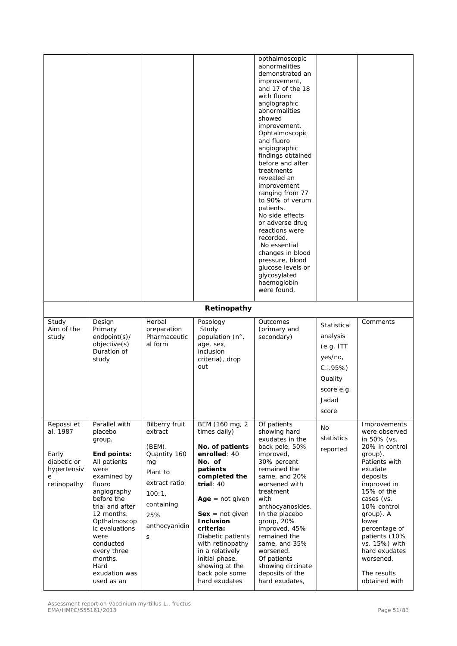|                                                                                   |                                                                                                                                                                                                                                                                                          |                                                                                                                                                    |                                                                                                                                                                                                                                                                                                                                       | opthalmoscopic<br>abnormalities<br>demonstrated an<br>improvement,<br>and 17 of the 18<br>with fluoro<br>angiographic<br>abnormalities<br>showed<br>improvement.<br>Ophtalmoscopic<br>and fluoro<br>angiographic<br>findings obtained<br>before and after<br>treatments<br>revealed an<br>improvement<br>ranging from 77<br>to 90% of verum<br>patients.<br>No side effects<br>or adverse drug<br>reactions were<br>recorded.<br>No essential<br>changes in blood<br>pressure, blood<br>glucose levels or<br>glycosylated<br>haemoglobin<br>were found. |                                                                                                        |                                                                                                                                                                                                                                                                                                                    |
|-----------------------------------------------------------------------------------|------------------------------------------------------------------------------------------------------------------------------------------------------------------------------------------------------------------------------------------------------------------------------------------|----------------------------------------------------------------------------------------------------------------------------------------------------|---------------------------------------------------------------------------------------------------------------------------------------------------------------------------------------------------------------------------------------------------------------------------------------------------------------------------------------|---------------------------------------------------------------------------------------------------------------------------------------------------------------------------------------------------------------------------------------------------------------------------------------------------------------------------------------------------------------------------------------------------------------------------------------------------------------------------------------------------------------------------------------------------------|--------------------------------------------------------------------------------------------------------|--------------------------------------------------------------------------------------------------------------------------------------------------------------------------------------------------------------------------------------------------------------------------------------------------------------------|
|                                                                                   |                                                                                                                                                                                                                                                                                          |                                                                                                                                                    | Retinopathy                                                                                                                                                                                                                                                                                                                           |                                                                                                                                                                                                                                                                                                                                                                                                                                                                                                                                                         |                                                                                                        |                                                                                                                                                                                                                                                                                                                    |
| Study<br>Aim of the<br>study                                                      | Design<br>Primary<br>endpoint(s)/<br>objective(s)<br>Duration of<br>study                                                                                                                                                                                                                | Herbal<br>preparation<br>Pharmaceutic<br>al form                                                                                                   | Posology<br>Study<br>population (n°,<br>age, sex,<br>inclusion<br>criteria), drop<br>out                                                                                                                                                                                                                                              | Outcomes<br>(primary and<br>secondary)                                                                                                                                                                                                                                                                                                                                                                                                                                                                                                                  | Statistical<br>analysis<br>(e.g. ITT)<br>yes/no,<br>C.I.95%<br>Quality<br>score e.g.<br>Jadad<br>score | Comments                                                                                                                                                                                                                                                                                                           |
| Repossi et<br>al. 1987<br>Early<br>diabetic or<br>hypertensiv<br>e<br>retinopathy | Parallel with<br>placebo<br>group.<br>End points:<br>All patients<br>were<br>examined by<br>fluoro<br>angiography<br>before the<br>trial and after<br>12 months.<br>Opthalmoscop<br>ic evaluations<br>were<br>conducted<br>every three<br>months.<br>Hard<br>exudation was<br>used as an | <b>Bilberry fruit</b><br>extract<br>(BEM).<br>Quantity 160<br>mg<br>Plant to<br>extract ratio<br>100:1,<br>containing<br>25%<br>anthocyanidin<br>S | BEM (160 mg, 2<br>times daily)<br>No. of patients<br>enrolled: 40<br>No. of<br>patients<br>completed the<br>trial: $40$<br>$Age = not given$<br>$Sex = not given$<br><b>Inclusion</b><br>criteria:<br>Diabetic patients<br>with retinopathy<br>in a relatively<br>initial phase,<br>showing at the<br>back pole some<br>hard exudates | Of patients<br>showing hard<br>exudates in the<br>back pole, 50%<br>improved,<br>30% percent<br>remained the<br>same, and 20%<br>worsened with<br>treatment<br>with<br>anthocyanosides.<br>In the placebo<br>group, 20%<br>improved, 45%<br>remained the<br>same, and 35%<br>worsened.<br>Of patients<br>showing circinate<br>deposits of the<br>hard exudates,                                                                                                                                                                                         | No<br>statistics<br>reported                                                                           | Improvements<br>were observed<br>in 50% (vs.<br>20% in control<br>group).<br>Patients with<br>exudate<br>deposits<br>improved in<br>15% of the<br>cases (vs.<br>10% control<br>group). A<br>lower<br>percentage of<br>patients (10%<br>vs. 15%) with<br>hard exudates<br>worsened.<br>The results<br>obtained with |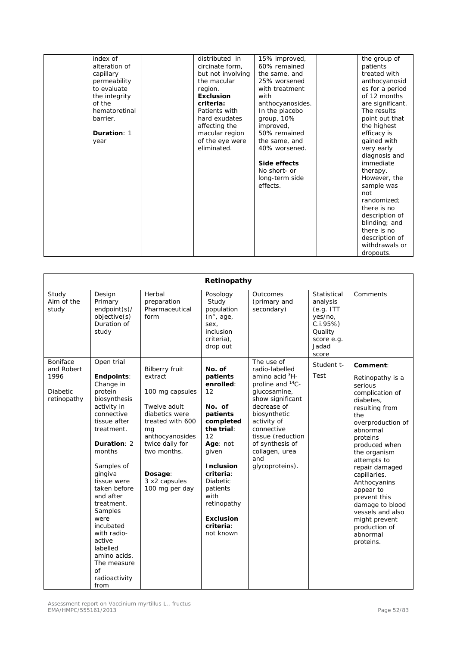| index of      | distributed in    | 15% improved,    | the group of     |
|---------------|-------------------|------------------|------------------|
| alteration of | circinate form,   | 60% remained     | patients         |
| capillary     | but not involving | the same, and    | treated with     |
| permeability  | the macular       | 25% worsened     | anthocyanosid    |
| to evaluate   | region.           | with treatment   | es for a period  |
| the integrity | <b>Exclusion</b>  | with             | of 12 months     |
| of the        | criteria:         | anthocyanosides. | are significant. |
| hematoretinal | Patients with     | In the placebo   | The results      |
| barrier.      | hard exudates     | group, 10%       | point out that   |
|               | affecting the     | improved,        | the highest      |
| Duration: 1   | macular region    | 50% remained     | efficacy is      |
| year          | of the eye were   | the same, and    | gained with      |
|               | eliminated.       | 40% worsened.    | very early       |
|               |                   |                  | diagnosis and    |
|               |                   | Side effects     | immediate        |
|               |                   | No short- or     | therapy.         |
|               |                   | long-term side   | However, the     |
|               |                   | effects.         | sample was       |
|               |                   |                  | not              |
|               |                   |                  | randomized:      |
|               |                   |                  | there is no      |
|               |                   |                  | description of   |
|               |                   |                  | blinding; and    |
|               |                   |                  | there is no      |
|               |                   |                  | description of   |
|               |                   |                  | withdrawals or   |
|               |                   |                  | dropouts.        |

|                                                                  |                                                                                                                                                                                                                                                                                                                                             |                                                                                                                                                                                                                    | Retinopathy                                                                                                                                                                                                                                            |                                                                                                                                                                                                                                                                            |                                                                                                        |                                                                                                                                                                                                                                                                                                                                                                                |
|------------------------------------------------------------------|---------------------------------------------------------------------------------------------------------------------------------------------------------------------------------------------------------------------------------------------------------------------------------------------------------------------------------------------|--------------------------------------------------------------------------------------------------------------------------------------------------------------------------------------------------------------------|--------------------------------------------------------------------------------------------------------------------------------------------------------------------------------------------------------------------------------------------------------|----------------------------------------------------------------------------------------------------------------------------------------------------------------------------------------------------------------------------------------------------------------------------|--------------------------------------------------------------------------------------------------------|--------------------------------------------------------------------------------------------------------------------------------------------------------------------------------------------------------------------------------------------------------------------------------------------------------------------------------------------------------------------------------|
| Study<br>Aim of the<br>study                                     | Design<br>Primary<br>endpoint(s)/<br>objective(s)<br>Duration of<br>study                                                                                                                                                                                                                                                                   | Herbal<br>preparation<br>Pharmaceutical<br>form                                                                                                                                                                    | Posology<br>Study<br>population<br>(n <sup>°</sup> , age,<br>sex,<br>inclusion<br>criteria),<br>drop out                                                                                                                                               | Outcomes<br>(primary and<br>secondary)                                                                                                                                                                                                                                     | Statistical<br>analysis<br>(e.g. ITT)<br>yes/no,<br>C.i.95%<br>Quality<br>score e.g.<br>Jadad<br>score | Comments                                                                                                                                                                                                                                                                                                                                                                       |
| Boniface<br>and Robert<br>1996<br><b>Diabetic</b><br>retinopathy | Open trial<br>Endpoints:<br>Change in<br>protein<br>biosynthesis<br>activity in<br>connective<br>tissue after<br>treatment.<br>Duration: 2<br>months<br>Samples of<br>gingiva<br>tissue were<br>taken before<br>and after<br>treatment.<br>Samples<br>were<br>incubated<br>with radio-<br>active<br>labelled<br>amino acids.<br>The measure | <b>Bilberry fruit</b><br>extract<br>100 mg capsules<br>Twelve adult<br>diabetics were<br>treated with 600<br>mg<br>anthocyanosides<br>twice daily for<br>two months.<br>Dosage:<br>3 x2 capsules<br>100 mg per day | No. of<br>patients<br>enrolled:<br>12<br>No. of<br>patients<br>completed<br>the trial:<br>12<br>Age: not<br>given<br><b>Inclusion</b><br>criteria:<br><b>Diabetic</b><br>patients<br>with<br>retinopathy<br><b>Exclusion</b><br>criteria:<br>not known | The use of<br>radio-labelled<br>amino acid ${}^{3}$ H-<br>proline and <sup>14</sup> C-<br>glucosamine,<br>show significant<br>decrease of<br>biosynthetic<br>activity of<br>connective<br>tissue (reduction<br>of synthesis of<br>collagen, urea<br>and<br>glycoproteins). | Student t-<br>Test                                                                                     | Comment:<br>Retinopathy is a<br>serious<br>complication of<br>diabetes,<br>resulting from<br>the<br>overproduction of<br>abnormal<br>proteins<br>produced when<br>the organism<br>attempts to<br>repair damaged<br>capillaries.<br>Anthocyanins<br>appear to<br>prevent this<br>damage to blood<br>vessels and also<br>might prevent<br>production of<br>abnormal<br>proteins. |
|                                                                  | of<br>radioactivity<br>from                                                                                                                                                                                                                                                                                                                 |                                                                                                                                                                                                                    |                                                                                                                                                                                                                                                        |                                                                                                                                                                                                                                                                            |                                                                                                        |                                                                                                                                                                                                                                                                                                                                                                                |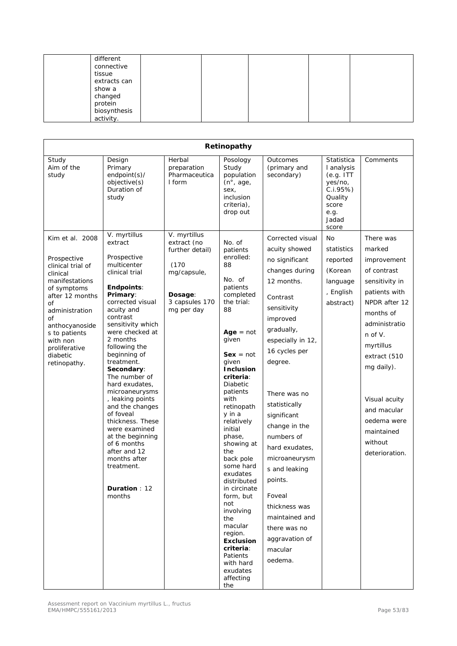| different    |  |  |  |
|--------------|--|--|--|
| connective   |  |  |  |
| tissue       |  |  |  |
| extracts can |  |  |  |
| show a       |  |  |  |
| changed      |  |  |  |
| protein      |  |  |  |
| biosynthesis |  |  |  |
| activity.    |  |  |  |

|                                                                                                                                                                                                                                               |                                                                                                                                                                                                                                                                                                                                                                                                                                                                                                                                  |                                                                                                                   | Retinopathy                                                                                                                                                                                                                                                                                                                                                                                                                                                                                                                       |                                                                                                                                                                                                                                                                                                                                                                                                                                              |                                                                                                            |                                                                                                                                                                                                                                                                                          |
|-----------------------------------------------------------------------------------------------------------------------------------------------------------------------------------------------------------------------------------------------|----------------------------------------------------------------------------------------------------------------------------------------------------------------------------------------------------------------------------------------------------------------------------------------------------------------------------------------------------------------------------------------------------------------------------------------------------------------------------------------------------------------------------------|-------------------------------------------------------------------------------------------------------------------|-----------------------------------------------------------------------------------------------------------------------------------------------------------------------------------------------------------------------------------------------------------------------------------------------------------------------------------------------------------------------------------------------------------------------------------------------------------------------------------------------------------------------------------|----------------------------------------------------------------------------------------------------------------------------------------------------------------------------------------------------------------------------------------------------------------------------------------------------------------------------------------------------------------------------------------------------------------------------------------------|------------------------------------------------------------------------------------------------------------|------------------------------------------------------------------------------------------------------------------------------------------------------------------------------------------------------------------------------------------------------------------------------------------|
| Study<br>Aim of the<br>study                                                                                                                                                                                                                  | Design<br>Primary<br>endpoint(s)/<br>objective(s)<br>Duration of<br>study                                                                                                                                                                                                                                                                                                                                                                                                                                                        | Herbal<br>preparation<br>Pharmaceutica<br>I form                                                                  | Posology<br>Study<br>population<br>(n <sup>°</sup> , age,<br>sex,<br>inclusion<br>criteria),<br>drop out                                                                                                                                                                                                                                                                                                                                                                                                                          | Outcomes<br>(primary and<br>secondary)                                                                                                                                                                                                                                                                                                                                                                                                       | Statistica<br>I analysis<br>(e.g. ITT)<br>yes/no,<br>C.1.95%<br>Quality<br>score<br>e.g.<br>Jadad<br>score | Comments                                                                                                                                                                                                                                                                                 |
| Kim et al. 2008<br>Prospective<br>clinical trial of<br>clinical<br>manifestations<br>of symptoms<br>after 12 months<br>Οf<br>administration<br>Οf<br>anthocyanoside<br>s to patients<br>with non<br>proliferative<br>diabetic<br>retinopathy. | V. myrtillus<br>extract<br>Prospective<br>multicenter<br>clinical trial<br><b>Endpoints:</b><br>Primary:<br>corrected visual<br>acuity and<br>contrast<br>sensitivity which<br>were checked at<br>2 months<br>following the<br>beginning of<br>treatment.<br>Secondary:<br>The number of<br>hard exudates,<br>microaneurysms<br>, leaking points<br>and the changes<br>of foveal<br>thickness. These<br>were examined<br>at the beginning<br>of 6 months<br>after and 12<br>months after<br>treatment.<br>Duration: 12<br>months | V. myrtillus<br>extract (no<br>further detail)<br>(170)<br>mg/capsule,<br>Dosage:<br>3 capsules 170<br>mg per day | No. of<br>patients<br>enrolled:<br>88<br>No. of<br>patients<br>completed<br>the trial:<br>88<br>$Age = not$<br>given<br>$Sex = not$<br>given<br><b>Inclusion</b><br>criteria:<br><b>Diabetic</b><br>patients<br>with<br>retinopath<br>y in a<br>relatively<br>initial<br>phase,<br>showing at<br>the<br>back pole<br>some hard<br>exudates<br>distributed<br>in circinate<br>form, but<br>not<br>involving<br>the<br>macular<br>region.<br><b>Exclusion</b><br>criteria:<br>Patients<br>with hard<br>exudates<br>affecting<br>the | Corrected visual<br>acuity showed<br>no significant<br>changes during<br>12 months.<br>Contrast<br>sensitivity<br>improved<br>gradually,<br>especially in 12,<br>16 cycles per<br>degree.<br>There was no<br>statistically<br>significant<br>change in the<br>numbers of<br>hard exudates,<br>microaneurysm<br>s and leaking<br>points.<br>Foveal<br>thickness was<br>maintained and<br>there was no<br>aggravation of<br>macular<br>oedema. | No<br>statistics<br>reported<br>(Korean<br>language<br>, English<br>abstract)                              | There was<br>marked<br>improvement<br>of contrast<br>sensitivity in<br>patients with<br>NPDR after 12<br>months of<br>administratio<br>$n$ of $V$ .<br>myrtillus<br>extract (510<br>mg daily).<br>Visual acuity<br>and macular<br>oedema were<br>maintained<br>without<br>deterioration. |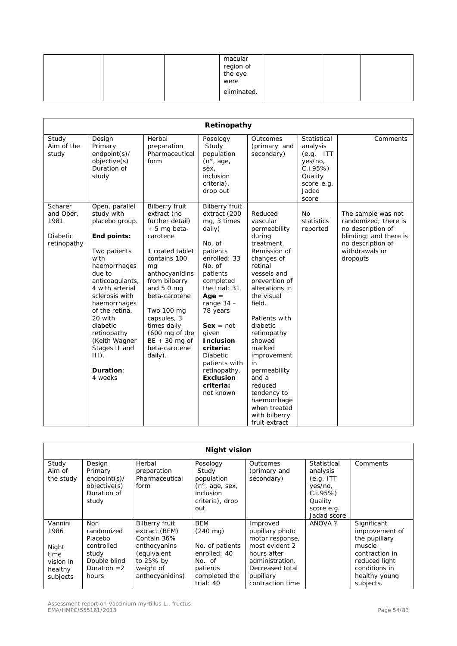| macular<br>region of<br>the eye<br>were |  |  |
|-----------------------------------------|--|--|
| eliminated.                             |  |  |

|                                                                |                                                                                                                                                                                                                                                                                                                       |                                                                                                                                                                                                                                                                                                              | Retinopathy                                                                                                                                                                                                                                                                                                                                         |                                                                                                                                                                                                                                                                                                                                                                                         |                                                                                                         |                                                                                                                                              |
|----------------------------------------------------------------|-----------------------------------------------------------------------------------------------------------------------------------------------------------------------------------------------------------------------------------------------------------------------------------------------------------------------|--------------------------------------------------------------------------------------------------------------------------------------------------------------------------------------------------------------------------------------------------------------------------------------------------------------|-----------------------------------------------------------------------------------------------------------------------------------------------------------------------------------------------------------------------------------------------------------------------------------------------------------------------------------------------------|-----------------------------------------------------------------------------------------------------------------------------------------------------------------------------------------------------------------------------------------------------------------------------------------------------------------------------------------------------------------------------------------|---------------------------------------------------------------------------------------------------------|----------------------------------------------------------------------------------------------------------------------------------------------|
| Study<br>Aim of the<br>study                                   | Design<br>Primary<br>endpoint(s)/<br>objective(s)<br>Duration of<br>study                                                                                                                                                                                                                                             | Herbal<br>preparation<br>Pharmaceutical<br>form                                                                                                                                                                                                                                                              | Posology<br>Study<br>population<br>(n <sup>°</sup> , age,<br>sex,<br>inclusion<br>criteria),<br>drop out                                                                                                                                                                                                                                            | Outcomes<br>(primary and<br>secondary)                                                                                                                                                                                                                                                                                                                                                  | Statistical<br>analysis<br>$(e.q.$ ITT<br>yes/no,<br>C.i.95%<br>Quality<br>score e.g.<br>Jadad<br>score | Comments                                                                                                                                     |
| Scharer<br>and Ober,<br>1981<br><b>Diabetic</b><br>retinopathy | Open, parallel<br>study with<br>placebo group.<br>End points:<br>Two patients<br>with<br>haemorrhages<br>due to<br>anticoagulants,<br>4 with arterial<br>sclerosis with<br>haemorrhages<br>of the retina,<br>20 with<br>diabetic<br>retinopathy<br>(Keith Wagner<br>Stages II and<br>$III$ ).<br>Duration:<br>4 weeks | <b>Bilberry fruit</b><br>extract (no<br>further detail)<br>$+5$ mg beta-<br>carotene<br>1 coated tablet<br>contains 100<br>mq<br>anthocyanidins<br>from bilberry<br>and 5.0 mg<br>beta-carotene<br>Two 100 mg<br>capsules, 3<br>times daily<br>(600 mg of the<br>$BE + 30$ mg of<br>beta-carotene<br>daily). | <b>Bilberry fruit</b><br>extract (200<br>mg, 3 times<br>daily)<br>No. of<br>patients<br>enrolled: 33<br>No. of<br>patients<br>completed<br>the trial: 31<br>$Age =$<br>range $34 -$<br>78 years<br>$Sex = not$<br>given<br><b>Inclusion</b><br>criteria:<br><b>Diabetic</b><br>patients with<br>retinopathy.<br>Exclusion<br>criteria:<br>not known | Reduced<br>vascular<br>permeability<br>during<br>treatment.<br>Remission of<br>changes of<br>retinal<br>vessels and<br>prevention of<br>alterations in<br>the visual<br>field.<br>Patients with<br>diabetic<br>retinopathy<br>showed<br>marked<br>improvement<br>in<br>permeability<br>and a<br>reduced<br>tendency to<br>haemorrhage<br>when treated<br>with bilberry<br>fruit extract | <b>No</b><br>statistics<br>reported                                                                     | The sample was not<br>randomized; there is<br>no description of<br>blinding; and there is<br>no description of<br>withdrawals or<br>dropouts |

|                                  | <b>Night vision</b>                                                       |                                                                                      |                                                                                                                 |                                                                                 |                                                                                                    |                                                                            |  |  |
|----------------------------------|---------------------------------------------------------------------------|--------------------------------------------------------------------------------------|-----------------------------------------------------------------------------------------------------------------|---------------------------------------------------------------------------------|----------------------------------------------------------------------------------------------------|----------------------------------------------------------------------------|--|--|
| Study<br>Aim of<br>the study     | Design<br>Primary<br>endpoint(s)/<br>objective(s)<br>Duration of<br>study | Herbal<br>preparation<br>Pharmaceutical<br>form                                      | Posology<br>Study<br>population<br>$(n^{\circ}, \text{age}, \text{sex},$<br>inclusion<br>criteria), drop<br>out | Outcomes<br>(primary and<br>secondary)                                          | Statistical<br>analysis<br>(e.q. ITT<br>yes/no,<br>C.I.95%<br>Quality<br>score e.g.<br>Jadad score | Comments                                                                   |  |  |
| Vannini<br>1986<br>Night<br>time | Non.<br>randomized<br>Placebo<br>controlled<br>study                      | <b>Bilberry fruit</b><br>extract (BEM)<br>Contain 36%<br>anthocyanins<br>(equivalent | <b>BEM</b><br>$(240 \text{ mg})$<br>No. of patients<br>enrolled: 40                                             | Improved<br>pupillary photo<br>motor response,<br>most evident 2<br>hours after | ANOVA?                                                                                             | Significant<br>improvement of<br>the pupillary<br>muscle<br>contraction in |  |  |
| vision in<br>healthy<br>subjects | Double blind<br>Duration $=2$<br>hours                                    | to 25% by<br>weight of<br>anthocyanidins)                                            | No. of<br>patients<br>completed the<br>trial: 40                                                                | administration.<br>Decreased total<br>pupillary<br>contraction time             |                                                                                                    | reduced light<br>conditions in<br>healthy young<br>subjects.               |  |  |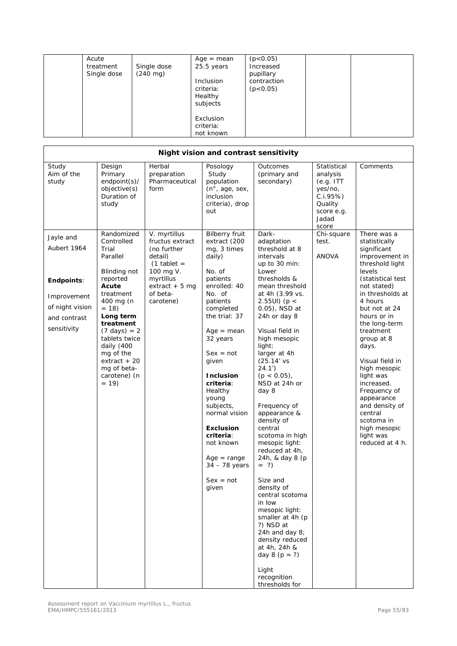| Acute<br>treatment<br>Single dose | Single dose<br>$(240 \text{ mg})$ | $Age = mean$<br>25.5 years<br>Inclusion<br>criteria:<br>Healthy<br>subjects | (p<0.05)<br>Increased<br>pupillary<br>contraction<br>(p < 0.05) |  |
|-----------------------------------|-----------------------------------|-----------------------------------------------------------------------------|-----------------------------------------------------------------|--|
|                                   |                                   | Exclusion<br>criteria:<br>not known                                         |                                                                 |  |

|                                                                                                                |                                                                                                                                                                                                                                                                                   |                                                                                                                                                  | Night vision and contrast sensitivity                                                                                                                                                                                                                                                                                                                                                                   |                                                                                                                                                                                                                                                                                                                                                                                                                                                                                                                                                                                                                                                                                                   |                                                                                                        |                                                                                                                                                                                                                                                                                                                                                                                                                                           |
|----------------------------------------------------------------------------------------------------------------|-----------------------------------------------------------------------------------------------------------------------------------------------------------------------------------------------------------------------------------------------------------------------------------|--------------------------------------------------------------------------------------------------------------------------------------------------|---------------------------------------------------------------------------------------------------------------------------------------------------------------------------------------------------------------------------------------------------------------------------------------------------------------------------------------------------------------------------------------------------------|---------------------------------------------------------------------------------------------------------------------------------------------------------------------------------------------------------------------------------------------------------------------------------------------------------------------------------------------------------------------------------------------------------------------------------------------------------------------------------------------------------------------------------------------------------------------------------------------------------------------------------------------------------------------------------------------------|--------------------------------------------------------------------------------------------------------|-------------------------------------------------------------------------------------------------------------------------------------------------------------------------------------------------------------------------------------------------------------------------------------------------------------------------------------------------------------------------------------------------------------------------------------------|
| Study<br>Aim of the<br>study                                                                                   | Design<br>Primary<br>$endpoint(s)$ /<br>objective(s)<br>Duration of<br>study                                                                                                                                                                                                      | Herbal<br>preparation<br>Pharmaceutical<br>form                                                                                                  | Posology<br>Study<br>population<br>$(n^{\circ}, \text{age}, \text{sex},$<br>inclusion<br>criteria), drop<br>out                                                                                                                                                                                                                                                                                         | Outcomes<br>(primary and<br>secondary)                                                                                                                                                                                                                                                                                                                                                                                                                                                                                                                                                                                                                                                            | Statistical<br>analysis<br>(e.g. ITT)<br>yes/no,<br>C.I.95%<br>Quality<br>score e.g.<br>Jadad<br>score | Comments                                                                                                                                                                                                                                                                                                                                                                                                                                  |
| Jayle and<br>Aubert 1964<br><b>Endpoints:</b><br>Improvement<br>of night vision<br>and contrast<br>sensitivity | Randomized<br>Controlled<br>Trial<br>Parallel<br>Blinding not<br>reported<br>Acute<br>treatment<br>400 mg (n<br>$= 18$<br>Long term<br>treatment<br>$(7 \text{ days}) = 2$<br>tablets twice<br>daily (400<br>mg of the<br>$extract + 20$<br>mg of beta-<br>carotene) (n<br>$= 19$ | V. myrtillus<br>fructus extract<br>(no further<br>detail)<br>$(1$ tablet =<br>100 mg V.<br>myrtillus<br>extract $+5$ mg<br>of beta-<br>carotene) | <b>Bilberry fruit</b><br>extract (200<br>mg, 3 times<br>daily)<br>No. of<br>patients<br>enrolled: 40<br>No. of<br>patients<br>completed<br>the trial: 37<br>$Age = mean$<br>32 years<br>$Sex = not$<br>given<br><b>Inclusion</b><br>criteria:<br>Healthy<br>young<br>subjects,<br>normal vision<br><b>Exclusion</b><br>criteria:<br>not known<br>$Age = range$<br>34 - 78 years<br>$Sex = not$<br>given | Dark-<br>adaptation<br>threshold at 8<br>intervals<br>up to 30 min:<br>Lower<br>thresholds &<br>mean threshold<br>at 4h (3.99 vs.<br>2.55UI) ( $p <$<br>0.05), NSD at<br>24h or day 8<br>Visual field in<br>high mesopic<br>light:<br>larger at 4h<br>$(25.14'$ vs<br>24.1'<br>$(p < 0.05)$ ,<br>NSD at 24h or<br>day 8<br>Frequency of<br>appearance &<br>density of<br>central<br>scotoma in high<br>mesopic light:<br>reduced at 4h,<br>24h, & day 8 (p<br>$= ?$<br>Size and<br>density of<br>central scotoma<br>in low<br>mesopic light:<br>smaller at 4h (p<br>?) NSD at<br>24h and day 8;<br>density reduced<br>at 4h, 24h &<br>day 8 ( $p = ?$ )<br>Light<br>recognition<br>thresholds for | Chi-square<br>test.<br>ANOVA                                                                           | There was a<br>statistically<br>significant<br>improvement in<br>threshold light<br>levels<br>(statistical test<br>not stated)<br>in thresholds at<br>4 hours<br>but not at 24<br>hours or in<br>the long-term<br>treatment<br>group at 8<br>days.<br>Visual field in<br>high mesopic<br>light was<br>increased.<br>Frequency of<br>appearance<br>and density of<br>central<br>scotoma in<br>high mesopic<br>light was<br>reduced at 4 h. |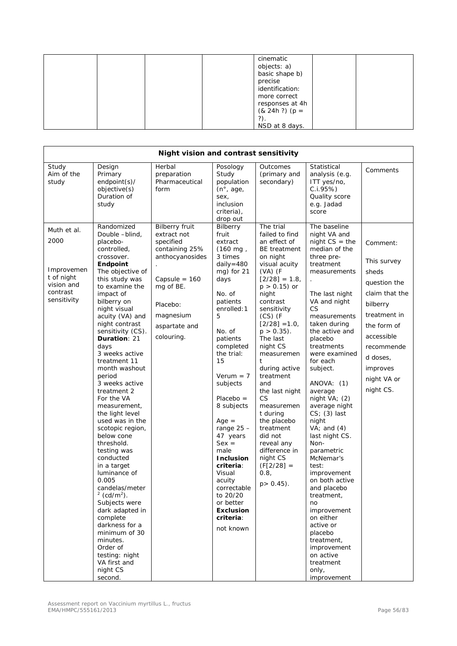|  | cinematic<br>objects: a)<br>basic shape b)<br>precise<br>identification:<br>more correct<br>responses at 4h<br>$(8, 24h?) (p =$ |  |
|--|---------------------------------------------------------------------------------------------------------------------------------|--|
|  | ?).<br>NSD at 8 days.                                                                                                           |  |

|                                                                                          | Night vision and contrast sensitivity                                                                                                                                                                                                                                                                                                                                                                                                                                                                                                                                                                                                                                                                                                                                            |                                                                                                                                                                                |                                                                                                                                                                                                                                                                                                                                                                                                                                                                |                                                                                                                                                                                                                                                                                                                                                                                                                                                                                                    |                                                                                                                                                                                                                                                                                                                                                                                                                                                                                                                                                                                                                                                                    |                                                                                                                                                                                               |  |
|------------------------------------------------------------------------------------------|----------------------------------------------------------------------------------------------------------------------------------------------------------------------------------------------------------------------------------------------------------------------------------------------------------------------------------------------------------------------------------------------------------------------------------------------------------------------------------------------------------------------------------------------------------------------------------------------------------------------------------------------------------------------------------------------------------------------------------------------------------------------------------|--------------------------------------------------------------------------------------------------------------------------------------------------------------------------------|----------------------------------------------------------------------------------------------------------------------------------------------------------------------------------------------------------------------------------------------------------------------------------------------------------------------------------------------------------------------------------------------------------------------------------------------------------------|----------------------------------------------------------------------------------------------------------------------------------------------------------------------------------------------------------------------------------------------------------------------------------------------------------------------------------------------------------------------------------------------------------------------------------------------------------------------------------------------------|--------------------------------------------------------------------------------------------------------------------------------------------------------------------------------------------------------------------------------------------------------------------------------------------------------------------------------------------------------------------------------------------------------------------------------------------------------------------------------------------------------------------------------------------------------------------------------------------------------------------------------------------------------------------|-----------------------------------------------------------------------------------------------------------------------------------------------------------------------------------------------|--|
| Study<br>Aim of the<br>study                                                             | Design<br>Primary<br>endpoint(s)/<br>objective(s)<br>Duration of<br>study                                                                                                                                                                                                                                                                                                                                                                                                                                                                                                                                                                                                                                                                                                        | Herbal<br>preparation<br>Pharmaceutical<br>form                                                                                                                                | Posology<br>Study<br>population<br>$(n^\circ, \text{age})$<br>sex,<br>inclusion<br>criteria),<br>drop out                                                                                                                                                                                                                                                                                                                                                      | Outcomes<br>(primary and<br>secondary)                                                                                                                                                                                                                                                                                                                                                                                                                                                             | Statistical<br>analysis (e.g.<br>ITT yes/no,<br>C.1.95%<br>Quality score<br>e.g. Jadad<br>score                                                                                                                                                                                                                                                                                                                                                                                                                                                                                                                                                                    | Comments                                                                                                                                                                                      |  |
| Muth et al.<br>2000<br>Improvemen<br>t of night<br>vision and<br>contrast<br>sensitivity | Randomized<br>Double -blind,<br>placebo-<br>controlled,<br>crossover.<br>Endpoint<br>The objective of<br>this study was<br>to examine the<br>impact of<br>bilberry on<br>night visual<br>acuity (VA) and<br>night contrast<br>sensitivity (CS).<br>Duration: 21<br>days<br>3 weeks active<br>treatment 11<br>month washout<br>period<br>3 weeks active<br>treatment 2<br>For the VA<br>measurement,<br>the light level<br>used was in the<br>scotopic region,<br>below cone<br>threshold.<br>testing was<br>conducted<br>in a target<br>luminance of<br>0.005<br>candelas/meter<br>$2$ (cd/m <sup>2</sup> ).<br>Subjects were<br>dark adapted in<br>complete<br>darkness for a<br>minimum of 30<br>minutes.<br>Order of<br>testing: night<br>VA first and<br>night CS<br>second. | <b>Bilberry fruit</b><br>extract not<br>specified<br>containing 25%<br>anthocyanosides<br>Capsule = $160$<br>mg of BE.<br>Placebo:<br>magnesium<br>aspartate and<br>colouring. | Bilberry<br>fruit<br>extract<br>$(160 \text{ mg})$<br>3 times<br>daily=480<br>mg) for 21<br>days<br>No. of<br>patients<br>enrolled: 1<br>5<br>No. of<br>patients<br>completed<br>the trial:<br>15<br>$Verum = 7$<br>subjects<br>$Placebo =$<br>8 subjects<br>$Age =$<br>range $25 -$<br>47 years<br>$Sex =$<br>male<br><b>Inclusion</b><br>criteria:<br>Visual<br>acuity<br>correctable<br>to 20/20<br>or better<br><b>Exclusion</b><br>criteria:<br>not known | The trial<br>failed to find<br>an effect of<br>BE treatment<br>on night<br>visual acuity<br>$(VA)$ (F<br>$[2/28] = 1.8$<br>$p > 0.15$ ) or<br>night<br>contrast<br>sensitivity<br>$(CS)$ (F<br>$[2/28] = 1.0$<br>$p > 0.35$ ).<br>The last<br>night CS<br>measuremen<br>t<br>during active<br>treatment<br>and<br>the last night<br><b>CS</b><br>measuremen<br>t during<br>the placebo<br>treatment<br>did not<br>reveal any<br>difference in<br>night CS<br>$(F[2/28] =$<br>0.8,<br>$p > 0.45$ ). | The baseline<br>night VA and<br>$night CS = the$<br>median of the<br>three pre-<br>treatment<br>measurements<br>The last night<br>VA and night<br><b>CS</b><br>measurements<br>taken during<br>the active and<br>placebo<br>treatments<br>were examined<br>for each<br>subject.<br>ANOVA: (1)<br>average<br>night $VA$ ; (2)<br>average night<br>$CS$ ; (3) last<br>night<br>$VA$ ; and $(4)$<br>last night CS.<br>Non-<br>parametric<br>McNemar's<br>test:<br>improvement<br>on both active<br>and placebo<br>treatment,<br>no<br>improvement<br>on either<br>active or<br>placebo<br>treatment,<br>improvement<br>on active<br>treatment<br>only,<br>improvement | Comment:<br>This survey<br>sheds<br>question the<br>claim that the<br>bilberry<br>treatment in<br>the form of<br>accessible<br>recommende<br>d doses,<br>improves<br>night VA or<br>night CS. |  |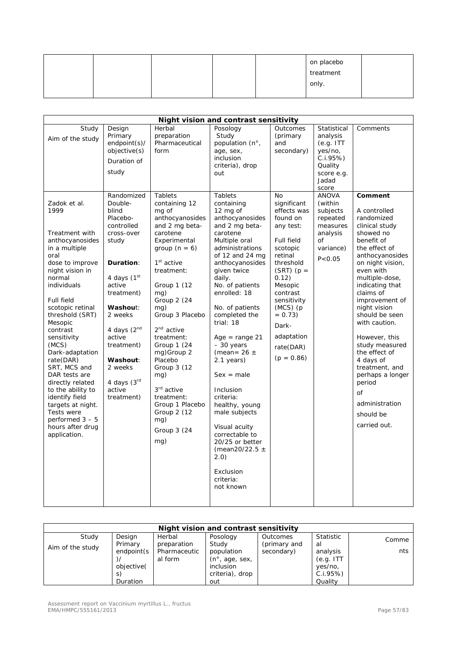|  |  | on placebo |  |
|--|--|------------|--|
|  |  | treatment  |  |
|  |  | only.      |  |
|  |  |            |  |

|                                                                                                                                                                                                                                                                                                                                                                                              |                                                                                                                                                                                                                                                                                                                                                           |                                                                                                                                                                                                                                                                                                                                                                                                                            | Night vision and contrast sensitivity                                                                                                                                                                                                                                                                                                                                                                                                                                                     |                                                                                                                                                                                                                                                                                                              |                                                                                                                                                                                                                  |                                                                                                                                                                                                                                                                                                                                                                                                                   |
|----------------------------------------------------------------------------------------------------------------------------------------------------------------------------------------------------------------------------------------------------------------------------------------------------------------------------------------------------------------------------------------------|-----------------------------------------------------------------------------------------------------------------------------------------------------------------------------------------------------------------------------------------------------------------------------------------------------------------------------------------------------------|----------------------------------------------------------------------------------------------------------------------------------------------------------------------------------------------------------------------------------------------------------------------------------------------------------------------------------------------------------------------------------------------------------------------------|-------------------------------------------------------------------------------------------------------------------------------------------------------------------------------------------------------------------------------------------------------------------------------------------------------------------------------------------------------------------------------------------------------------------------------------------------------------------------------------------|--------------------------------------------------------------------------------------------------------------------------------------------------------------------------------------------------------------------------------------------------------------------------------------------------------------|------------------------------------------------------------------------------------------------------------------------------------------------------------------------------------------------------------------|-------------------------------------------------------------------------------------------------------------------------------------------------------------------------------------------------------------------------------------------------------------------------------------------------------------------------------------------------------------------------------------------------------------------|
| Study<br>Aim of the study<br>Zadok et al.<br>1999<br>Treatment with<br>anthocyanosides<br>in a multiple<br>oral<br>dose to improve<br>night vision in<br>normal<br>individuals<br>Full field<br>scotopic retinal<br>threshold (SRT)<br>Mesopic<br>contrast<br>sensitivity<br>(MCS)<br>Dark-adaptation<br>rate(DAR)<br>SRT, MCS and<br>DAR tests are<br>directly related<br>to the ability to | Design<br>Primary<br>endpoint(s)/<br>objective(s)<br>Duration of<br>study<br>Randomized<br>Double-<br>blind<br>Placebo-<br>controlled<br>cross-over<br>study<br><b>Duration:</b><br>4 days $(1st$<br>active<br>treatment)<br>Washout:<br>2 weeks<br>4 days $(2nd$<br>active<br>treatment)<br>Washout:<br>2 weeks<br>4 days $(3rd$<br>active<br>treatment) | Herbal<br>preparation<br>Pharmaceutical<br>form<br><b>Tablets</b><br>containing 12<br>mg of<br>anthocyanosides<br>and 2 mg beta-<br>carotene<br>Experimental<br>group $(n = 6)$<br>$1st$ active<br>treatment:<br>Group 1 (12<br>mg)<br>Group 2 (24<br>mg)<br>Group 3 Placebo<br>2 <sup>nd</sup> active<br>treatment:<br>Group 1 (24<br>mg)Group 2<br>Placebo<br>Group 3 (12<br>mg)<br>3 <sup>rd</sup> active<br>treatment: | Posology<br>Study<br>population (n°,<br>age, sex,<br>inclusion<br>criteria), drop<br>out<br><b>Tablets</b><br>containing<br>12 mg of<br>anthocyanosides<br>and 2 mg beta-<br>carotene<br>Multiple oral<br>administrations<br>of 12 and 24 mg<br>anthocyanosides<br>given twice<br>daily.<br>No. of patients<br>enrolled: 18<br>No. of patients<br>completed the<br>trial: 18<br>$Age = range 21$<br>- 30 years<br>(mean= $26 \pm$<br>2.1 years)<br>$Sex = male$<br>Inclusion<br>criteria: | Outcomes<br>(primary<br>and<br>secondary)<br><b>No</b><br>significant<br>effects was<br>found on<br>any test:<br>Full field<br>scotopic<br>retinal<br>threshold<br>$(SRT)$ (p =<br>0.12)<br>Mesopic<br>contrast<br>sensitivity<br>$(MCS)$ (p<br>$= 0.73$<br>Dark-<br>adaptation<br>rate(DAR)<br>$(p = 0.86)$ | Statistical<br>analysis<br>(e.g. ITT)<br>yes/no,<br>C.I.95%<br>Quality<br>score e.g.<br>Jadad<br>score<br><b>ANOVA</b><br>(within<br>subjects<br>repeated<br>measures<br>analysis<br>of<br>variance)<br>P < 0.05 | Comments<br>Comment<br>A controlled<br>randomized<br>clinical study<br>showed no<br>benefit of<br>the effect of<br>anthocyanosides<br>on night vision,<br>even with<br>multiple-dose,<br>indicating that<br>claims of<br>improvement of<br>night vision<br>should be seen<br>with caution.<br>However, this<br>study measured<br>the effect of<br>4 days of<br>treatment, and<br>perhaps a longer<br>period<br>of |
| identify field<br>targets at night.<br>Tests were<br>performed $3 - 5$<br>hours after drug<br>application.                                                                                                                                                                                                                                                                                   |                                                                                                                                                                                                                                                                                                                                                           | Group 1 Placebo<br>Group 2 (12<br>mg)<br>Group 3 (24<br>mg)                                                                                                                                                                                                                                                                                                                                                                | healthy, young<br>male subjects<br>Visual acuity<br>correctable to<br>20/25 or better<br>(mean20/22.5 $\pm$<br>2.0)<br>Exclusion<br>criteria:<br>not known                                                                                                                                                                                                                                                                                                                                |                                                                                                                                                                                                                                                                                                              |                                                                                                                                                                                                                  | administration<br>should be<br>carried out.                                                                                                                                                                                                                                                                                                                                                                       |

| Night vision and contrast sensitivity |                 |              |                                       |              |            |       |  |
|---------------------------------------|-----------------|--------------|---------------------------------------|--------------|------------|-------|--|
| Study                                 | Design          | Herbal       | Posology                              | Outcomes     | Statistic  | Comme |  |
| Aim of the study                      | Primary         | preparation  | Study                                 | (primary and | al         |       |  |
|                                       | endpoint(s      | Pharmaceutic | population                            | secondary)   | analysis   | nts   |  |
|                                       |                 | al form      | $(n^{\circ}, \text{age}, \text{sex})$ |              | (e.g. ITT) |       |  |
|                                       | objective(      |              | <i>inclusion</i>                      |              | yes/no,    |       |  |
|                                       | S.              |              | criteria), drop                       |              | $C.I.95\%$ |       |  |
|                                       | <b>Duration</b> |              | out                                   |              | Quality    |       |  |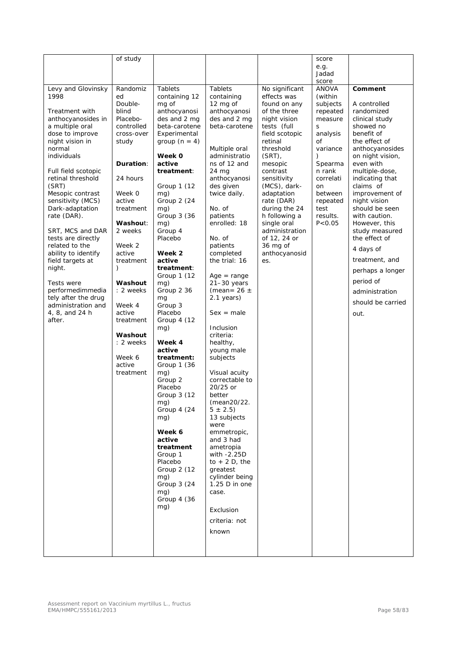|                                       | of study          |                              |                              |                                | score            |                                |
|---------------------------------------|-------------------|------------------------------|------------------------------|--------------------------------|------------------|--------------------------------|
|                                       |                   |                              |                              |                                | e.g.             |                                |
|                                       |                   |                              |                              |                                | Jadad            |                                |
|                                       |                   |                              |                              |                                | score            |                                |
| Levy and Glovinsky                    | Randomiz          | <b>Tablets</b>               | <b>Tablets</b>               | No significant                 | <b>ANOVA</b>     | Comment                        |
| 1998                                  | ed                | containing 12                | containing                   | effects was                    | (within          |                                |
|                                       | Double-           | mg of                        | 12 mg of                     | found on any                   | subjects         | A controlled                   |
| Treatment with                        | blind<br>Placebo- | anthocyanosi<br>des and 2 mg | anthocyanosi<br>des and 2 mg | of the three                   | repeated         | randomized                     |
| anthocyanosides in<br>a multiple oral | controlled        | beta-carotene                | beta-carotene                | night vision<br>tests (full    | measure<br>S     | clinical study<br>showed no    |
| dose to improve                       | cross-over        | Experimental                 |                              | field scotopic                 | analysis         | benefit of                     |
| night vision in                       | study             | group $(n = 4)$              |                              | retinal                        | of               | the effect of                  |
| normal                                |                   |                              | Multiple oral                | threshold                      | variance         | anthocyanosides                |
| individuals                           |                   | Week 0                       | administratio                | (SRT)                          | €                | on night vision,               |
|                                       | Duration:         | active                       | ns of 12 and                 | mesopic                        | Spearma          | even with                      |
| Full field scotopic                   |                   | treatment:                   | 24 mg                        | contrast                       | n rank           | multiple-dose,                 |
| retinal threshold                     | 24 hours          |                              | anthocyanosi                 | sensitivity                    | correlati        | indicating that                |
| (SRT)                                 |                   | Group 1 (12                  | des given                    | (MCS), dark-                   | on               | claims of                      |
| Mesopic contrast                      | Week 0            | mg)                          | twice daily.                 | adaptation                     | between          | improvement of                 |
| sensitivity (MCS)                     | active            | Group 2 (24                  |                              | rate (DAR)                     | repeated         | night vision                   |
| Dark-adaptation                       | treatment         | mg)<br>Group 3 (36           | No. of<br>patients           | during the 24<br>h following a | test<br>results. | should be seen                 |
| rate (DAR).                           | Washout:          | mg)                          | enrolled: 18                 | single oral                    | P < 0.05         | with caution.<br>However, this |
| SRT, MCS and DAR                      | 2 weeks           | Group 4                      |                              | administration                 |                  | study measured                 |
| tests are directly                    |                   | Placebo                      | No. of                       | of 12, 24 or                   |                  | the effect of                  |
| related to the                        | Week 2            |                              | patients                     | 36 mg of                       |                  |                                |
| ability to identify                   | active            | Week 2                       | completed                    | anthocyanosid                  |                  | 4 days of                      |
| field targets at                      | treatment         | active                       | the trial: 16                | es.                            |                  | treatment, and                 |
| night.                                | $\lambda$         | treatment:                   |                              |                                |                  | perhaps a longer               |
|                                       |                   | Group 1 (12                  | $Age = range$                |                                |                  |                                |
| Tests were                            | Washout           | mg)                          | $21 - 30$ years              |                                |                  | period of                      |
| performedimmedia                      | : 2 weeks         | Group 2 36                   | (mean = $26 \pm$             |                                |                  | administration                 |
| tely after the drug                   |                   | mg                           | $2.1$ years)                 |                                |                  | should be carried              |
| administration and<br>4, 8, and 24 h  | Week 4<br>active  | Group 3<br>Placebo           | $Sex = male$                 |                                |                  |                                |
| after.                                | treatment         | Group 4 (12                  |                              |                                |                  | out.                           |
|                                       |                   | mg)                          | Inclusion                    |                                |                  |                                |
|                                       | Washout           |                              | criteria:                    |                                |                  |                                |
|                                       | : 2 weeks         | Week 4                       | healthy,                     |                                |                  |                                |
|                                       |                   | active                       | young male                   |                                |                  |                                |
|                                       | Week 6            | treatment:                   | subjects                     |                                |                  |                                |
|                                       | active            | Group 1 (36                  |                              |                                |                  |                                |
|                                       | treatment         | mg)                          | Visual acuity                |                                |                  |                                |
|                                       |                   | Group 2                      | correctable to               |                                |                  |                                |
|                                       |                   | Placebo                      | 20/25 or                     |                                |                  |                                |
|                                       |                   | Group 3 (12                  | better                       |                                |                  |                                |
|                                       |                   | mg)<br>Group 4 (24           | (mean20/22.<br>$5 \pm 2.5$   |                                |                  |                                |
|                                       |                   | mg)                          | 13 subjects                  |                                |                  |                                |
|                                       |                   |                              | were                         |                                |                  |                                |
|                                       |                   | Week 6                       | emmetropic,                  |                                |                  |                                |
|                                       |                   | active                       | and 3 had                    |                                |                  |                                |
|                                       |                   | treatment                    | ametropia                    |                                |                  |                                |
|                                       |                   | Group 1                      | with -2.25D                  |                                |                  |                                |
|                                       |                   | Placebo                      | to $+2$ D, the               |                                |                  |                                |
|                                       |                   | Group 2 (12                  | greatest                     |                                |                  |                                |
|                                       |                   | mg)                          | cylinder being               |                                |                  |                                |
|                                       |                   | Group 3 (24                  | 1.25 D in one                |                                |                  |                                |
|                                       |                   | mg)<br>Group 4 (36           | case.                        |                                |                  |                                |
|                                       |                   | mg)                          |                              |                                |                  |                                |
|                                       |                   |                              | Exclusion                    |                                |                  |                                |
|                                       |                   |                              | criteria: not                |                                |                  |                                |
|                                       |                   |                              | known                        |                                |                  |                                |
|                                       |                   |                              |                              |                                |                  |                                |
|                                       |                   |                              |                              |                                |                  |                                |
|                                       |                   |                              |                              |                                |                  |                                |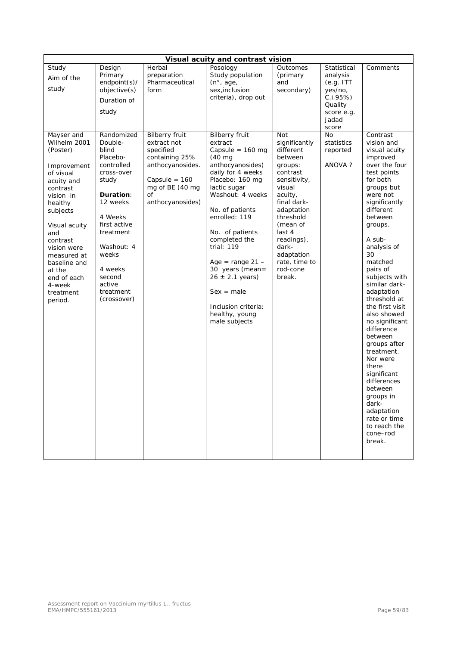|                                                                                                                                                                                                                                                                 |                                                                                                                                                                                                                             |                                                                                                                                | Visual acuity and contrast vision                                                                                                                                                                                                                                                                                                                                                    |                                                                                                                                                                                                                                               |                                                                                                                     |                                                                                                                                                                                                                                                                                                                                                                                                                                                                                                                                                            |
|-----------------------------------------------------------------------------------------------------------------------------------------------------------------------------------------------------------------------------------------------------------------|-----------------------------------------------------------------------------------------------------------------------------------------------------------------------------------------------------------------------------|--------------------------------------------------------------------------------------------------------------------------------|--------------------------------------------------------------------------------------------------------------------------------------------------------------------------------------------------------------------------------------------------------------------------------------------------------------------------------------------------------------------------------------|-----------------------------------------------------------------------------------------------------------------------------------------------------------------------------------------------------------------------------------------------|---------------------------------------------------------------------------------------------------------------------|------------------------------------------------------------------------------------------------------------------------------------------------------------------------------------------------------------------------------------------------------------------------------------------------------------------------------------------------------------------------------------------------------------------------------------------------------------------------------------------------------------------------------------------------------------|
| Study<br>Aim of the<br>study<br>Mayser and                                                                                                                                                                                                                      | Design<br>Primary<br>endpoint(s)/<br>objective(s)<br>Duration of<br>study<br>Randomized                                                                                                                                     | Herbal<br>preparation<br>Pharmaceutical<br>form<br><b>Bilberry fruit</b>                                                       | Posology<br>Study population<br>$(n^{\circ}, \text{age})$<br>sex, inclusion<br>criteria), drop out<br><b>Bilberry fruit</b>                                                                                                                                                                                                                                                          | Outcomes<br>(primary<br>and<br>secondary)<br><b>Not</b>                                                                                                                                                                                       | Statistical<br>analysis<br>(e.g. ITT)<br>yes/no,<br>C.I.95%<br>Quality<br>score e.g.<br>Jadad<br>score<br><b>No</b> | Comments<br>Contrast                                                                                                                                                                                                                                                                                                                                                                                                                                                                                                                                       |
| Wilhelm 2001<br>(Poster)<br>Improvement<br>of visual<br>acuity and<br>contrast<br>vision in<br>healthy<br>subjects<br>Visual acuity<br>and<br>contrast<br>vision were<br>measured at<br>baseline and<br>at the<br>end of each<br>4-week<br>treatment<br>period. | Double-<br>blind<br>Placebo-<br>controlled<br>cross-over<br>study<br><b>Duration:</b><br>12 weeks<br>4 Weeks<br>first active<br>treatment<br>Washout: 4<br>weeks<br>4 weeks<br>second<br>active<br>treatment<br>(crossover) | extract not<br>specified<br>containing 25%<br>anthocyanosides.<br>Capsule = $160$<br>mg of BE (40 mg<br>of<br>anthocyanosides) | extract<br>Capsule = $160$ mg<br>$(40 \text{ mg})$<br>anthocyanosides)<br>daily for 4 weeks<br>Placebo: 160 mg<br>lactic sugar<br>Washout: 4 weeks<br>No. of patients<br>enrolled: 119<br>No. of patients<br>completed the<br>trial: $119$<br>Age = range $21 -$<br>30 years (mean=<br>$26 \pm 2.1$ years)<br>$Sex = male$<br>Inclusion criteria:<br>healthy, young<br>male subjects | significantly<br>different<br>between<br>groups:<br>contrast<br>sensitivity,<br>visual<br>acuity,<br>final dark-<br>adaptation<br>threshold<br>(mean of<br>last 4<br>readings),<br>dark-<br>adaptation<br>rate, time to<br>rod-cone<br>break. | statistics<br>reported<br>ANOVA?                                                                                    | vision and<br>visual acuity<br>improved<br>over the four<br>test points<br>for both<br>groups but<br>were not<br>significantly<br>different<br>between<br>groups.<br>A sub-<br>analysis of<br>30<br>matched<br>pairs of<br>subjects with<br>similar dark-<br>adaptation<br>threshold at<br>the first visit<br>also showed<br>no significant<br>difference<br>between<br>groups after<br>treatment.<br>Nor were<br>there<br>significant<br>differences<br>between<br>groups in<br>dark-<br>adaptation<br>rate or time<br>to reach the<br>cone-rod<br>break. |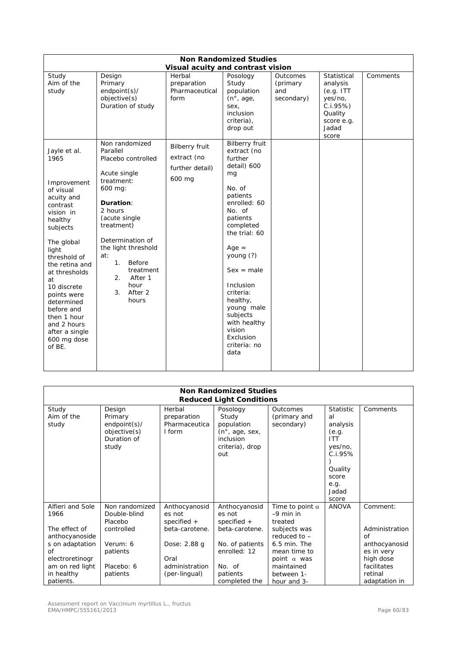|                                                                                                                                                                                                                                                                                                                                   |                                                                                                                                                                                                                                                                                    |                                                                                      | <b>Non Randomized Studies</b>                                                                                                                                                                                                                                                                                                         |                                           |                                                                                                        |          |
|-----------------------------------------------------------------------------------------------------------------------------------------------------------------------------------------------------------------------------------------------------------------------------------------------------------------------------------|------------------------------------------------------------------------------------------------------------------------------------------------------------------------------------------------------------------------------------------------------------------------------------|--------------------------------------------------------------------------------------|---------------------------------------------------------------------------------------------------------------------------------------------------------------------------------------------------------------------------------------------------------------------------------------------------------------------------------------|-------------------------------------------|--------------------------------------------------------------------------------------------------------|----------|
| Study<br>Aim of the<br>study                                                                                                                                                                                                                                                                                                      | Design<br>Primary<br>endpoint(s)/<br>objective(s)<br>Duration of study                                                                                                                                                                                                             | Visual acuity and contrast vision<br>Herbal<br>preparation<br>Pharmaceutical<br>form | Posology<br>Study<br>population<br>$(n^{\circ}, age,$<br>sex,<br><i>inclusion</i><br>criteria),<br>drop out                                                                                                                                                                                                                           | Outcomes<br>(primary<br>and<br>secondary) | Statistical<br>analysis<br>(e.g. ITT)<br>yes/no,<br>C.I.95%<br>Quality<br>score e.g.<br>Jadad<br>score | Comments |
| Jayle et al.<br>1965<br>Improvement<br>of visual<br>acuity and<br>contrast<br>vision in<br>healthy<br>subjects<br>The global<br>light<br>threshold of<br>the retina and<br>at thresholds<br>at<br>10 discrete<br>points were<br>determined<br>before and<br>then 1 hour<br>and 2 hours<br>after a single<br>600 mg dose<br>of BE. | Non randomized<br>Parallel<br>Placebo controlled<br>Acute single<br>treatment:<br>600 mg:<br>Duration:<br>2 hours<br>(acute single<br>treatment)<br>Determination of<br>the light threshold<br>at:<br>Before<br>1.<br>treatment<br>After 1<br>2.<br>hour<br>After 2<br>3.<br>hours | <b>Bilberry fruit</b><br>extract (no<br>further detail)<br>600 mg                    | <b>Bilberry fruit</b><br>extract (no<br>further<br>detail) 600<br>mg<br>No. of<br>patients<br>enrolled: 60<br>No. of<br>patients<br>completed<br>the trial: 60<br>$Age =$<br>young (?)<br>$Sex = male$<br>Inclusion<br>criteria:<br>healthy,<br>young male<br>subjects<br>with healthy<br>vision<br>Exclusion<br>criteria: no<br>data |                                           |                                                                                                        |          |

|                                                                                              | <b>Non Randomized Studies</b><br><b>Reduced Light Conditions</b>                |                                                                            |                                                                                                                 |                                                                                                                          |                                                                                                                               |                                                                 |  |  |
|----------------------------------------------------------------------------------------------|---------------------------------------------------------------------------------|----------------------------------------------------------------------------|-----------------------------------------------------------------------------------------------------------------|--------------------------------------------------------------------------------------------------------------------------|-------------------------------------------------------------------------------------------------------------------------------|-----------------------------------------------------------------|--|--|
| Study<br>Aim of the<br>study                                                                 | Design<br>Primary<br>$endpoint(s)$ /<br>objective(s)<br>Duration of<br>study    | Herbal<br>preparation<br>Pharmaceutica<br>I form                           | Posology<br>Study<br>population<br>$(n^{\circ}, \text{age}, \text{sex},$<br>inclusion<br>criteria), drop<br>out | Outcomes<br>(primary and<br>secondary)                                                                                   | <b>Statistic</b><br>al<br>analysis<br>(e.g.<br><b>ITT</b><br>yes/no,<br>C.1.95%<br>Quality<br>score<br>e.g.<br>Jadad<br>score | Comments                                                        |  |  |
| Alfieri and Sole<br>1966<br>The effect of<br>anthocyanoside<br>s on adaptation<br>$\sigma$ f | Non randomized<br>Double-blind<br>Placebo<br>controlled<br>Verum: 6<br>patients | Anthocyanosid<br>es not<br>specified $+$<br>beta-carotene.<br>Dose: 2.88 g | Anthocyanosid<br>es not<br>specified $+$<br>beta-carotene.<br>No. of patients<br>enrolled: 12                   | Time to point $\alpha$<br>$~10$ min in<br>treated<br>subjects was<br>reduced to $\sim$<br>$6.5$ min. The<br>mean time to | <b>ANOVA</b>                                                                                                                  | Comment:<br>Administration<br>of<br>anthocyanosid<br>es in very |  |  |
| electroretinogr<br>am on red light<br>in healthy<br>patients.                                | Placebo: 6<br>patients                                                          | Oral<br>administration<br>(per-lingual)                                    | No. of<br>patients<br>completed the                                                                             | point $\alpha$ was<br>maintained<br>between 1-<br>hour and 3-                                                            |                                                                                                                               | high dose<br>facilitates<br>retinal<br>adaptation in            |  |  |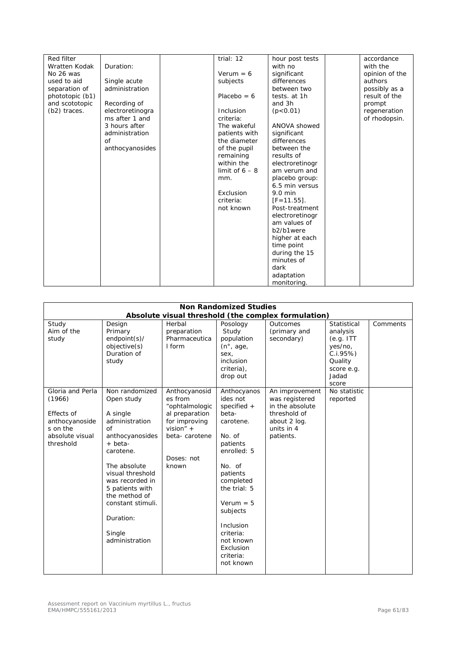| Red filter           |                  | trial: 12        | hour post tests   | accordance     |
|----------------------|------------------|------------------|-------------------|----------------|
| <b>Wratten Kodak</b> | Duration:        |                  | with no           | with the       |
| No 26 was            |                  | $Verum = 6$      | significant       | opinion of the |
| used to aid          |                  |                  | differences       | authors        |
|                      | Single acute     | subjects         |                   |                |
| separation of        | administration   |                  | between two       | possibly as a  |
| phototopic (b1)      |                  | Placebo = $6$    | tests, at 1h      | result of the  |
| and scototopic       | Recording of     |                  | and 3h            | prompt         |
| (b2) traces.         | electroretinogra | Inclusion        | (p<0.01)          | regeneration   |
|                      | ms after 1 and   | criteria:        |                   | of rhodopsin.  |
|                      | 3 hours after    | The wakeful      | ANOVA showed      |                |
|                      | administration   | patients with    | significant       |                |
|                      | 0f               | the diameter     | differences       |                |
|                      | anthocyanosides  | of the pupil     | between the       |                |
|                      |                  | remaining        | results of        |                |
|                      |                  | within the       | electroretinogr   |                |
|                      |                  | limit of $6 - 8$ | am verum and      |                |
|                      |                  | mm.              | placebo group:    |                |
|                      |                  |                  | 6.5 min versus    |                |
|                      |                  | Exclusion        | $9.0 \text{ min}$ |                |
|                      |                  | criteria:        | $[F = 11.55]$ .   |                |
|                      |                  | not known        | Post-treatment    |                |
|                      |                  |                  |                   |                |
|                      |                  |                  | electroretinogr   |                |
|                      |                  |                  | am values of      |                |
|                      |                  |                  | b2/b1were         |                |
|                      |                  |                  | higher at each    |                |
|                      |                  |                  | time point        |                |
|                      |                  |                  | during the 15     |                |
|                      |                  |                  | minutes of        |                |
|                      |                  |                  | dark              |                |
|                      |                  |                  | adaptation        |                |
|                      |                  |                  | monitoring.       |                |

|                                                                                                        |                                                                                                                                                                                                                                                                      |                                                                                                                                      | <b>Non Randomized Studies</b>                                                                                                                                                                                                                                   | Absolute visual threshold (the complex formulation)                                                            |                                                                                                        |          |
|--------------------------------------------------------------------------------------------------------|----------------------------------------------------------------------------------------------------------------------------------------------------------------------------------------------------------------------------------------------------------------------|--------------------------------------------------------------------------------------------------------------------------------------|-----------------------------------------------------------------------------------------------------------------------------------------------------------------------------------------------------------------------------------------------------------------|----------------------------------------------------------------------------------------------------------------|--------------------------------------------------------------------------------------------------------|----------|
| Study<br>Aim of the<br>study                                                                           | Design<br>Primary<br>endpoint(s)/<br>objective(s)<br>Duration of<br>study                                                                                                                                                                                            | Herbal<br>preparation<br>Pharmaceutica<br>I form                                                                                     | Posology<br>Study<br>population<br>$(n^{\circ}, \text{age})$<br>sex,<br>inclusion<br>criteria),<br>drop out                                                                                                                                                     | Outcomes<br>(primary and<br>secondary)                                                                         | Statistical<br>analysis<br>(e.g. ITT)<br>yes/no,<br>C.I.95%<br>Quality<br>score e.g.<br>Jadad<br>score | Comments |
| Gloria and Perla<br>(1966)<br>Effects of<br>anthocyanoside<br>s on the<br>absolute visual<br>threshold | Non randomized<br>Open study<br>A single<br>administration<br>of<br>anthocyanosides<br>+ beta-<br>carotene.<br>The absolute<br>visual threshold<br>was recorded in<br>5 patients with<br>the method of<br>constant stimuli.<br>Duration:<br>Single<br>administration | Anthocyanosid<br>es from<br>"ophtalmologic<br>al preparation<br>for improving<br>vision" $+$<br>beta-carotene<br>Doses: not<br>known | Anthocyanos<br>ides not<br>specified $+$<br>beta-<br>carotene.<br>No. of<br>patients<br>enrolled: 5<br>No. of<br>patients<br>completed<br>the trial: 5<br>$Verum = 5$<br>subjects<br>Inclusion<br>criteria:<br>not known<br>Exclusion<br>criteria:<br>not known | An improvement<br>was registered<br>in the absolute<br>threshold of<br>about 2 log.<br>units in 4<br>patients. | No statistic<br>reported                                                                               |          |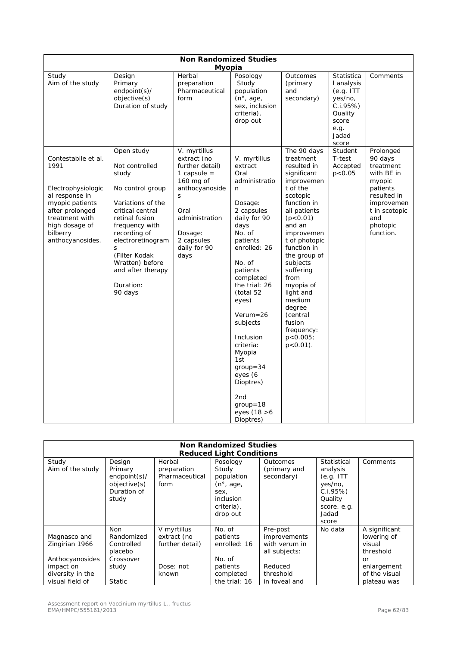|                                                                                                                                                                               |                                                                                                                                                                                                                                                                   | <b>Non Randomized Studies</b>                                                                                                                                                  |                                                                                                                                                                                                                                                                                                                                                                                                       |                                                                                                                                                                                                                                                                                                                                                                      |                                                                                                   |                                                                                                                                                     |
|-------------------------------------------------------------------------------------------------------------------------------------------------------------------------------|-------------------------------------------------------------------------------------------------------------------------------------------------------------------------------------------------------------------------------------------------------------------|--------------------------------------------------------------------------------------------------------------------------------------------------------------------------------|-------------------------------------------------------------------------------------------------------------------------------------------------------------------------------------------------------------------------------------------------------------------------------------------------------------------------------------------------------------------------------------------------------|----------------------------------------------------------------------------------------------------------------------------------------------------------------------------------------------------------------------------------------------------------------------------------------------------------------------------------------------------------------------|---------------------------------------------------------------------------------------------------|-----------------------------------------------------------------------------------------------------------------------------------------------------|
| Study<br>Aim of the study                                                                                                                                                     | Design<br>Primary<br>endpoint(s)/<br>objective(s)<br>Duration of study                                                                                                                                                                                            | <b>Myopia</b><br>Herbal<br>preparation<br>Pharmaceutical<br>form                                                                                                               | Posology<br>Study<br>population<br>(n <sup>°</sup> , age,<br>sex, inclusion<br>criteria),<br>drop out                                                                                                                                                                                                                                                                                                 | Outcomes<br>(primary<br>and<br>secondary)                                                                                                                                                                                                                                                                                                                            | Statistica<br>I analysis<br>(e.g. ITT)<br>yes/no,<br>C.1.95%<br>Quality<br>score<br>e.g.<br>Jadad | Comments                                                                                                                                            |
| Contestabile et al.<br>1991<br>Electrophysiologic<br>al response in<br>myopic patients<br>after prolonged<br>treatment with<br>high dosage of<br>bilberry<br>anthocyanosides. | Open study<br>Not controlled<br>study<br>No control group<br>Variations of the<br>critical central<br>retinal fusion<br>frequency with<br>recording of<br>electroretinogram<br>S<br>(Filter Kodak<br>Wratten) before<br>and after therapy<br>Duration:<br>90 days | V. myrtillus<br>extract (no<br>further detail)<br>1 capsule $=$<br>160 mg of<br>anthocyanoside<br>S<br>Oral<br>administration<br>Dosage:<br>2 capsules<br>daily for 90<br>days | V. myrtillus<br>extract<br>Oral<br>administratio<br>n<br>Dosage:<br>2 capsules<br>daily for 90<br>days<br>No. of<br>patients<br>enrolled: 26<br>No. of<br>patients<br>completed<br>the trial: 26<br>(total 52<br>eyes)<br>$Verum = 26$<br>subjects<br>Inclusion<br>criteria:<br>Myopia<br>1st<br>$qroup = 34$<br>eyes (6<br>Dioptres)<br>2 <sub>nd</sub><br>$qroup = 18$<br>eyes (18 > 6<br>Dioptres) | The 90 days<br>treatment<br>resulted in<br>significant<br>improvemen<br>t of the<br>scotopic<br>function in<br>all patients<br>(p<0.01)<br>and an<br>improvemen<br>t of photopic<br>function in<br>the group of<br>subjects<br>suffering<br>from<br>myopia of<br>light and<br>medium<br>degree<br>(central<br>fusion<br>frequency:<br>$p < 0.005$ ;<br>$p < 0.01$ ). | score<br>Student<br>T-test<br>Accepted<br>p < 0.05                                                | Prolonged<br>90 days<br>treatment<br>with BE in<br>myopic<br>patients<br>resulted in<br>improvemen<br>t in scotopic<br>and<br>photopic<br>function. |

| <b>Non Randomized Studies</b><br><b>Reduced Light Conditions</b>                                      |                                                                                          |                                                                     |                                                                                                      |                                                                                                     |                                                                                                        |                                                                                                          |  |
|-------------------------------------------------------------------------------------------------------|------------------------------------------------------------------------------------------|---------------------------------------------------------------------|------------------------------------------------------------------------------------------------------|-----------------------------------------------------------------------------------------------------|--------------------------------------------------------------------------------------------------------|----------------------------------------------------------------------------------------------------------|--|
| Study<br>Aim of the study                                                                             | Design<br>Primary<br>$endpoint(s)$ /<br>objective(s)<br>Duration of<br>study             | Herbal<br>preparation<br>Pharmaceutical<br>form                     | Posology<br>Study<br>population<br>$(n^{\circ}, aqe,$<br>sex,<br>inclusion<br>criteria),<br>drop out | Outcomes<br>(primary and<br>secondary)                                                              | Statistical<br>analysis<br>(e.q. ITT<br>yes/no,<br>C.I.95%<br>Quality<br>score. e.g.<br>Jadad<br>score | Comments                                                                                                 |  |
| Magnasco and<br>Zingirian 1966<br>Anthocyanosides<br>impact on<br>diversity in the<br>visual field of | <b>Non</b><br>Randomized<br>Controlled<br>placebo<br>Crossover<br>study<br><b>Static</b> | V myrtillus<br>extract (no<br>further detail)<br>Dose: not<br>known | No. of<br>patients<br>enrolled: 16<br>No. of<br>patients<br>completed<br>the trial: 16               | Pre-post<br>improvements<br>with verum in<br>all subjects:<br>Reduced<br>threshold<br>in foveal and | No data                                                                                                | A significant<br>lowering of<br>visual<br>threshold<br>or<br>enlargement<br>of the visual<br>plateau was |  |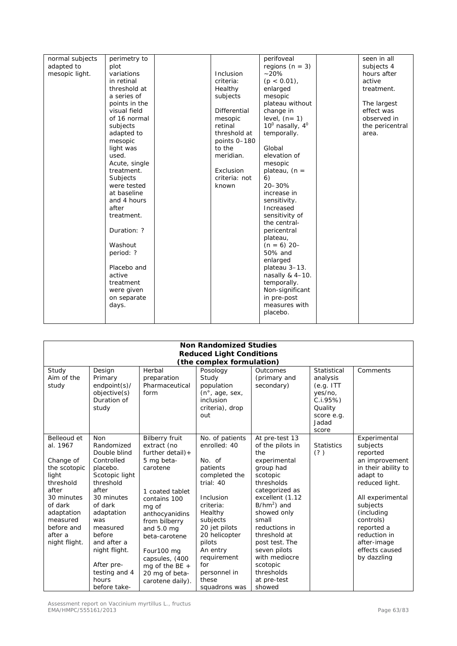| normal subjects<br>perimetry to<br>perifoveal       | seen in all     |
|-----------------------------------------------------|-----------------|
| regions ( $n = 3$ )<br>adapted to<br>plot           | subjects 4      |
| $-20%$<br>mesopic light.<br>variations<br>Inclusion | hours after     |
| in retinal<br>criteria:<br>$(p < 0.01)$ ,           | active          |
| threshold at<br>enlarged<br>Healthy                 | treatment.      |
| a series of<br>subjects<br>mesopic                  |                 |
| points in the<br>plateau without                    | The largest     |
| Differential<br>visual field<br>change in           | effect was      |
| level, $(n=1)$<br>of 16 normal<br>mesopic           | observed in     |
| $10^0$ nasally, $4^0$<br>retinal<br>subjects        | the pericentral |
| adapted to<br>threshold at<br>temporally.           | area.           |
| mesopic<br>points 0-180                             |                 |
| to the<br>Global<br>light was                       |                 |
| elevation of<br>used.<br>meridian.                  |                 |
| Acute, single<br>mesopic                            |                 |
| treatment.<br>Exclusion<br>plateau, $(n =$          |                 |
| Subjects<br>criteria: not<br>6)                     |                 |
| 20-30%<br>were tested<br>known                      |                 |
| at baseline<br>increase in                          |                 |
| and 4 hours<br>sensitivity.                         |                 |
| after<br>Increased                                  |                 |
| treatment.<br>sensitivity of                        |                 |
| the central-                                        |                 |
| Duration: ?<br>pericentral                          |                 |
| plateau,                                            |                 |
| Washout<br>$(n = 6)$ 20-                            |                 |
| period: ?<br>50% and                                |                 |
| enlarged                                            |                 |
| Placebo and<br>plateau 3-13.                        |                 |
| active<br>nasally $& 4-10.$                         |                 |
| temporally.<br>treatment                            |                 |
| Non-significant<br>were given                       |                 |
| on separate<br>in pre-post                          |                 |
| measures with<br>days.                              |                 |
| placebo.                                            |                 |

| <b>Non Randomized Studies</b>                                                                                                                                                    |                                                                                                                                                                                                                                                                        |                                                                                                                                                                                                                                                                                                  |                                                                                                                                                                                                                                                              |                                                                                                                                                                                                                                                                                                                       |                                                                                                        |                                                                                                                                                                                                                                                      |  |  |
|----------------------------------------------------------------------------------------------------------------------------------------------------------------------------------|------------------------------------------------------------------------------------------------------------------------------------------------------------------------------------------------------------------------------------------------------------------------|--------------------------------------------------------------------------------------------------------------------------------------------------------------------------------------------------------------------------------------------------------------------------------------------------|--------------------------------------------------------------------------------------------------------------------------------------------------------------------------------------------------------------------------------------------------------------|-----------------------------------------------------------------------------------------------------------------------------------------------------------------------------------------------------------------------------------------------------------------------------------------------------------------------|--------------------------------------------------------------------------------------------------------|------------------------------------------------------------------------------------------------------------------------------------------------------------------------------------------------------------------------------------------------------|--|--|
|                                                                                                                                                                                  |                                                                                                                                                                                                                                                                        |                                                                                                                                                                                                                                                                                                  |                                                                                                                                                                                                                                                              |                                                                                                                                                                                                                                                                                                                       |                                                                                                        |                                                                                                                                                                                                                                                      |  |  |
| <b>Reduced Light Conditions</b><br>(the complex formulation)                                                                                                                     |                                                                                                                                                                                                                                                                        |                                                                                                                                                                                                                                                                                                  |                                                                                                                                                                                                                                                              |                                                                                                                                                                                                                                                                                                                       |                                                                                                        |                                                                                                                                                                                                                                                      |  |  |
|                                                                                                                                                                                  |                                                                                                                                                                                                                                                                        |                                                                                                                                                                                                                                                                                                  |                                                                                                                                                                                                                                                              |                                                                                                                                                                                                                                                                                                                       |                                                                                                        |                                                                                                                                                                                                                                                      |  |  |
| Study<br>Aim of the<br>study                                                                                                                                                     | Design<br>Primary<br>$endpoint(s)$ /<br>objective(s)<br>Duration of<br>study                                                                                                                                                                                           | Herbal<br>preparation<br>Pharmaceutical<br>form                                                                                                                                                                                                                                                  | Posology<br>Study<br>population<br>(n°, age, sex,<br>inclusion<br>criteria), drop<br>out                                                                                                                                                                     | Outcomes<br>(primary and<br>secondary)                                                                                                                                                                                                                                                                                | Statistical<br>analysis<br>(e.g. ITT)<br>yes/no,<br>C.I.95%<br>Quality<br>score e.g.<br>Jadad<br>score | Comments                                                                                                                                                                                                                                             |  |  |
| Belleoud et<br>al. 1967<br>Change of<br>the scotopic<br>light<br>threshold<br>after<br>30 minutes<br>of dark<br>adaptation<br>measured<br>before and<br>after a<br>night flight. | <b>Non</b><br>Randomized<br>Double blind<br>Controlled<br>placebo.<br>Scotopic light<br>threshold<br>after<br>30 minutes<br>of dark<br>adaptation<br>was<br>measured<br>before<br>and after a<br>night flight.<br>After pre-<br>testing and 4<br>hours<br>before take- | <b>Bilberry fruit</b><br>extract (no<br>further $detail$ ) +<br>5 mg beta-<br>carotene<br>1 coated tablet<br>contains 100<br>mg of<br>anthocyanidins<br>from bilberry<br>and $5.0$ ma<br>beta-carotene<br>Four100 mg<br>capsules, (400<br>mg of the BE $+$<br>20 mg of beta-<br>carotene daily). | No. of patients<br>enrolled: 40<br>No. of<br>patients<br>completed the<br>trial: 40<br>Inclusion<br>criteria:<br>Healthy<br>subjects<br>20 jet pilots<br>20 helicopter<br>pilots<br>An entry<br>requirement<br>for<br>personnel in<br>these<br>squadrons was | At pre-test 13<br>of the pilots in<br>the<br>experimental<br>group had<br>scotopic<br>thresholds<br>categorized as<br>excellent (1.12<br>$B/hm2$ ) and<br>showed only<br>small<br>reductions in<br>threshold at<br>post test. The<br>seven pilots<br>with mediocre<br>scotopic<br>thresholds<br>at pre-test<br>showed | <b>Statistics</b><br>(?)                                                                               | Experimental<br>subjects<br>reported<br>an improvement<br>in their ability to<br>adapt to<br>reduced light.<br>All experimental<br>subjects<br>(including<br>controls)<br>reported a<br>reduction in<br>after-image<br>effects caused<br>by dazzling |  |  |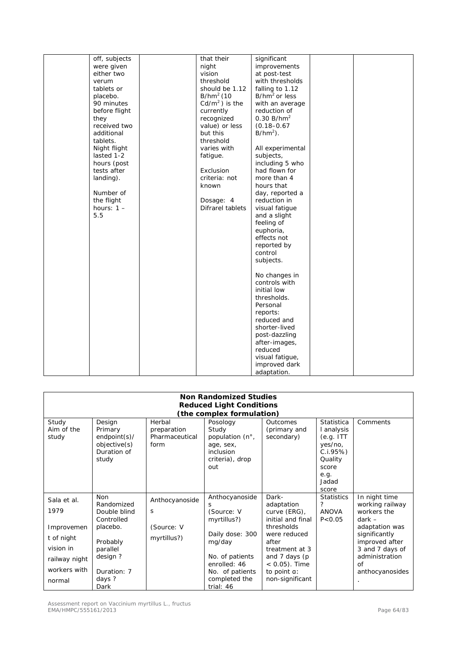| off, subjects | that their       | significant            |  |
|---------------|------------------|------------------------|--|
| were given    | night            | improvements           |  |
| either two    | vision           | at post-test           |  |
| verum         | threshold        | with thresholds        |  |
| tablets or    | should be 1.12   | falling to 1.12        |  |
| placebo.      | $B/hm2$ (10      | $B/hm2$ or less        |  |
| 90 minutes    | $Cd/m2$ ) is the | with an average        |  |
| before flight | currently        | reduction of           |  |
| they          | recognized       | 0.30 B/hm <sup>2</sup> |  |
| received two  | value) or less   | $(0.18 - 0.67)$        |  |
| additional    | but this         | $B/hm^2$ ).            |  |
| tablets.      | threshold        |                        |  |
| Night flight  | varies with      | All experimental       |  |
| lasted 1-2    | fatigue.         | subjects,              |  |
| hours (post   |                  | including 5 who        |  |
| tests after   | Exclusion        | had flown for          |  |
| landing).     | criteria: not    | more than 4            |  |
|               | known            | hours that             |  |
| Number of     |                  |                        |  |
|               |                  | day, reported a        |  |
| the flight    | Dosage: 4        | reduction in           |  |
| hours: $1 -$  | Difrarel tablets | visual fatigue         |  |
| 5.5           |                  | and a slight           |  |
|               |                  | feeling of             |  |
|               |                  | euphoria,              |  |
|               |                  | effects not            |  |
|               |                  | reported by            |  |
|               |                  | control                |  |
|               |                  | subjects.              |  |
|               |                  |                        |  |
|               |                  | No changes in          |  |
|               |                  | controls with          |  |
|               |                  | initial low            |  |
|               |                  | thresholds.            |  |
|               |                  | Personal               |  |
|               |                  | reports:               |  |
|               |                  | reduced and            |  |
|               |                  | shorter-lived          |  |
|               |                  | post-dazzling          |  |
|               |                  | after-images,          |  |
|               |                  | reduced                |  |
|               |                  | visual fatique,        |  |
|               |                  | improved dark          |  |
|               |                  |                        |  |
|               |                  | adaptation.            |  |

|                              | <b>Non Randomized Studies</b><br><b>Reduced Light Conditions</b>             |                                                 |                                                                                   |                                                 |                                                                                |                                  |  |  |
|------------------------------|------------------------------------------------------------------------------|-------------------------------------------------|-----------------------------------------------------------------------------------|-------------------------------------------------|--------------------------------------------------------------------------------|----------------------------------|--|--|
|                              |                                                                              |                                                 |                                                                                   |                                                 |                                                                                |                                  |  |  |
|                              |                                                                              |                                                 | (the complex formulation)                                                         |                                                 |                                                                                |                                  |  |  |
| Study<br>Aim of the<br>study | Design<br>Primary<br>$endpoint(s)$ /<br>objective(s)<br>Duration of<br>study | Herbal<br>preparation<br>Pharmaceutical<br>form | Posology<br>Study<br>population (n°,<br>age, sex,<br>inclusion<br>criteria), drop | Outcomes<br>(primary and<br>secondary)          | <b>Statistica</b><br>l analysis<br>(e.g. ITT)<br>yes/no,<br>C.I.95%<br>Quality | Comments                         |  |  |
|                              |                                                                              |                                                 | out                                                                               |                                                 | score<br>e.g.<br>Jadad<br>score                                                |                                  |  |  |
| Sala et al.                  | <b>Non</b><br>Randomized                                                     | Anthocyanoside                                  | Anthocyanoside<br>S                                                               | Dark-<br>adaptation                             | <b>Statistics</b><br>?                                                         | In night time<br>working railway |  |  |
| 1979                         | Double blind                                                                 | S                                               | (Source: V                                                                        | curve (ERG),                                    | <b>ANOVA</b>                                                                   | workers the                      |  |  |
| Improvemen                   | Controlled<br>placebo.                                                       | (Source: V                                      | myrtillus?)                                                                       | initial and final<br>thresholds<br>were reduced | P < 0.05                                                                       | $dark -$<br>adaptation was       |  |  |
| t of night                   | Probably                                                                     | myrtillus?)                                     | Daily dose: 300<br>mg/day                                                         | after                                           |                                                                                | significantly<br>improved after  |  |  |
| vision in                    | parallel                                                                     |                                                 |                                                                                   | treatment at 3                                  |                                                                                | 3 and 7 days of                  |  |  |
| railway night                | design?                                                                      |                                                 | No. of patients<br>enrolled: 46                                                   | and 7 days (p<br>$< 0.05$ ). Time               |                                                                                | administration<br>of             |  |  |
| workers with                 | Duration: 7                                                                  |                                                 | No. of patients                                                                   | to point a:                                     |                                                                                | anthocyanosides                  |  |  |
| normal                       | days?<br>Dark                                                                |                                                 | completed the<br>trial: 46                                                        | non-significant                                 |                                                                                |                                  |  |  |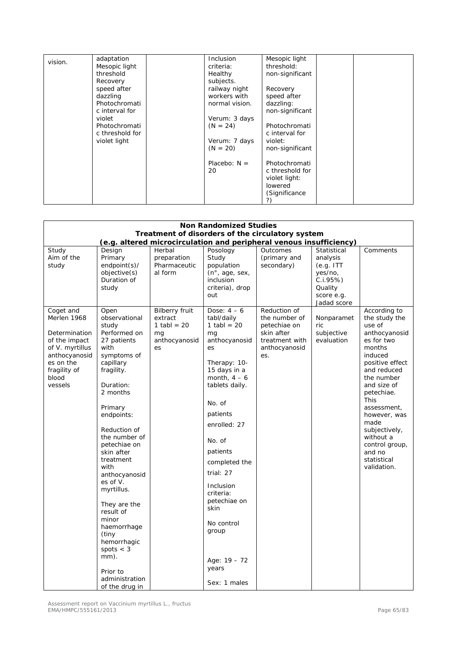| vision. | adaptation      | <b>Inclusion</b> | Mesopic light   |
|---------|-----------------|------------------|-----------------|
|         | Mesopic light   | criteria:        | threshold:      |
|         | threshold       | Healthy          | non-significant |
|         | Recovery        | subjects.        |                 |
|         | speed after     | railway night    | Recovery        |
|         | dazzling        | workers with     | speed after     |
|         | Photochromati   | normal vision.   | dazzling:       |
|         | c interval for  |                  | non-significant |
|         | violet          | Verum: 3 days    |                 |
|         | Photochromati   | $(N = 24)$       | Photochromati   |
|         | c threshold for |                  | c interval for  |
|         | violet light    | Verum: 7 days    | violet:         |
|         |                 | $(N = 20)$       | non-significant |
|         |                 |                  |                 |
|         |                 | Placebo: $N =$   | Photochromati   |
|         |                 | 20               | c threshold for |
|         |                 |                  | violet light:   |
|         |                 |                  | lowered         |
|         |                 |                  | (Significance   |
|         |                 |                  | ?)              |

| <b>Non Randomized Studies</b><br>Treatment of disorders of the circulatory system                                                               |                                                                                                                                                                                                                                                                                                                                                                                                                                                      |                                                                                |                                                                                                                                                                                                                                                                                                                                                         |                                                                                                       |                                                                                                     |                                                                                                                                                                                                                                                                                                                        |
|-------------------------------------------------------------------------------------------------------------------------------------------------|------------------------------------------------------------------------------------------------------------------------------------------------------------------------------------------------------------------------------------------------------------------------------------------------------------------------------------------------------------------------------------------------------------------------------------------------------|--------------------------------------------------------------------------------|---------------------------------------------------------------------------------------------------------------------------------------------------------------------------------------------------------------------------------------------------------------------------------------------------------------------------------------------------------|-------------------------------------------------------------------------------------------------------|-----------------------------------------------------------------------------------------------------|------------------------------------------------------------------------------------------------------------------------------------------------------------------------------------------------------------------------------------------------------------------------------------------------------------------------|
|                                                                                                                                                 |                                                                                                                                                                                                                                                                                                                                                                                                                                                      |                                                                                |                                                                                                                                                                                                                                                                                                                                                         | (e.g. altered microcirculation and peripheral venous insufficiency)                                   |                                                                                                     |                                                                                                                                                                                                                                                                                                                        |
| Study<br>Aim of the<br>study                                                                                                                    | Design<br>Primary<br>endpoint(s)/<br>objective(s)<br>Duration of<br>study                                                                                                                                                                                                                                                                                                                                                                            | Herbal<br>preparation<br>Pharmaceutic<br>al form                               | Posology<br>Study<br>population<br>$(n^{\circ}, \text{age}, \text{sex})$<br>inclusion<br>criteria), drop<br>out                                                                                                                                                                                                                                         | Outcomes<br>(primary and<br>secondary)                                                                | Statistical<br>analysis<br>(e.g. ITT)<br>yes/no,<br>C.I.95%<br>Quality<br>score e.g.<br>Jadad score | Comments                                                                                                                                                                                                                                                                                                               |
| Coget and<br>Merlen 1968<br>Determination<br>of the impact<br>of V. myrtillus<br>anthocyanosid<br>es on the<br>fragility of<br>blood<br>vessels | Open<br>observational<br>study<br>Performed on<br>27 patients<br>with<br>symptoms of<br>capillary<br>fragility.<br>Duration:<br>2 months<br>Primary<br>endpoints:<br>Reduction of<br>the number of<br>petechiae on<br>skin after<br>treatment<br>with<br>anthocyanosid<br>es of V.<br>myrtillus.<br>They are the<br>result of<br>minor<br>haemorrhage<br>(tiny<br>hemorrhagic<br>spots $<$ 3<br>mm).<br>Prior to<br>administration<br>of the drug in | <b>Bilberry fruit</b><br>extract<br>1 tabl = $20$<br>mq<br>anthocyanosid<br>es | Dose: $4-6$<br>tabl/daily<br>1 tabl = $20$<br>mq<br>anthocyanosid<br>es<br>Therapy: 10-<br>15 days in a<br>month, $4-6$<br>tablets daily.<br>No. of<br>patients<br>enrolled: 27<br>No. of<br>patients<br>completed the<br>trial: 27<br>Inclusion<br>criteria:<br>petechiae on<br>skin<br>No control<br>group<br>Age: $19 - 72$<br>years<br>Sex: 1 males | Reduction of<br>the number of<br>petechiae on<br>skin after<br>treatment with<br>anthocyanosid<br>es. | Nonparamet<br>ric<br>subjective<br>evaluation                                                       | According to<br>the study the<br>use of<br>anthocyanosid<br>es for two<br>months<br>induced<br>positive effect<br>and reduced<br>the number<br>and size of<br>petechiae.<br><b>This</b><br>assessment,<br>however, was<br>made<br>subjectively,<br>without a<br>control group,<br>and no<br>statistical<br>validation. |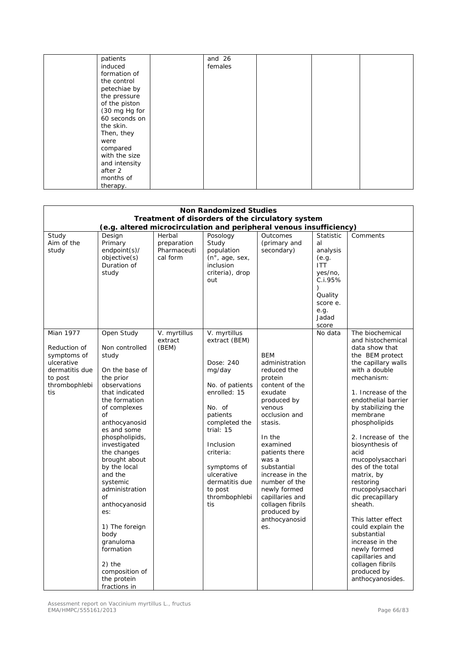| patients      | and 26  |  |  |
|---------------|---------|--|--|
|               |         |  |  |
| induced       | females |  |  |
| formation of  |         |  |  |
| the control   |         |  |  |
| petechiae by  |         |  |  |
| the pressure  |         |  |  |
| of the piston |         |  |  |
| (30 mg Hg for |         |  |  |
| 60 seconds on |         |  |  |
| the skin.     |         |  |  |
| Then, they    |         |  |  |
| were          |         |  |  |
| compared      |         |  |  |
| with the size |         |  |  |
| and intensity |         |  |  |
| after 2       |         |  |  |
| months of     |         |  |  |
| therapy.      |         |  |  |

| <b>Non Randomized Studies</b>                                                                                      |                                                                                                                                                                                                                                                                                                                                                                                                                                                       |                                                  |                                                                                                                                                                                                                                                           |                                                                                                                                                                                                                                                                                                                                            |                                                                                                                                               |                                                                                                                                                                                                                                                                                                                                                                                                                                                                                                                                                                               |  |  |
|--------------------------------------------------------------------------------------------------------------------|-------------------------------------------------------------------------------------------------------------------------------------------------------------------------------------------------------------------------------------------------------------------------------------------------------------------------------------------------------------------------------------------------------------------------------------------------------|--------------------------------------------------|-----------------------------------------------------------------------------------------------------------------------------------------------------------------------------------------------------------------------------------------------------------|--------------------------------------------------------------------------------------------------------------------------------------------------------------------------------------------------------------------------------------------------------------------------------------------------------------------------------------------|-----------------------------------------------------------------------------------------------------------------------------------------------|-------------------------------------------------------------------------------------------------------------------------------------------------------------------------------------------------------------------------------------------------------------------------------------------------------------------------------------------------------------------------------------------------------------------------------------------------------------------------------------------------------------------------------------------------------------------------------|--|--|
|                                                                                                                    | Treatment of disorders of the circulatory system                                                                                                                                                                                                                                                                                                                                                                                                      |                                                  |                                                                                                                                                                                                                                                           |                                                                                                                                                                                                                                                                                                                                            |                                                                                                                                               |                                                                                                                                                                                                                                                                                                                                                                                                                                                                                                                                                                               |  |  |
|                                                                                                                    |                                                                                                                                                                                                                                                                                                                                                                                                                                                       |                                                  |                                                                                                                                                                                                                                                           | (e.g. altered microcirculation and peripheral venous insufficiency)                                                                                                                                                                                                                                                                        |                                                                                                                                               |                                                                                                                                                                                                                                                                                                                                                                                                                                                                                                                                                                               |  |  |
| Study<br>Aim of the<br>study                                                                                       | Design<br>Primary<br>$endpoint(s)$ /<br>objective(s)<br>Duration of<br>study                                                                                                                                                                                                                                                                                                                                                                          | Herbal<br>preparation<br>Pharmaceuti<br>cal form | Posology<br>Study<br>population<br>$(n^{\circ}, aqe, sex,$<br>inclusion<br>criteria), drop<br>out                                                                                                                                                         | Outcomes<br>(primary and<br>secondary)                                                                                                                                                                                                                                                                                                     | <b>Statistic</b><br>al<br>analysis<br>(e.g.<br><b>ITT</b><br>yes/no,<br>C.i.95%<br>$\lambda$<br>Quality<br>score e.<br>e.g.<br>Jadad<br>score | Comments                                                                                                                                                                                                                                                                                                                                                                                                                                                                                                                                                                      |  |  |
| <b>Mian 1977</b><br>Reduction of<br>symptoms of<br>ulcerative<br>dermatitis due<br>to post<br>thrombophlebi<br>tis | Open Study<br>Non controlled<br>study<br>On the base of<br>the prior<br>observations<br>that indicated<br>the formation<br>of complexes<br>of<br>anthocyanosid<br>es and some<br>phospholipids,<br>investigated<br>the changes<br>brought about<br>by the local<br>and the<br>systemic<br>administration<br>of<br>anthocyanosid<br>es:<br>1) The foreign<br>body<br>granuloma<br>formation<br>2) the<br>composition of<br>the protein<br>fractions in | V. myrtillus<br>extract<br>(BEM)                 | V. myrtillus<br>extract (BEM)<br>Dose: 240<br>mg/day<br>No. of patients<br>enrolled: 15<br>No. of<br>patients<br>completed the<br>trial: $15$<br>Inclusion<br>criteria:<br>symptoms of<br>ulcerative<br>dermatitis due<br>to post<br>thrombophlebi<br>tis | <b>BEM</b><br>administration<br>reduced the<br>protein<br>content of the<br>exudate<br>produced by<br>venous<br>occlusion and<br>stasis.<br>In the<br>examined<br>patients there<br>was a<br>substantial<br>increase in the<br>number of the<br>newly formed<br>capillaries and<br>collagen fibrils<br>produced by<br>anthocyanosid<br>es. | No data                                                                                                                                       | The biochemical<br>and histochemical<br>data show that<br>the BEM protect<br>the capillary walls<br>with a double<br>mechanism:<br>1. Increase of the<br>endothelial barrier<br>by stabilizing the<br>membrane<br>phospholipids<br>2. Increase of the<br>biosynthesis of<br>acid<br>mucopolysacchari<br>des of the total<br>matrix, by<br>restoring<br>mucopolysacchari<br>dic precapillary<br>sheath.<br>This latter effect<br>could explain the<br>substantial<br>increase in the<br>newly formed<br>capillaries and<br>collagen fibrils<br>produced by<br>anthocyanosides. |  |  |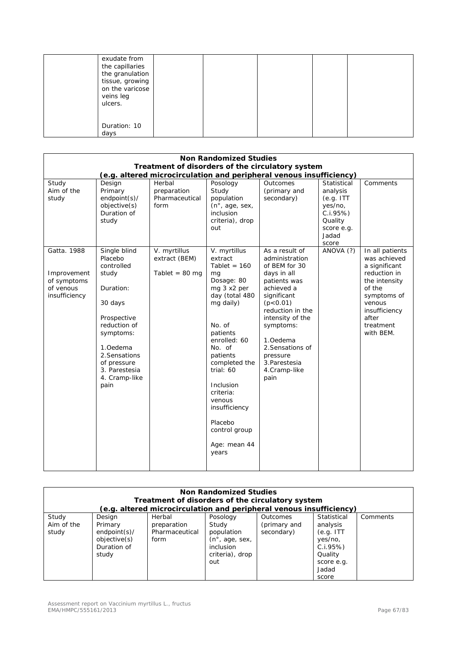| veins leg<br>ulcers. | exudate from<br>the capillaries<br>the granulation<br>tissue, growing<br>on the varicose |  |  |
|----------------------|------------------------------------------------------------------------------------------|--|--|
| days                 | Duration: 10                                                                             |  |  |

| <b>Non Randomized Studies</b>                                           |                                                                                                                                                                                                          |                                                           |                                                                                                                                                                                                                                                                                                                 |                                                                                                                                                                                                                                                                       |                                                                                                        |                                                                                                                                                                          |  |  |
|-------------------------------------------------------------------------|----------------------------------------------------------------------------------------------------------------------------------------------------------------------------------------------------------|-----------------------------------------------------------|-----------------------------------------------------------------------------------------------------------------------------------------------------------------------------------------------------------------------------------------------------------------------------------------------------------------|-----------------------------------------------------------------------------------------------------------------------------------------------------------------------------------------------------------------------------------------------------------------------|--------------------------------------------------------------------------------------------------------|--------------------------------------------------------------------------------------------------------------------------------------------------------------------------|--|--|
|                                                                         | Treatment of disorders of the circulatory system<br>(e.g. altered microcirculation and peripheral venous insufficiency)                                                                                  |                                                           |                                                                                                                                                                                                                                                                                                                 |                                                                                                                                                                                                                                                                       |                                                                                                        |                                                                                                                                                                          |  |  |
| Study<br>Aim of the<br>study                                            | Design<br>Primary<br>endpoint(s)/<br>objective(s)<br>Duration of<br>study                                                                                                                                | Herbal<br>preparation<br>Pharmaceutical<br>form           | Posology<br>Study<br>population<br>(n°, age, sex,<br>inclusion<br>criteria), drop<br>out                                                                                                                                                                                                                        | Outcomes<br>(primary and<br>secondary)                                                                                                                                                                                                                                | Statistical<br>analysis<br>(e.g. ITT)<br>yes/no,<br>C.1.95%<br>Quality<br>score e.g.<br>Jadad<br>score | Comments                                                                                                                                                                 |  |  |
| Gatta, 1988<br>Improvement<br>of symptoms<br>of venous<br>insufficiency | Single blind<br>Placebo<br>controlled<br>study<br>Duration:<br>30 days<br>Prospective<br>reduction of<br>symptoms:<br>1.Oedema<br>2. Sensations<br>of pressure<br>3. Parestesia<br>4. Cramp-like<br>pain | V. myrtillus<br>extract (BEM)<br>Tablet = $80 \text{ mg}$ | V. myrtillus<br>extract<br>Tablet = $160$<br>mq<br>Dosage: 80<br>mg 3 x2 per<br>day (total 480<br>mg daily)<br>No. of<br>patients<br>enrolled: 60<br>No. of<br>patients<br>completed the<br>trial: 60<br>Inclusion<br>criteria:<br>venous<br>insufficiency<br>Placebo<br>control group<br>Age: mean 44<br>years | As a result of<br>administration<br>of BEM for 30<br>days in all<br>patients was<br>achieved a<br>significant<br>(p < 0.01)<br>reduction in the<br>intensity of the<br>symptoms:<br>1.Oedema<br>2. Sensations of<br>pressure<br>3. Parestesia<br>4.Cramp-like<br>pain | ANOVA (?)                                                                                              | In all patients<br>was achieved<br>a significant<br>reduction in<br>the intensity<br>of the<br>symptoms of<br>venous<br>insufficiency<br>after<br>treatment<br>with BEM. |  |  |

| <b>Non Randomized Studies</b><br>Treatment of disorders of the circulatory system<br>(e.g. altered microcirculation and peripheral venous insufficiency) |                                                                              |                                                 |                                                                                                                 |                                        |                                                                                                        |          |  |
|----------------------------------------------------------------------------------------------------------------------------------------------------------|------------------------------------------------------------------------------|-------------------------------------------------|-----------------------------------------------------------------------------------------------------------------|----------------------------------------|--------------------------------------------------------------------------------------------------------|----------|--|
| Study<br>Aim of the<br>study                                                                                                                             | Design<br>Primary<br>$endpoint(s)$ /<br>objective(s)<br>Duration of<br>study | Herbal<br>preparation<br>Pharmaceutical<br>form | Posology<br>Study<br>population<br>$(n^{\circ}, \text{age}, \text{sex})$<br>inclusion<br>criteria), drop<br>out | Outcomes<br>(primary and<br>secondary) | Statistical<br>analysis<br>(e.g. ITT)<br>yes/no,<br>C.I.95%<br>Quality<br>score e.g.<br>Jadad<br>score | Comments |  |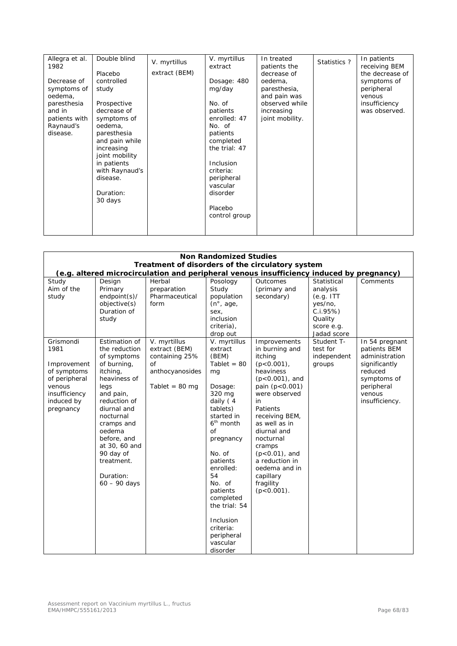| Allegra et al.<br>1982<br>Decrease of            | Double blind<br>Placebo<br>controlled                                                                                                                            | V. myrtillus<br>extract (BEM) | V. myrtillus<br>extract<br>Dosage: 480<br>mg/day                                                                                             | In treated<br>patients the<br>decrease of<br>oedema, | Statistics ? | In patients<br>receiving BEM<br>the decrease of<br>symptoms of |
|--------------------------------------------------|------------------------------------------------------------------------------------------------------------------------------------------------------------------|-------------------------------|----------------------------------------------------------------------------------------------------------------------------------------------|------------------------------------------------------|--------------|----------------------------------------------------------------|
| symptoms of<br>oedema,                           | study                                                                                                                                                            |                               |                                                                                                                                              | paresthesia,<br>and pain was                         |              | peripheral<br>venous                                           |
| paresthesia                                      | Prospective                                                                                                                                                      |                               | No. of                                                                                                                                       | observed while                                       |              | insufficiency                                                  |
| and in<br>patients with<br>Raynaud's<br>disease. | decrease of<br>symptoms of<br>oedema,<br>paresthesia<br>and pain while<br>increasing<br>joint mobility<br>in patients<br>with Raynaud's<br>disease.<br>Duration: |                               | patients<br>enrolled: 47<br>No. of<br>patients<br>completed<br>the trial: 47<br>Inclusion<br>criteria:<br>peripheral<br>vascular<br>disorder | increasing<br>joint mobility.                        |              | was observed.                                                  |
|                                                  | 30 days                                                                                                                                                          |                               |                                                                                                                                              |                                                      |              |                                                                |
|                                                  |                                                                                                                                                                  |                               | Placebo<br>control group                                                                                                                     |                                                      |              |                                                                |
|                                                  |                                                                                                                                                                  |                               |                                                                                                                                              |                                                      |              |                                                                |

|                                                                                                                        | <b>Non Randomized Studies</b><br>Treatment of disorders of the circulatory system<br>(e.g. altered microcirculation and peripheral venous insufficiency induced by pregnancy)                                                                                               |                                                                                                             |                                                                                                                                                                                                                                                                                                                      |                                                                                                                                                                                                                                                                                                                              |                                                                                                         |                                                                                                                                       |  |  |
|------------------------------------------------------------------------------------------------------------------------|-----------------------------------------------------------------------------------------------------------------------------------------------------------------------------------------------------------------------------------------------------------------------------|-------------------------------------------------------------------------------------------------------------|----------------------------------------------------------------------------------------------------------------------------------------------------------------------------------------------------------------------------------------------------------------------------------------------------------------------|------------------------------------------------------------------------------------------------------------------------------------------------------------------------------------------------------------------------------------------------------------------------------------------------------------------------------|---------------------------------------------------------------------------------------------------------|---------------------------------------------------------------------------------------------------------------------------------------|--|--|
| Study<br>Aim of the<br>study                                                                                           | Design<br>Primary<br>endpoint(s)/<br>objective(s)<br>Duration of<br>study                                                                                                                                                                                                   | Herbal<br>preparation<br>Pharmaceutical<br>form                                                             | Posology<br>Study<br>population<br>$(n^{\circ}, age,$<br>sex,<br>inclusion<br>criteria),<br>drop out                                                                                                                                                                                                                 | Outcomes<br>(primary and<br>secondary)                                                                                                                                                                                                                                                                                       | Statistical<br>analysis<br>(e.g. ITT)<br>yes/no,<br>$C.I.95\%)$<br>Quality<br>score e.g.<br>Jadad score | Comments                                                                                                                              |  |  |
| Grismondi<br>1981<br>Improvement<br>of symptoms<br>of peripheral<br>venous<br>insufficiency<br>induced by<br>pregnancy | Estimation of<br>the reduction<br>of symptoms<br>of burning,<br>itching,<br>heaviness of<br>legs<br>and pain,<br>reduction of<br>diurnal and<br>nocturnal<br>cramps and<br>oedema<br>before, and<br>at 30, 60 and<br>90 day of<br>treatment.<br>Duration:<br>$60 - 90$ days | V. myrtillus<br>extract (BEM)<br>containing 25%<br><b>of</b><br>anthocyanosides<br>Tablet = $80 \text{ mg}$ | V. myrtillus<br>extract<br>(BEM)<br>Tablet = $80$<br>mg<br>Dosage:<br>320 mg<br>daily $(4)$<br>tablets)<br>started in<br>$6th$ month<br>of<br>pregnancy<br>No. of<br>patients<br>enrolled:<br>54<br>No. of<br>patients<br>completed<br>the trial: 54<br>Inclusion<br>criteria:<br>peripheral<br>vascular<br>disorder | Improvements<br>in burning and<br>itching<br>$(p<0.001)$ ,<br>heaviness<br>$(p<0.001)$ , and<br>pain (p<0.001)<br>were observed<br>in<br>Patients<br>receiving BEM,<br>as well as in<br>diurnal and<br>nocturnal<br>cramps<br>$(p<0.01)$ , and<br>a reduction in<br>oedema and in<br>capillary<br>fragility<br>$(p<0.001)$ . | Student T-<br>test for<br>independent<br>groups                                                         | In 54 pregnant<br>patients BEM<br>administration<br>significantly<br>reduced<br>symptoms of<br>peripheral<br>venous<br>insufficiency. |  |  |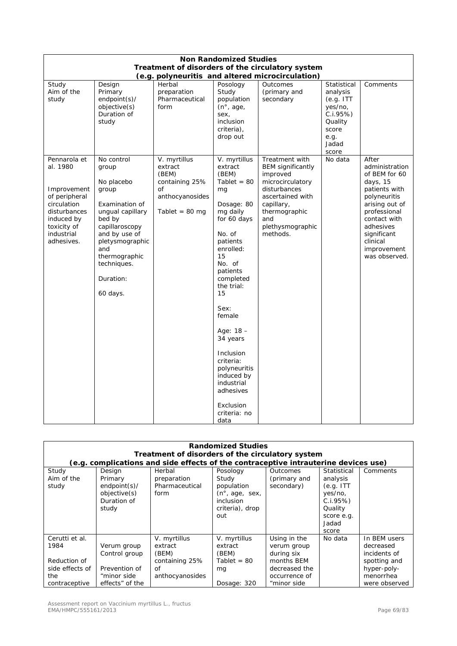| <b>Non Randomized Studies</b>                                                                                                                    |                                                                                                                                                                                                                  |                                                                                                         |                                                                                                                                                                                                                                                                                                                                                                       |                                                                                                                                                                                      |                                                                                                           |                                                                                                                                                                                                                 |  |
|--------------------------------------------------------------------------------------------------------------------------------------------------|------------------------------------------------------------------------------------------------------------------------------------------------------------------------------------------------------------------|---------------------------------------------------------------------------------------------------------|-----------------------------------------------------------------------------------------------------------------------------------------------------------------------------------------------------------------------------------------------------------------------------------------------------------------------------------------------------------------------|--------------------------------------------------------------------------------------------------------------------------------------------------------------------------------------|-----------------------------------------------------------------------------------------------------------|-----------------------------------------------------------------------------------------------------------------------------------------------------------------------------------------------------------------|--|
|                                                                                                                                                  |                                                                                                                                                                                                                  |                                                                                                         |                                                                                                                                                                                                                                                                                                                                                                       | Treatment of disorders of the circulatory system<br>(e.g. polyneuritis and altered microcirculation)                                                                                 |                                                                                                           |                                                                                                                                                                                                                 |  |
| Study<br>Aim of the<br>study                                                                                                                     | Design<br>Primary<br>endpoint(s)/<br>objective(s)<br>Duration of<br>study                                                                                                                                        | Herbal<br>preparation<br>Pharmaceutical<br>form                                                         | Posology<br>Study<br>population<br>(n <sup>°</sup> , age,<br>sex,<br>inclusion<br>criteria),<br>drop out                                                                                                                                                                                                                                                              | Outcomes<br>(primary and<br>secondary                                                                                                                                                | Statistical<br>analysis<br>(e.g. ITT)<br>yes/no,<br>C.I.95%<br>Quality<br>score<br>e.g.<br>Jadad<br>score | Comments                                                                                                                                                                                                        |  |
| Pennarola et<br>al. 1980<br>Improvement<br>of peripheral<br>circulation<br>disturbances<br>induced by<br>toxicity of<br>industrial<br>adhesives. | No control<br>group<br>No placebo<br>group<br>Examination of<br>ungual capillary<br>bed by<br>capillaroscopy<br>and by use of<br>pletysmographic<br>and<br>thermographic<br>techniques.<br>Duration:<br>60 days. | V. myrtillus<br>extract<br>(BEM)<br>containing 25%<br>of<br>anthocyanosides<br>Tablet = $80 \text{ mg}$ | V. myrtillus<br>extract<br>(BEM)<br>Tablet = $80$<br>mg<br>Dosage: 80<br>mg daily<br>for 60 days<br>No. of<br>patients<br>enrolled:<br>15<br>No. of<br>patients<br>completed<br>the trial:<br>15<br>Sex:<br>female<br>Age: $18 -$<br>34 years<br>Inclusion<br>criteria:<br>polyneuritis<br>induced by<br>industrial<br>adhesives<br>Exclusion<br>criteria: no<br>data | Treatment with<br><b>BEM</b> significantly<br>improved<br>microcirculatory<br>disturbances<br>ascertained with<br>capillary,<br>thermographic<br>and<br>plethysmographic<br>methods. | No data                                                                                                   | After<br>administration<br>of BEM for 60<br>days, 15<br>patients with<br>polyneuritis<br>arising out of<br>professional<br>contact with<br>adhesives<br>significant<br>clinical<br>improvement<br>was observed. |  |

| <b>Randomized Studies</b><br>Treatment of disorders of the circulatory system<br>(e.g. complications and side effects of the contraceptive intrauterine devices use) |                                                                                 |                                                                             |                                                                                                                 |                                                                                                          |                                                                                                        |                                                                                                        |  |  |
|----------------------------------------------------------------------------------------------------------------------------------------------------------------------|---------------------------------------------------------------------------------|-----------------------------------------------------------------------------|-----------------------------------------------------------------------------------------------------------------|----------------------------------------------------------------------------------------------------------|--------------------------------------------------------------------------------------------------------|--------------------------------------------------------------------------------------------------------|--|--|
| Study<br>Aim of the<br>study                                                                                                                                         | Design<br>Primary<br>$endpoint(s)$ /<br>objective(s)<br>Duration of<br>study    | Herbal<br>preparation<br>Pharmaceutical<br>form                             | Posology<br>Study<br>population<br>$(n^{\circ}, \text{age}, \text{sex})$<br>inclusion<br>criteria), drop<br>out | <b>Outcomes</b><br>(primary and<br>secondary)                                                            | Statistical<br>analysis<br>(e.g. ITT)<br>yes/no,<br>C.I.95%<br>Quality<br>score e.g.<br>Jadad<br>score | Comments                                                                                               |  |  |
| Cerutti et al.<br>1984<br>Reduction of<br>side effects of<br>the<br>contraceptive                                                                                    | Verum group<br>Control group<br>Prevention of<br>"minor side<br>effects" of the | V. myrtillus<br>extract<br>(BEM)<br>containing 25%<br>of<br>anthocyanosides | V. myrtillus<br>extract<br>(BEM)<br>Tablet = $80$<br>mg<br>Dosage: 320                                          | Using in the<br>verum group<br>during six<br>months BEM<br>decreased the<br>occurrence of<br>"minor side | No data                                                                                                | In BEM users<br>decreased<br>incidents of<br>spotting and<br>hyper-poly-<br>menorrhea<br>were observed |  |  |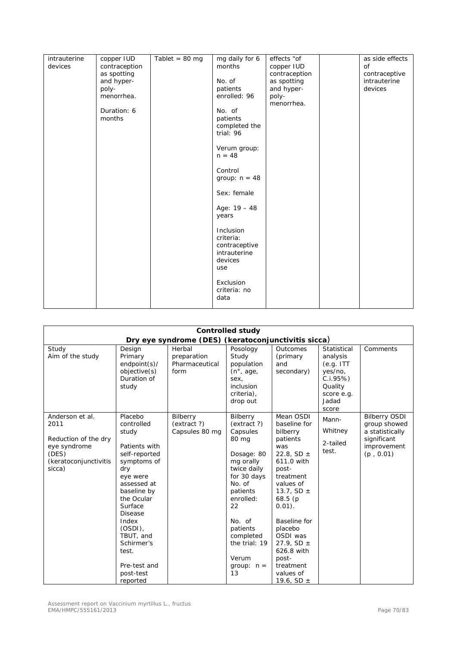| intrauterine | copper IUD    | Tablet = $80 \text{ mg}$ | mg daily for 6  | effects "of   | as side effects |
|--------------|---------------|--------------------------|-----------------|---------------|-----------------|
| devices      |               |                          | months          |               | of              |
|              | contraception |                          |                 | copper IUD    |                 |
|              | as spotting   |                          |                 | contraception | contraceptive   |
|              | and hyper-    |                          | No. of          | as spotting   | intrauterine    |
|              | poly-         |                          | patients        | and hyper-    | devices         |
|              | menorrhea.    |                          | enrolled: 96    | poly-         |                 |
|              |               |                          |                 | menorrhea.    |                 |
|              | Duration: 6   |                          | No. of          |               |                 |
|              | months        |                          | patients        |               |                 |
|              |               |                          | completed the   |               |                 |
|              |               |                          | trial: 96       |               |                 |
|              |               |                          |                 |               |                 |
|              |               |                          |                 |               |                 |
|              |               |                          | Verum group:    |               |                 |
|              |               |                          | $n = 48$        |               |                 |
|              |               |                          |                 |               |                 |
|              |               |                          | Control         |               |                 |
|              |               |                          | group: $n = 48$ |               |                 |
|              |               |                          |                 |               |                 |
|              |               |                          | Sex: female     |               |                 |
|              |               |                          |                 |               |                 |
|              |               |                          | Age: $19 - 48$  |               |                 |
|              |               |                          | years           |               |                 |
|              |               |                          |                 |               |                 |
|              |               |                          | Inclusion       |               |                 |
|              |               |                          | criteria:       |               |                 |
|              |               |                          | contraceptive   |               |                 |
|              |               |                          | intrauterine    |               |                 |
|              |               |                          |                 |               |                 |
|              |               |                          | devices         |               |                 |
|              |               |                          | use             |               |                 |
|              |               |                          |                 |               |                 |
|              |               |                          | Exclusion       |               |                 |
|              |               |                          | criteria: no    |               |                 |
|              |               |                          | data            |               |                 |
|              |               |                          |                 |               |                 |

| <b>Controlled study</b>                                                                                     |                                                                                                                                                                                                                                                                                 |                                                 |                                                                                                                                                                                                                                   |                                                                                                                                                                                                                                                                                                   |                                                                                                       |                                                                                                    |  |
|-------------------------------------------------------------------------------------------------------------|---------------------------------------------------------------------------------------------------------------------------------------------------------------------------------------------------------------------------------------------------------------------------------|-------------------------------------------------|-----------------------------------------------------------------------------------------------------------------------------------------------------------------------------------------------------------------------------------|---------------------------------------------------------------------------------------------------------------------------------------------------------------------------------------------------------------------------------------------------------------------------------------------------|-------------------------------------------------------------------------------------------------------|----------------------------------------------------------------------------------------------------|--|
| Dry eye syndrome (DES) (keratoconjunctivitis sicca)                                                         |                                                                                                                                                                                                                                                                                 |                                                 |                                                                                                                                                                                                                                   |                                                                                                                                                                                                                                                                                                   |                                                                                                       |                                                                                                    |  |
| Study<br>Aim of the study                                                                                   | Design<br>Primary<br>$endpoint(s)$ /<br>objective(s)<br>Duration of<br>study                                                                                                                                                                                                    | Herbal<br>preparation<br>Pharmaceutical<br>form | Posology<br>Study<br>population<br>$(n^{\circ}, \text{age})$<br>sex,<br>inclusion<br>criteria),<br>drop out                                                                                                                       | Outcomes<br>(primary<br>and<br>secondary)                                                                                                                                                                                                                                                         | Statistical<br>analysis<br>(e.q. ITT<br>yes/no,<br>C.i.95%<br>Quality<br>score e.g.<br>Jadad<br>score | Comments                                                                                           |  |
| Anderson et al.<br>2011<br>Reduction of the dry<br>eye syndrome<br>(DES)<br>(keratoconjunctivitis<br>sicca) | Placebo<br>controlled<br>study<br>Patients with<br>self-reported<br>symptoms of<br>dry<br>eye were<br>assessed at<br>baseline by<br>the Ocular<br>Surface<br><b>Disease</b><br>Index<br>$(OSDI)$ ,<br>TBUT, and<br>Schirmer's<br>test.<br>Pre-test and<br>post-test<br>reported | Bilberry<br>(extract ?)<br>Capsules 80 mg       | Bilberry<br>(extract ?)<br>Capsules<br>80 mg<br>Dosage: 80<br>mg orally<br>twice daily<br>for 30 days<br>No. of<br>patients<br>enrolled:<br>22<br>No. of<br>patients<br>completed<br>the trial: 19<br>Verum<br>group: $n =$<br>13 | Mean OSDI<br>baseline for<br>bilberry<br>patients<br>was<br>22.8, SD $\pm$<br>611.0 with<br>post-<br>treatment<br>values of<br>13.7, SD $\pm$<br>68.5(p)<br>$0.01$ ).<br>Baseline for<br>placebo<br>OSDI was<br>27.9, SD $\pm$<br>626.8 with<br>post-<br>treatment<br>values of<br>19.6, SD $\pm$ | Mann-<br>Whitney<br>2-tailed<br>test.                                                                 | <b>Bilberry OSDI</b><br>group showed<br>a statistically<br>significant<br>improvement<br>(p, 0.01) |  |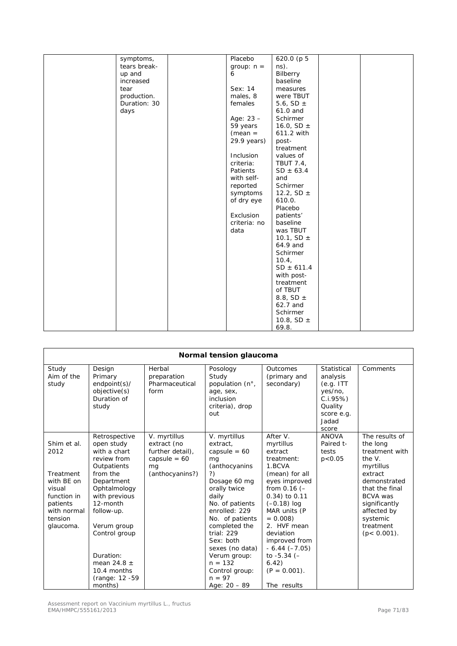| symptoms,    | Placebo      | 620.0 (p 5       |  |
|--------------|--------------|------------------|--|
| tears break- | group: $n =$ | ns).             |  |
| up and       | 6            | Bilberry         |  |
|              |              |                  |  |
| increased    |              | baseline         |  |
| tear         | Sex: 14      | measures         |  |
| production.  | males, 8     | were TBUT        |  |
| Duration: 30 | females      | 5.6, SD $\pm$    |  |
| days         |              | 61.0 and         |  |
|              | Age: 23 -    | Schirmer         |  |
|              | 59 years     | 16.0, SD $\pm$   |  |
|              | $(mean =$    | 611.2 with       |  |
|              | 29.9 years)  | post-            |  |
|              |              | treatment        |  |
|              | Inclusion    | values of        |  |
|              | criteria:    | <b>TBUT 7.4,</b> |  |
|              | Patients     | $SD \pm 63.4$    |  |
|              | with self-   | and              |  |
|              | reported     | Schirmer         |  |
|              | symptoms     | 12.2, SD $\pm$   |  |
|              | of dry eye   | 610.0.           |  |
|              |              | Placebo          |  |
|              | Exclusion    | patients'        |  |
|              | criteria: no | baseline         |  |
|              | data         | was TBUT         |  |
|              |              | 10.1, SD $\pm$   |  |
|              |              | 64.9 and         |  |
|              |              | Schirmer         |  |
|              |              | 10.4,            |  |
|              |              | $SD \pm 611.4$   |  |
|              |              | with post-       |  |
|              |              | treatment        |  |
|              |              | of TBUT          |  |
|              |              | 8.8, SD $\pm$    |  |
|              |              | 62.7 and         |  |
|              |              |                  |  |
|              |              | Schirmer         |  |
|              |              | 10.8, SD $\pm$   |  |
|              |              | 69.8.            |  |

| Normal tension glaucoma                                                                                                    |                                                                                                                                                                                                                                                                            |                                                                                            |                                                                                                                                                                                                                                                                                                                     |                                                                                                                                                                                                                                                                                                             |                                                                                                        |                                                                                                                                                                                                                    |  |
|----------------------------------------------------------------------------------------------------------------------------|----------------------------------------------------------------------------------------------------------------------------------------------------------------------------------------------------------------------------------------------------------------------------|--------------------------------------------------------------------------------------------|---------------------------------------------------------------------------------------------------------------------------------------------------------------------------------------------------------------------------------------------------------------------------------------------------------------------|-------------------------------------------------------------------------------------------------------------------------------------------------------------------------------------------------------------------------------------------------------------------------------------------------------------|--------------------------------------------------------------------------------------------------------|--------------------------------------------------------------------------------------------------------------------------------------------------------------------------------------------------------------------|--|
| Study<br>Aim of the<br>study                                                                                               | Design<br>Primary<br>endpoint(s)/<br>objective(s)<br>Duration of<br>study                                                                                                                                                                                                  | Herbal<br>preparation<br>Pharmaceutical<br>form                                            | Posology<br>Study<br>population (n°,<br>age, sex,<br>inclusion<br>criteria), drop<br>out                                                                                                                                                                                                                            | Outcomes<br>(primary and<br>secondary)                                                                                                                                                                                                                                                                      | Statistical<br>analysis<br>(e.g. ITT)<br>yes/no,<br>C.I.95%<br>Quality<br>score e.g.<br>Jadad<br>score | Comments                                                                                                                                                                                                           |  |
| Shim et al.<br>2012<br>Treatment<br>with BE on<br>visual<br>function in<br>patients<br>with normal<br>tension<br>glaucoma. | Retrospective<br>open study<br>with a chart<br>review from<br>Outpatients<br>from the<br>Department<br>Ophtalmology<br>with previous<br>12-month<br>follow-up.<br>Verum group<br>Control group<br>Duration:<br>mean 24.8 $\pm$<br>10.4 months<br>(range: 12 -59<br>months) | V. myrtillus<br>extract (no<br>further detail),<br>capsule = $60$<br>mq<br>(anthocyanins?) | V. myrtillus<br>extract,<br>capsule = $60$<br>mq<br>(anthocyanins<br>?)<br>Dosage 60 mg<br>orally twice<br>daily<br>No. of patients<br>enrolled: 229<br>No. of patients<br>completed the<br>trial: 229<br>Sex: both<br>sexes (no data)<br>Verum group:<br>$n = 132$<br>Control group:<br>$n = 97$<br>Age: $20 - 89$ | After V.<br>myrtillus<br>extract<br>treatment:<br>1.BCVA<br>(mean) for all<br>eyes improved<br>from $0.16$ (-<br>0.34) to 0.11<br>$(-0.18)$ log<br>MAR units (P<br>$= 0.008$<br>2. HVF mean<br>deviation<br>improved from<br>$-6.44 (-7.05)$<br>to $-5.34$ ( $-$<br>6.42)<br>$(P = 0.001)$ .<br>The results | <b>ANOVA</b><br>Paired t-<br>tests<br>p < 0.05                                                         | The results of<br>the long<br>treatment with<br>the $V$ .<br>myrtillus<br>extract<br>demonstrated<br>that the final<br><b>BCVA</b> was<br>significantly<br>affected by<br>systemic<br>treatment<br>$(p < 0.001)$ . |  |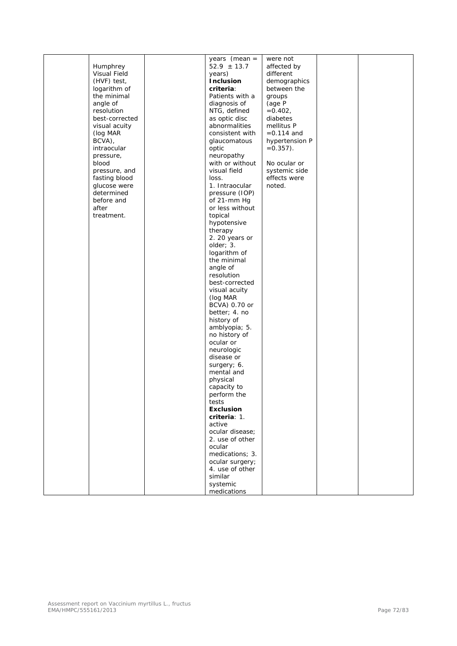|                | years (mean =    | were not       |  |
|----------------|------------------|----------------|--|
| Humphrey       | $52.9 \pm 13.7$  | affected by    |  |
| Visual Field   | years)           | different      |  |
| (HVF) test,    | Inclusion        | demographics   |  |
| logarithm of   | criteria:        | between the    |  |
| the minimal    | Patients with a  | groups         |  |
| angle of       | diagnosis of     | (age P         |  |
| resolution     | NTG, defined     | $=0.402,$      |  |
| best-corrected | as optic disc    | diabetes       |  |
| visual acuity  | abnormalities    | mellitus P     |  |
| (log MAR       | consistent with  | $= 0.114$ and  |  |
| BCVA),         | glaucomatous     | hypertension P |  |
| intraocular    | optic            | $=0.357$ ).    |  |
| pressure,      | neuropathy       |                |  |
| blood          | with or without  | No ocular or   |  |
| pressure, and  | visual field     | systemic side  |  |
| fasting blood  | loss.            | effects were   |  |
| glucose were   | 1. Intraocular   | noted.         |  |
| determined     | pressure (IOP)   |                |  |
| before and     | of 21-mm Hg      |                |  |
| after          | or less without  |                |  |
| treatment.     |                  |                |  |
|                | topical          |                |  |
|                | hypotensive      |                |  |
|                | therapy          |                |  |
|                | 2. 20 years or   |                |  |
|                | older; 3.        |                |  |
|                | logarithm of     |                |  |
|                | the minimal      |                |  |
|                | angle of         |                |  |
|                | resolution       |                |  |
|                | best-corrected   |                |  |
|                | visual acuity    |                |  |
|                | (log MAR         |                |  |
|                | BCVA) 0.70 or    |                |  |
|                | better; 4. no    |                |  |
|                | history of       |                |  |
|                | amblyopia; 5.    |                |  |
|                | no history of    |                |  |
|                | ocular or        |                |  |
|                | neurologic       |                |  |
|                | disease or       |                |  |
|                | surgery; 6.      |                |  |
|                | mental and       |                |  |
|                | physical         |                |  |
|                | capacity to      |                |  |
|                | perform the      |                |  |
|                | tests            |                |  |
|                | <b>Exclusion</b> |                |  |
|                | criteria: 1.     |                |  |
|                | active           |                |  |
|                | ocular disease;  |                |  |
|                | 2. use of other  |                |  |
|                | ocular           |                |  |
|                | medications; 3.  |                |  |
|                | ocular surgery;  |                |  |
|                | 4. use of other  |                |  |
|                | similar          |                |  |
|                | systemic         |                |  |
|                | medications      |                |  |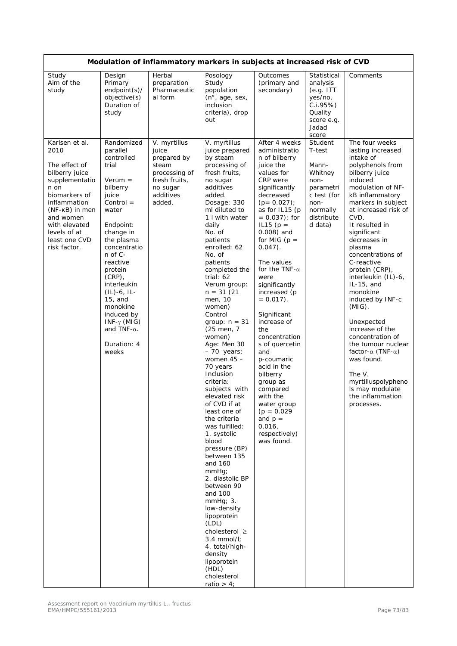| Modulation of inflammatory markers in subjects at increased risk of CVD                                                                                                                                               |                                                                                                                                                                                                                                                                                                                                                                |                                                                                                                    |                                                                                                                                                                                                                                                                                                                                                                                                                                                                                                                                                                                                                                                                                                                                                                                                                                                                                        |                                                                                                                                                                                                                                                                                                                                                                                                                                                                                                                                                                                                |                                                                                                                        |                                                                                                                                                                                                                                                                                                                                                                                                                                                                                                                                                                                                                         |  |  |
|-----------------------------------------------------------------------------------------------------------------------------------------------------------------------------------------------------------------------|----------------------------------------------------------------------------------------------------------------------------------------------------------------------------------------------------------------------------------------------------------------------------------------------------------------------------------------------------------------|--------------------------------------------------------------------------------------------------------------------|----------------------------------------------------------------------------------------------------------------------------------------------------------------------------------------------------------------------------------------------------------------------------------------------------------------------------------------------------------------------------------------------------------------------------------------------------------------------------------------------------------------------------------------------------------------------------------------------------------------------------------------------------------------------------------------------------------------------------------------------------------------------------------------------------------------------------------------------------------------------------------------|------------------------------------------------------------------------------------------------------------------------------------------------------------------------------------------------------------------------------------------------------------------------------------------------------------------------------------------------------------------------------------------------------------------------------------------------------------------------------------------------------------------------------------------------------------------------------------------------|------------------------------------------------------------------------------------------------------------------------|-------------------------------------------------------------------------------------------------------------------------------------------------------------------------------------------------------------------------------------------------------------------------------------------------------------------------------------------------------------------------------------------------------------------------------------------------------------------------------------------------------------------------------------------------------------------------------------------------------------------------|--|--|
| Study<br>Aim of the<br>study                                                                                                                                                                                          | Design<br>Primary<br>endpoint(s)/<br>objective(s)<br>Duration of<br>study                                                                                                                                                                                                                                                                                      | Herbal<br>preparation<br>Pharmaceutic<br>al form                                                                   | Posology<br>Study<br>population<br>(n <sup>°</sup> , age, sex,<br>inclusion<br>criteria), drop<br>out                                                                                                                                                                                                                                                                                                                                                                                                                                                                                                                                                                                                                                                                                                                                                                                  | Outcomes<br>(primary and<br>secondary)                                                                                                                                                                                                                                                                                                                                                                                                                                                                                                                                                         | Statistical<br>analysis<br>(e.g. ITT)<br>yes/no,<br>C.1.95%<br>Quality<br>score e.g.<br>Jadad<br>score                 | Comments                                                                                                                                                                                                                                                                                                                                                                                                                                                                                                                                                                                                                |  |  |
| Karlsen et al.<br>2010<br>The effect of<br>bilberry juice<br>supplementatio<br>n on<br>biomarkers of<br>inflammation<br>(NF-KB) in men<br>and women<br>with elevated<br>levels of at<br>least one CVD<br>risk factor. | Randomized<br>parallel<br>controlled<br>trial<br>$Verum =$<br>bilberry<br>juice<br>$Control =$<br>water<br>Endpoint:<br>change in<br>the plasma<br>concentratio<br>n of C-<br>reactive<br>protein<br>$(CRP)$ ,<br>interleukin<br>$(IL) - 6$ , IL-<br>$15$ , and<br>monokine<br>induced by<br>$INF-\gamma$ (MIG)<br>and TNF- $\alpha$ .<br>Duration: 4<br>weeks | V. myrtillus<br>juice<br>prepared by<br>steam<br>processing of<br>fresh fruits,<br>no sugar<br>additives<br>added. | V. myrtillus<br>juice prepared<br>by steam<br>processing of<br>fresh fruits,<br>no sugar<br>additives<br>added.<br>Dosage: 330<br>ml diluted to<br>1 I with water<br>daily<br>No. of<br>patients<br>enrolled: 62<br>No. of<br>patients<br>completed the<br>trial: 62<br>Verum group:<br>$n = 31(21)$<br>men, 10<br>women)<br>Control<br>group: $n = 31$<br>(25 men, 7<br>women)<br>Age: Men 30<br>- 70 years;<br>women $45 -$<br>70 years<br>Inclusion<br>criteria:<br>subjects with<br>elevated risk<br>of CVD if at<br>least one of<br>the criteria<br>was fulfilled:<br>1. systolic<br>blood<br>pressure (BP)<br>between 135<br>and 160<br>$mm$ H $q$<br>2. diastolic BP<br>between 90<br>and 100<br>$mmHg$ ; 3.<br>low-density<br>lipoprotein<br>(LDL)<br>cholesterol $\geq$<br>$3.4$ mmol/l;<br>4. total/high-<br>density<br>lipoprotein<br>(HDL)<br>cholesterol<br>ratio $> 4$ ; | After 4 weeks<br>administratio<br>n of bilberry<br>juice the<br>values for<br>CRP were<br>significantly<br>decreased<br>$(p = 0.027)$ ;<br>as for IL15 (p<br>$= 0.037$ ; for<br>$IL15 (p =$<br>$0.008$ ) and<br>for MIG ( $p =$<br>$0.047$ ).<br>The values<br>for the TNF- $\alpha$<br>were<br>significantly<br>increased (p<br>$= 0.017$ .<br>Significant<br>increase of<br>the<br>concentration<br>s of quercetin<br>and<br>p-coumaric<br>acid in the<br>bilberry<br>group as<br>compared<br>with the<br>water group<br>$(p = 0.029)$<br>and $p =$<br>0.016,<br>respectively)<br>was found. | Student<br>T-test<br>Mann-<br>Whitney<br>non-<br>parametri<br>c test (for<br>non-<br>normally<br>distribute<br>d data) | The four weeks<br>lasting increased<br>intake of<br>polyphenols from<br>bilberry juice<br>induced<br>modulation of NF-<br>kB inflammatory<br>markers in subject<br>at increased risk of<br>CVD.<br>It resulted in<br>significant<br>decreases in<br>plasma<br>concentrations of<br>C-reactive<br>protein (CRP),<br>interleukin (IL)-6,<br>$IL-15$ , and<br>monokine<br>induced by INF-c<br>$(MIG)$ .<br>Unexpected<br>increase of the<br>concentration of<br>the tumour nuclear<br>factor- $\alpha$ (TNF- $\alpha$ )<br>was found.<br>The V.<br>myrtilluspolypheno<br>Is may modulate<br>the inflammation<br>processes. |  |  |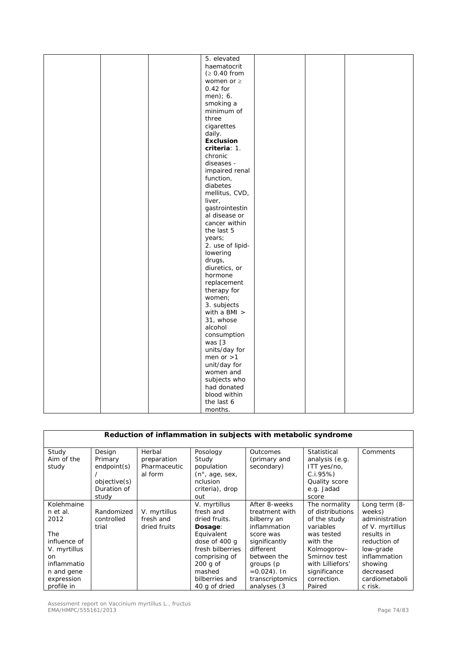|  | 5. elevated      |  |  |
|--|------------------|--|--|
|  | haematocrit      |  |  |
|  | (≥ 0.40 from     |  |  |
|  | women or $\geq$  |  |  |
|  | $0.42$ for       |  |  |
|  | men); 6.         |  |  |
|  | smoking a        |  |  |
|  | minimum of       |  |  |
|  |                  |  |  |
|  | three            |  |  |
|  | cigarettes       |  |  |
|  | daily.           |  |  |
|  | <b>Exclusion</b> |  |  |
|  | criteria: 1.     |  |  |
|  | chronic          |  |  |
|  | diseases -       |  |  |
|  | impaired renal   |  |  |
|  | function,        |  |  |
|  | diabetes         |  |  |
|  | mellitus, CVD,   |  |  |
|  | liver,           |  |  |
|  | gastrointestin   |  |  |
|  | al disease or    |  |  |
|  |                  |  |  |
|  | cancer within    |  |  |
|  | the last 5       |  |  |
|  | years;           |  |  |
|  | 2. use of lipid- |  |  |
|  | lowering         |  |  |
|  | drugs,           |  |  |
|  | diuretics, or    |  |  |
|  | hormone          |  |  |
|  | replacement      |  |  |
|  | therapy for      |  |  |
|  | women;           |  |  |
|  | 3. subjects      |  |  |
|  |                  |  |  |
|  | with a BMI $>$   |  |  |
|  | 31, whose        |  |  |
|  | alcohol          |  |  |
|  | consumption      |  |  |
|  | was [3           |  |  |
|  | units/day for    |  |  |
|  | men or $>1$      |  |  |
|  | unit/day for     |  |  |
|  | women and        |  |  |
|  | subjects who     |  |  |
|  | had donated      |  |  |
|  | blood within     |  |  |
|  | the last 6       |  |  |
|  |                  |  |  |
|  | months.          |  |  |

| Reduction of inflammation in subjects with metabolic syndrome |              |              |                             |                 |                  |                        |  |  |  |
|---------------------------------------------------------------|--------------|--------------|-----------------------------|-----------------|------------------|------------------------|--|--|--|
|                                                               |              |              |                             |                 |                  |                        |  |  |  |
| Study                                                         | Design       | Herbal       | Posology                    | Outcomes        | Statistical      | Comments               |  |  |  |
| Aim of the                                                    | Primary      | preparation  | Study                       | (primary and    | analysis (e.g.   |                        |  |  |  |
| study                                                         | endpoint(s)  | Pharmaceutic | population                  | secondary)      | ITT yes/no,      |                        |  |  |  |
|                                                               |              | al form      | (n <sup>°</sup> , age, sex, |                 | C.I.95%          |                        |  |  |  |
|                                                               | objective(s) |              | nclusion                    |                 | Quality score    |                        |  |  |  |
|                                                               | Duration of  |              | criteria), drop             |                 | e.g. Jadad       |                        |  |  |  |
|                                                               | study        |              | out                         |                 | score            |                        |  |  |  |
| Kolehmaine                                                    |              |              | V. myrtillus                | After 8-weeks   | The normality    | Long term (8-          |  |  |  |
| n et al.                                                      | Randomized   | V. myrtillus | fresh and                   | treatment with  | of distributions | weeks)                 |  |  |  |
| 2012                                                          | controlled   | fresh and    | dried fruits.               | bilberry an     | of the study     | administration         |  |  |  |
|                                                               | trial        | dried fruits | Dosage:                     | inflammation    | variables        | of <i>V. myrtillus</i> |  |  |  |
| <b>The</b>                                                    |              |              | Equivalent                  | score was       | was tested       | results in             |  |  |  |
| influence of                                                  |              |              | dose of 400 g               | significantly   | with the         | reduction of           |  |  |  |
| V. myrtillus                                                  |              |              | fresh bilberries            | different       | Kolmogorov-      | low-grade              |  |  |  |
| on                                                            |              |              | comprising of               | between the     | Smirnov test     | inflammation           |  |  |  |
| inflammatio                                                   |              |              | $200$ g of                  | groups (p       | with Lilliefors' | showing                |  |  |  |
| n and gene                                                    |              |              | mashed                      | $=0.024$ ). In  | significance     | decreased              |  |  |  |
| expression                                                    |              |              | bilberries and              | transcriptomics | correction.      | cardiometaboli         |  |  |  |
| profile in                                                    |              |              | 40 g of dried               | analyses (3     | Paired           | c risk.                |  |  |  |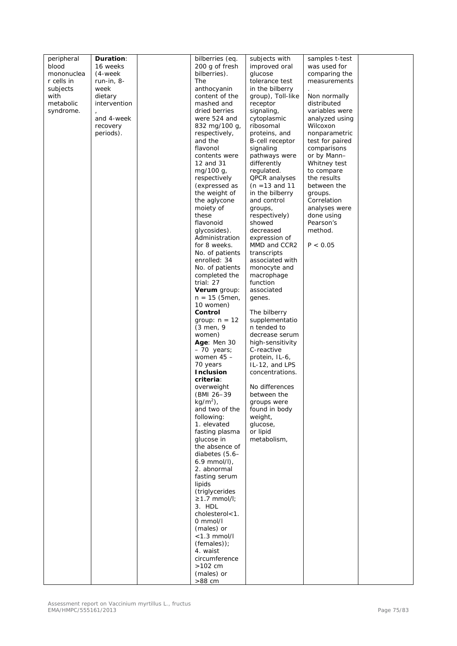| peripheral        | <b>Duration:</b> | bilberries (eq.                 | subjects with                      | samples t-test              |  |
|-------------------|------------------|---------------------------------|------------------------------------|-----------------------------|--|
| blood             | 16 weeks         | 200 g of fresh                  | improved oral                      | was used for                |  |
| mononuclea        | (4-week          | bilberries).                    | glucose                            | comparing the               |  |
| r cells in        | run-in, 8-       | The                             | tolerance test                     | measurements                |  |
| subjects          | week             | anthocyanin                     | in the bilberry                    |                             |  |
| with<br>metabolic | dietary          | content of the                  | group), Toll-like                  | Non normally<br>distributed |  |
| syndrome.         | intervention     | mashed and<br>dried berries     | receptor<br>signaling,             | variables were              |  |
|                   | and 4-week       | were 524 and                    | cytoplasmic                        | analyzed using              |  |
|                   | recovery         | 832 mg/100 g,                   | ribosomal                          | Wilcoxon                    |  |
|                   | periods).        | respectively,                   | proteins, and                      | nonparametric               |  |
|                   |                  | and the                         | <b>B-cell receptor</b>             | test for paired             |  |
|                   |                  | flavonol                        | signaling                          | comparisons                 |  |
|                   |                  | contents were                   | pathways were                      | or by Mann-                 |  |
|                   |                  | 12 and 31                       | differently                        | Whitney test                |  |
|                   |                  | mg/100 g,                       | regulated.                         | to compare                  |  |
|                   |                  | respectively<br>(expressed as   | QPCR analyses<br>$(n = 13$ and 11  | the results<br>between the  |  |
|                   |                  | the weight of                   | in the bilberry                    | groups.                     |  |
|                   |                  | the aglycone                    | and control                        | Correlation                 |  |
|                   |                  | moiety of                       | groups,                            | analyses were               |  |
|                   |                  | these                           | respectively)                      | done using                  |  |
|                   |                  | flavonoid                       | showed                             | Pearson's                   |  |
|                   |                  | glycosides).                    | decreased                          | method.                     |  |
|                   |                  | Administration                  | expression of                      |                             |  |
|                   |                  | for 8 weeks.                    | MMD and CCR2                       | P < 0.05                    |  |
|                   |                  | No. of patients                 | transcripts                        |                             |  |
|                   |                  | enrolled: 34<br>No. of patients | associated with<br>monocyte and    |                             |  |
|                   |                  | completed the                   | macrophage                         |                             |  |
|                   |                  | trial: 27                       | function                           |                             |  |
|                   |                  | Verum group:                    | associated                         |                             |  |
|                   |                  | $n = 15$ (5 men,                | genes.                             |                             |  |
|                   |                  | 10 women)                       |                                    |                             |  |
|                   |                  | Control                         | The bilberry                       |                             |  |
|                   |                  | group: $n = 12$                 | supplementatio                     |                             |  |
|                   |                  | $(3 \text{ men}, 9)$            | n tended to                        |                             |  |
|                   |                  | women)<br>Age: Men 30           | decrease serum<br>high-sensitivity |                             |  |
|                   |                  | $-70$ years;                    | C-reactive                         |                             |  |
|                   |                  | women $45 -$                    | protein, IL-6,                     |                             |  |
|                   |                  | 70 years                        | IL-12, and LPS                     |                             |  |
|                   |                  | <b>Inclusion</b>                | concentrations.                    |                             |  |
|                   |                  | criteria:                       |                                    |                             |  |
|                   |                  | overweight                      | No differences                     |                             |  |
|                   |                  | (BMI 26-39                      | between the                        |                             |  |
|                   |                  | $kg/m2$ ),<br>and two of the    | groups were                        |                             |  |
|                   |                  | following:                      | found in body<br>weight,           |                             |  |
|                   |                  | 1. elevated                     | glucose,                           |                             |  |
|                   |                  | fasting plasma                  | or lipid                           |                             |  |
|                   |                  | glucose in                      | metabolism,                        |                             |  |
|                   |                  | the absence of                  |                                    |                             |  |
|                   |                  | diabetes $(5.6-$                |                                    |                             |  |
|                   |                  | $6.9$ mmol/l),                  |                                    |                             |  |
|                   |                  | 2. abnormal<br>fasting serum    |                                    |                             |  |
|                   |                  | lipids                          |                                    |                             |  |
|                   |                  | (triglycerides                  |                                    |                             |  |
|                   |                  | $\geq$ 1.7 mmol/l;              |                                    |                             |  |
|                   |                  | 3. HDL                          |                                    |                             |  |
|                   |                  | cholesterol<1.                  |                                    |                             |  |
|                   |                  | 0 mmol/l                        |                                    |                             |  |
|                   |                  | (males) or                      |                                    |                             |  |
|                   |                  | $<$ 1.3 mmol/l                  |                                    |                             |  |
|                   |                  | $(females))$ ;<br>4. waist      |                                    |                             |  |
|                   |                  | circumference                   |                                    |                             |  |
|                   |                  | $>102$ cm                       |                                    |                             |  |
|                   |                  | (males) or                      |                                    |                             |  |
|                   |                  | >88 cm                          |                                    |                             |  |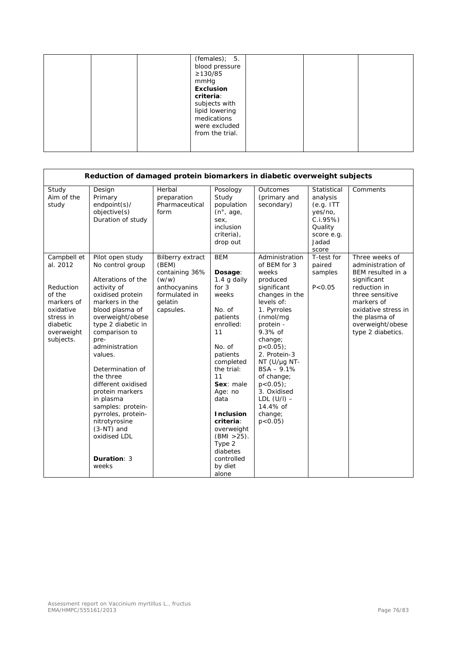| $\geq$ 130/85<br>mmHg<br><b>Exclusion</b><br>criteria: | $(females);$ 5.<br>blood pressure<br>subjects with<br>lipid lowering<br>medications<br>were excluded<br>from the trial. |
|--------------------------------------------------------|-------------------------------------------------------------------------------------------------------------------------|
|--------------------------------------------------------|-------------------------------------------------------------------------------------------------------------------------|

|                                                                                                                               | Reduction of damaged protein biomarkers in diabetic overweight subjects                                                                                                                                                                                                                                                                                                                                                                       |                                                                                                                      |                                                                                                                                                                                                                                                                                                                   |                                                                                                                                                                                                                                                                                                                                            |                                                                                                        |                                                                                                                                                                                                           |  |  |
|-------------------------------------------------------------------------------------------------------------------------------|-----------------------------------------------------------------------------------------------------------------------------------------------------------------------------------------------------------------------------------------------------------------------------------------------------------------------------------------------------------------------------------------------------------------------------------------------|----------------------------------------------------------------------------------------------------------------------|-------------------------------------------------------------------------------------------------------------------------------------------------------------------------------------------------------------------------------------------------------------------------------------------------------------------|--------------------------------------------------------------------------------------------------------------------------------------------------------------------------------------------------------------------------------------------------------------------------------------------------------------------------------------------|--------------------------------------------------------------------------------------------------------|-----------------------------------------------------------------------------------------------------------------------------------------------------------------------------------------------------------|--|--|
| Study<br>Aim of the<br>study                                                                                                  | Design<br>Primary<br>$endpoint(s)$ /<br>objective(s)<br>Duration of study                                                                                                                                                                                                                                                                                                                                                                     | Herbal<br>preparation<br>Pharmaceutical<br>form                                                                      | Posology<br>Study<br>population<br>$(n^{\circ}, \text{age})$<br>sex,<br>inclusion<br>criteria),<br>drop out                                                                                                                                                                                                       | Outcomes<br>(primary and<br>secondary)                                                                                                                                                                                                                                                                                                     | Statistical<br>analysis<br>(e.g. ITT)<br>yes/no,<br>C.I.95%<br>Quality<br>score e.g.<br>Jadad<br>score | Comments                                                                                                                                                                                                  |  |  |
| Campbell et<br>al. 2012<br>Reduction<br>of the<br>markers of<br>oxidative<br>stress in<br>diabetic<br>overweight<br>subjects. | Pilot open study<br>No control group<br>Alterations of the<br>activity of<br>oxidised protein<br>markers in the<br>blood plasma of<br>overweight/obese<br>type 2 diabetic in<br>comparison to<br>pre-<br>administration<br>values.<br>Determination of<br>the three<br>different oxidised<br>protein markers<br>in plasma<br>samples: protein-<br>pyrroles, protein-<br>nitrotyrosine<br>$(3-NT)$ and<br>oxidised LDL<br>Duration: 3<br>weeks | <b>Bilberry extract</b><br>(BEM)<br>containing 36%<br>(w/w)<br>anthocyanins<br>formulated in<br>gelatin<br>capsules. | <b>BEM</b><br>Dosage:<br>1.4 g daily<br>for $3$<br>weeks<br>No. of<br>patients<br>enrolled:<br>11<br>No. of<br>patients<br>completed<br>the trial:<br>11<br>Sex: male<br>Age: no<br>data<br><b>Inclusion</b><br>criteria:<br>overweight<br>$(BMI > 25)$ .<br>Type 2<br>diabetes<br>controlled<br>by diet<br>alone | Administration<br>of BEM for 3<br>weeks<br>produced<br>significant<br>changes in the<br>levels of:<br>1. Pyrroles<br>(nmol/mg<br>protein -<br>$9.3%$ of<br>change;<br>$p < 0.05$ ;<br>2. Protein-3<br>$NT$ (U/µg NT-<br>$BSA - 9.1%$<br>of change;<br>$p < 0.05$ );<br>3. Oxidised<br>LDL $(U/I)$ –<br>14.4% of<br>change;<br>$p < 0.05$ ) | T-test for<br>paired<br>samples<br>P < 0.05                                                            | Three weeks of<br>administration of<br>BEM resulted in a<br>significant<br>reduction in<br>three sensitive<br>markers of<br>oxidative stress in<br>the plasma of<br>overweight/obese<br>type 2 diabetics. |  |  |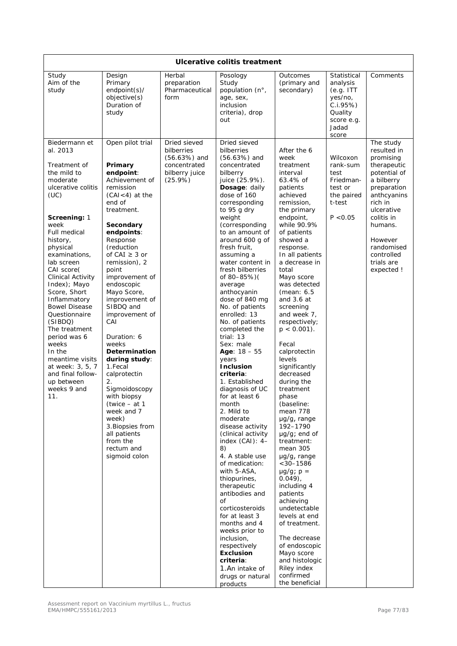| Ulcerative colitis treatment                                                                                                                                                                                                                                                                                                                                                                                                                                                                        |                                                                                                                                                                                                                                                                                                                                                                                                                                                                                                                                                                                     |                                                                                           |                                                                                                                                                                                                                                                                                                                                                                                                                                                                                                                                                                                                                                                                                                                                                                                                                                                                                                                                                                                                |                                                                                                                                                                                                                                                                                                                                                                                                                                                                                                                                                                                                                                                                                                                                                                                                                                              |                                                                                                        |                                                                                                                                                                                                                                       |  |  |
|-----------------------------------------------------------------------------------------------------------------------------------------------------------------------------------------------------------------------------------------------------------------------------------------------------------------------------------------------------------------------------------------------------------------------------------------------------------------------------------------------------|-------------------------------------------------------------------------------------------------------------------------------------------------------------------------------------------------------------------------------------------------------------------------------------------------------------------------------------------------------------------------------------------------------------------------------------------------------------------------------------------------------------------------------------------------------------------------------------|-------------------------------------------------------------------------------------------|------------------------------------------------------------------------------------------------------------------------------------------------------------------------------------------------------------------------------------------------------------------------------------------------------------------------------------------------------------------------------------------------------------------------------------------------------------------------------------------------------------------------------------------------------------------------------------------------------------------------------------------------------------------------------------------------------------------------------------------------------------------------------------------------------------------------------------------------------------------------------------------------------------------------------------------------------------------------------------------------|----------------------------------------------------------------------------------------------------------------------------------------------------------------------------------------------------------------------------------------------------------------------------------------------------------------------------------------------------------------------------------------------------------------------------------------------------------------------------------------------------------------------------------------------------------------------------------------------------------------------------------------------------------------------------------------------------------------------------------------------------------------------------------------------------------------------------------------------|--------------------------------------------------------------------------------------------------------|---------------------------------------------------------------------------------------------------------------------------------------------------------------------------------------------------------------------------------------|--|--|
| Study<br>Aim of the<br>study                                                                                                                                                                                                                                                                                                                                                                                                                                                                        | Design<br>Primary<br>endpoint(s)/<br>objective(s)<br>Duration of<br>study                                                                                                                                                                                                                                                                                                                                                                                                                                                                                                           | Herbal<br>preparation<br>Pharmaceutical<br>form                                           | Posology<br>Study<br>population (n°,<br>age, sex,<br>inclusion<br>criteria), drop<br>out                                                                                                                                                                                                                                                                                                                                                                                                                                                                                                                                                                                                                                                                                                                                                                                                                                                                                                       | <b>Outcomes</b><br>(primary and<br>secondary)                                                                                                                                                                                                                                                                                                                                                                                                                                                                                                                                                                                                                                                                                                                                                                                                | Statistical<br>analysis<br>(e.g. ITT)<br>yes/no,<br>C.I.95%<br>Quality<br>score e.g.<br>Jadad<br>score | Comments                                                                                                                                                                                                                              |  |  |
| Biedermann et<br>al. 2013<br>Treatment of<br>the mild to<br>moderate<br>ulcerative colitis<br>(UC)<br>Screening: 1<br>week<br><b>Full medical</b><br>history,<br>physical<br>examinations.<br>lab screen<br>CAI score(<br>Clinical Activity<br>Index); Mayo<br>Score, Short<br>Inflammatory<br><b>Bowel Disease</b><br>Questionnaire<br>(SIBDQ)<br>The treatment<br>period was 6<br>weeks<br>In the<br>meantime visits<br>at week: 3, 5, 7<br>and final follow-<br>up between<br>weeks 9 and<br>11. | Open pilot trial<br>Primary<br>endpoint:<br>Achievement of<br>remission<br>$(CAI < 4)$ at the<br>end of<br>treatment.<br>Secondary<br>endpoints:<br>Response<br>(reduction<br>of CAI $\geq$ 3 or<br>remission), 2<br>point<br>improvement of<br>endoscopic<br>Mayo Score,<br>improvement of<br>SIBDQ and<br>improvement of<br>CAI<br>Duration: 6<br>weeks<br>Determination<br>during study:<br>1.Fecal<br>calprotectin<br>2.<br>Sigmoidoscopy<br>with biopsy<br>(twice – at 1<br>week and 7<br>week)<br>3. Biopsies from<br>all patients<br>from the<br>rectum and<br>sigmoid colon | Dried sieved<br>bilberries<br>$(56.63%)$ and<br>concentrated<br>bilberry juice<br>(25.9%) | Dried sieved<br>bilberries<br>$(56.63%)$ and<br>concentrated<br>bilberry<br>juice (25.9%).<br>Dosage: daily<br>dose of 160<br>corresponding<br>to 95 g dry<br>weight<br>(corresponding<br>to an amount of<br>around 600 g of<br>fresh fruit,<br>assuming a<br>water content in<br>fresh bilberries<br>of 80-85%)(<br>average<br>anthocyanin<br>dose of 840 mg<br>No. of patients<br>enrolled: 13<br>No. of patients<br>completed the<br>trial: $13$<br>Sex: male<br>Age: $18 - 55$<br>years<br><b>Inclusion</b><br>criteria:<br>1. Established<br>diagnosis of UC<br>for at least 6<br>month<br>2. Mild to<br>moderate<br>disease activity<br>(clinical activity<br>index $(CAI): 4-$<br>8)<br>4. A stable use<br>of medication:<br>with 5-ASA,<br>thiopurines,<br>therapeutic<br>antibodies and<br>of<br>corticosteroids<br>for at least 3<br>months and 4<br>weeks prior to<br>inclusion,<br>respectively<br><b>Exclusion</b><br>criteria:<br>1.An intake of<br>drugs or natural<br>products | After the 6<br>week<br>treatment<br>interval<br>63.4% of<br>patients<br>achieved<br>remission.<br>the primary<br>endpoint,<br>while 90.9%<br>of patients<br>showed a<br>response.<br>In all patients<br>a decrease in<br>total<br>Mayo score<br>was detected<br>(mean: 6.5)<br>and $3.6$ at<br>screening<br>and week 7,<br>respectively;<br>$p < 0.001$ ).<br>Fecal<br>calprotectin<br>levels<br>significantly<br>decreased<br>during the<br>treatment<br>phase<br>(baseline:<br>mean 778<br>µg/g, range<br>192-1790<br>$\mu$ g/g; end of<br>treatment:<br>mean 305<br>µg/g, range<br>$< 30 - 1586$<br>$\mu$ g/g; p =<br>$0.049$ ),<br>including 4<br>patients<br>achieving<br>undetectable<br>levels at end<br>of treatment.<br>The decrease<br>of endoscopic<br>Mayo score<br>and histologic<br>Riley index<br>confirmed<br>the beneficial | Wilcoxon<br>rank-sum<br>test<br>Friedman-<br>test or<br>the paired<br>t-test<br>P < 0.05               | The study<br>resulted in<br>promising<br>therapeutic<br>potential of<br>a bilberry<br>preparation<br>anthcyanins<br>rich in<br>ulcerative<br>colitis in<br>humans.<br>However<br>randomised<br>controlled<br>trials are<br>expected ! |  |  |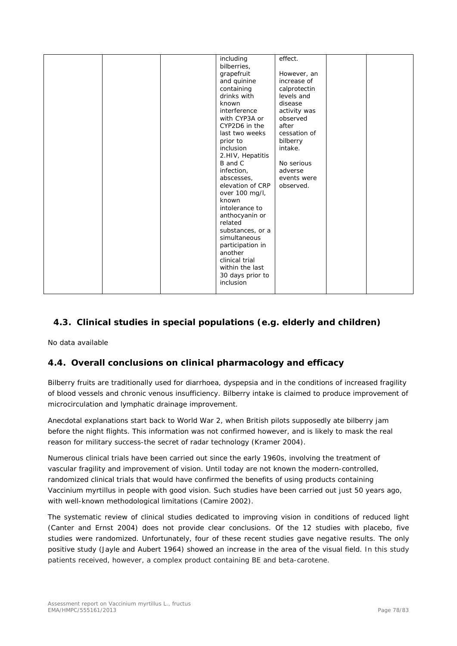|  | including<br>bilberries,<br>grapefruit<br>and quinine<br>containing<br>drinks with<br>known<br>interference<br>with CYP3A or<br>CYP2D6 in the<br>last two weeks<br>prior to<br>inclusion<br>2.HIV, Hepatitis<br>B and C             | effect.<br>However, an<br>increase of<br>calprotectin<br>levels and<br>disease<br>activity was<br>observed<br>after<br>cessation of<br>bilberry<br>intake.<br>No serious |  |
|--|-------------------------------------------------------------------------------------------------------------------------------------------------------------------------------------------------------------------------------------|--------------------------------------------------------------------------------------------------------------------------------------------------------------------------|--|
|  | infection,<br>abscesses,                                                                                                                                                                                                            | adverse<br>events were                                                                                                                                                   |  |
|  | elevation of CRP<br>over 100 mg/l,<br>known<br>intolerance to<br>anthocyanin or<br>related<br>substances, or a<br>simultaneous<br>participation in<br>another<br>clinical trial<br>within the last<br>30 days prior to<br>inclusion | observed.                                                                                                                                                                |  |

# *4.3. Clinical studies in special populations (e.g. elderly and children)*

No data available

## *4.4. Overall conclusions on clinical pharmacology and efficacy*

Bilberry fruits are traditionally used for diarrhoea, dyspepsia and in the conditions of increased fragility of blood vessels and chronic venous insufficiency. Bilberry intake is claimed to produce improvement of microcirculation and lymphatic drainage improvement.

Anecdotal explanations start back to World War 2, when British pilots supposedly ate bilberry jam before the night flights. This information was not confirmed however, and is likely to mask the real reason for military success-the secret of radar technology (Kramer 2004).

Numerous clinical trials have been carried out since the early 1960s, involving the treatment of vascular fragility and improvement of vision. Until today are not known the modern-controlled, randomized clinical trials that would have confirmed the benefits of using products containing *Vaccinium myrtillus* in people with good vision. Such studies have been carried out just 50 years ago, with well-known methodological limitations (Camire 2002).

The systematic review of clinical studies dedicated to improving vision in conditions of reduced light (Canter and Ernst 2004) does not provide clear conclusions. Of the 12 studies with placebo, five studies were randomized. Unfortunately, four of these recent studies gave negative results. The only positive study (Jayle and Aubert 1964) showed an increase in the area of the visual field. In this study patients received, however, a complex product containing BE and beta-carotene.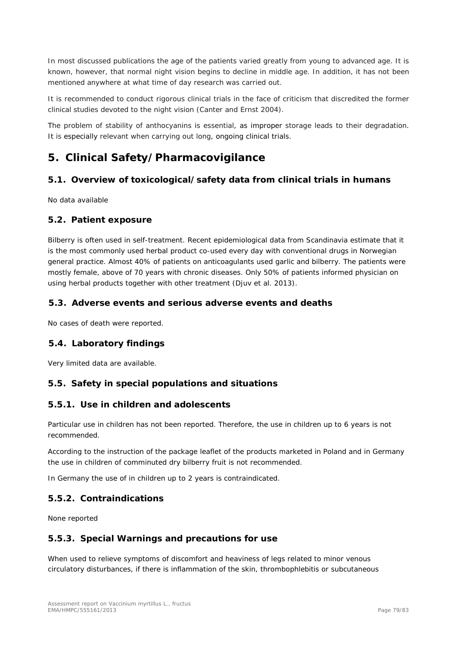In most discussed publications the age of the patients varied greatly from young to advanced age. It is known, however, that normal night vision begins to decline in middle age. In addition, it has not been mentioned anywhere at what time of day research was carried out.

It is recommended to conduct rigorous clinical trials in the face of criticism that discredited the former clinical studies devoted to the night vision (Canter and Ernst 2004).

The problem of stability of anthocyanins is essential, as improper storage leads to their degradation. It is especially relevant when carrying out long, ongoing clinical trials.

# **5. Clinical Safety/Pharmacovigilance**

## *5.1. Overview of toxicological/safety data from clinical trials in humans*

No data available

#### *5.2. Patient exposure*

Bilberry is often used in self-treatment. Recent epidemiological data from Scandinavia estimate that it is the most commonly used herbal product co-used every day with conventional drugs in Norwegian general practice. Almost 40% of patients on anticoagulants used garlic and bilberry. The patients were mostly female, above of 70 years with chronic diseases. Only 50% of patients informed physician on using herbal products together with other treatment (Djuv *et al.* 2013).

#### *5.3. Adverse events and serious adverse events and deaths*

No cases of death were reported.

## *5.4. Laboratory findings*

Very limited data are available.

## *5.5. Safety in special populations and situations*

#### **5.5.1. Use in children and adolescents**

Particular use in children has not been reported. Therefore, the use in children up to 6 years is not recommended.

According to the instruction of the package leaflet of the products marketed in Poland and in Germany the use in children of comminuted dry bilberry fruit is not recommended.

In Germany the use of in children up to 2 years is contraindicated.

## **5.5.2. Contraindications**

None reported

## **5.5.3. Special Warnings and precautions for use**

When used to relieve symptoms of discomfort and heaviness of legs related to minor venous circulatory disturbances, if there is inflammation of the skin, thrombophlebitis or subcutaneous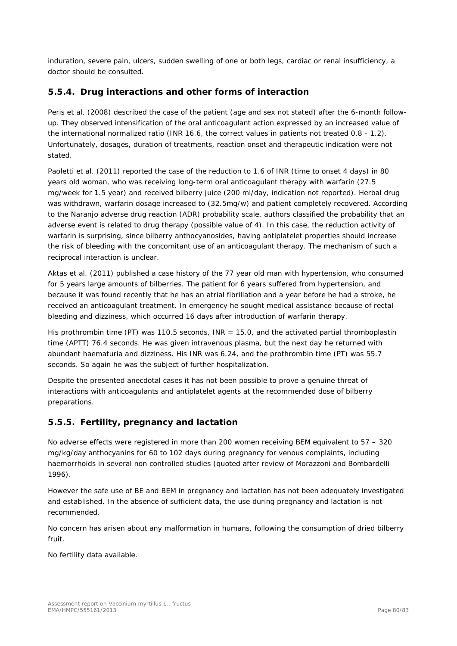induration, severe pain, ulcers, sudden swelling of one or both legs, cardiac or renal insufficiency, a doctor should be consulted.

## **5.5.4. Drug interactions and other forms of interaction**

Peris *et al.* (2008) described the case of the patient (age and sex not stated) after the 6-month followup. They observed intensification of the oral anticoagulant action expressed by an increased value of the international normalized ratio (INR 16.6, the correct values in patients not treated 0.8 - 1.2). Unfortunately, dosages, duration of treatments, reaction onset and therapeutic indication were not stated.

Paoletti *et al.* (2011) reported the case of the reduction to 1.6 of INR (time to onset 4 days) in 80 years old woman, who was receiving long-term oral anticoagulant therapy with warfarin (27.5 mg/week for 1.5 year) and received bilberry juice (200 ml/day, indication not reported). Herbal drug was withdrawn, warfarin dosage increased to (32.5mg/w) and patient completely recovered. According to the Naranjo adverse drug reaction (ADR) probability scale, authors classified the probability that an adverse event is related to drug therapy (possible value of 4). In this case, the reduction activity of warfarin is surprising, since bilberry anthocyanosides, having antiplatelet properties should increase the risk of bleeding with the concomitant use of an anticoagulant therapy. The mechanism of such a reciprocal interaction is unclear.

Aktas *et al.* (2011) published a case history of the 77 year old man with hypertension, who consumed for 5 years large amounts of bilberries. The patient for 6 years suffered from hypertension, and because it was found recently that he has an atrial fibrillation and a year before he had a stroke, he received an anticoagulant treatment. In emergency he sought medical assistance because of rectal bleeding and dizziness, which occurred 16 days after introduction of warfarin therapy.

His prothrombin time (PT) was 110.5 seconds,  $INR = 15.0$ , and the activated partial thromboplastin time (APTT) 76.4 seconds. He was given intravenous plasma, but the next day he returned with abundant haematuria and dizziness. His INR was 6.24, and the prothrombin time (PT) was 55.7 seconds. So again he was the subject of further hospitalization.

Despite the presented anecdotal cases it has not been possible to prove a genuine threat of interactions with anticoagulants and antiplatelet agents at the recommended dose of bilberry preparations.

## **5.5.5. Fertility, pregnancy and lactation**

No adverse effects were registered in more than 200 women receiving BEM equivalent to  $57 - 320$ mg/kg/day anthocyanins for 60 to 102 days during pregnancy for venous complaints, including haemorrhoids in several non controlled studies (quoted after review of Morazzoni and Bombardelli 1996).

However the safe use of BE and BEM in pregnancy and lactation has not been adequately investigated and established. In the absence of sufficient data, the use during pregnancy and lactation is not recommended.

No concern has arisen about any malformation in humans, following the consumption of dried bilberry fruit.

No fertility data available.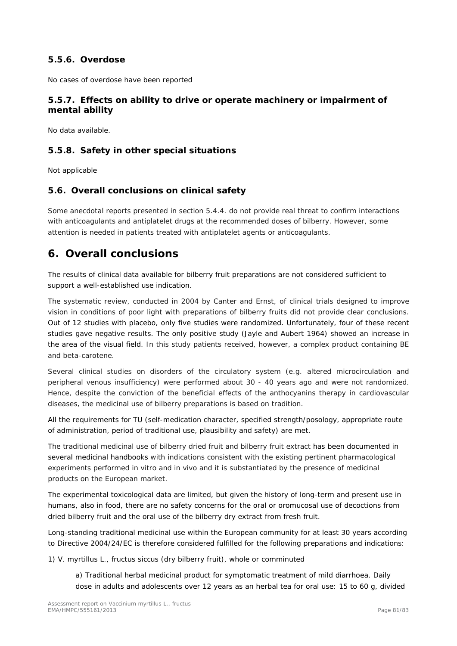## **5.5.6. Overdose**

No cases of overdose have been reported

## **5.5.7. Effects on ability to drive or operate machinery or impairment of mental ability**

No data available.

## **5.5.8. Safety in other special situations**

Not applicable

## *5.6. Overall conclusions on clinical safety*

Some anecdotal reports presented in section 5.4.4. do not provide real threat to confirm interactions with anticoagulants and antiplatelet drugs at the recommended doses of bilberry. However, some attention is needed in patients treated with antiplatelet agents or anticoagulants.

# **6. Overall conclusions**

The results of clinical data available for bilberry fruit preparations are not considered sufficient to support a well-established use indication.

The systematic review, conducted in 2004 by Canter and Ernst, of clinical trials designed to improve vision in conditions of poor light with preparations of bilberry fruits did not provide clear conclusions. Out of 12 studies with placebo, only five studies were randomized. Unfortunately, four of these recent studies gave negative results. The only positive study (Jayle and Aubert 1964) showed an increase in the area of the visual field. In this study patients received, however, a complex product containing BE and beta-carotene.

Several clinical studies on disorders of the circulatory system (e.g. altered microcirculation and peripheral venous insufficiency) were performed about 30 - 40 years ago and were not randomized. Hence, despite the conviction of the beneficial effects of the anthocyanins therapy in cardiovascular diseases, the medicinal use of bilberry preparations is based on tradition.

All the requirements for TU (self-medication character, specified strength/posology, appropriate route of administration, period of traditional use, plausibility and safety) are met.

The traditional medicinal use of bilberry dried fruit and bilberry fruit extract has been documented in several medicinal handbooks with indications consistent with the existing pertinent pharmacological experiments performed *in vitro* and *in vivo* and it is substantiated by the presence of medicinal products on the European market.

The experimental toxicological data are limited, but given the history of long-term and present use in humans, also in food, there are no safety concerns for the oral or oromucosal use of decoctions from dried bilberry fruit and the oral use of the bilberry dry extract from fresh fruit.

Long-standing traditional medicinal use within the European community for at least 30 years according to Directive 2004/24/EC is therefore considered fulfilled for the following preparations and indications:

1) *V. myrtillus* L., fructus siccus (dry bilberry fruit), whole or comminuted

a) Traditional herbal medicinal product for symptomatic treatment of mild diarrhoea. Daily dose in adults and adolescents over 12 years as an herbal tea for oral use: 15 to 60 g, divided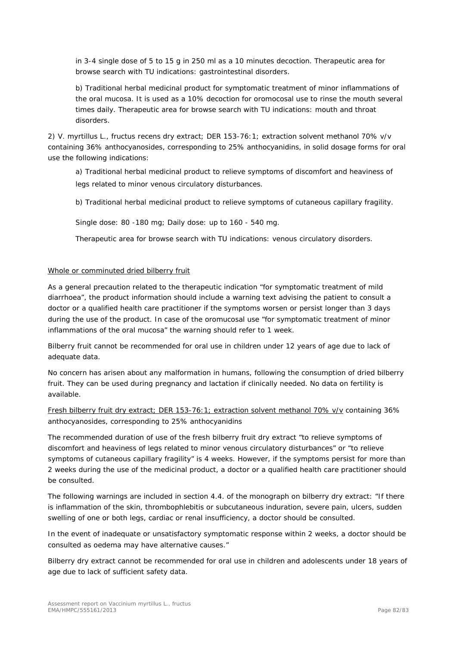in 3-4 single dose of 5 to 15 g in 250 ml as a 10 minutes decoction. Therapeutic area for browse search with TU indications: gastrointestinal disorders.

b) Traditional herbal medicinal product for symptomatic treatment of minor inflammations of the oral mucosa. It is used as a 10% decoction for oromocosal use to rinse the mouth several times daily. Therapeutic area for browse search with TU indications: mouth and throat disorders.

2) *V. myrtillus* L., fructus recens dry extract; DER 153-76:1; extraction solvent methanol 70% v/v containing 36% anthocyanosides, corresponding to 25% anthocyanidins, in solid dosage forms for oral use the following indications:

a) Traditional herbal medicinal product to relieve symptoms of discomfort and heaviness of legs related to minor venous circulatory disturbances.

b) Traditional herbal medicinal product to relieve symptoms of cutaneous capillary fragility.

Single dose: 80 -180 mg; Daily dose: up to 160 - 540 mg.

Therapeutic area for browse search with TU indications: venous circulatory disorders.

#### Whole or comminuted dried bilberry fruit

As a general precaution related to the therapeutic indication "for symptomatic treatment of mild diarrhoea", the product information should include a warning text advising the patient to consult a doctor or a qualified health care practitioner if the symptoms worsen or persist longer than 3 days during the use of the product. In case of the oromucosal use "for symptomatic treatment of minor inflammations of the oral mucosa" the warning should refer to 1 week.

Bilberry fruit cannot be recommended for oral use in children under 12 years of age due to lack of adequate data.

No concern has arisen about any malformation in humans, following the consumption of dried bilberry fruit. They can be used during pregnancy and lactation if clinically needed. No data on fertility is available.

Fresh bilberry fruit dry extract; DER 153-76:1; extraction solvent methanol 70% v/v containing 36% anthocyanosides, corresponding to 25% anthocyanidins

The recommended duration of use of the fresh bilberry fruit dry extract "to relieve symptoms of discomfort and heaviness of legs related to minor venous circulatory disturbances" or "to relieve symptoms of cutaneous capillary fragility" is 4 weeks. However, if the symptoms persist for more than 2 weeks during the use of the medicinal product, a doctor or a qualified health care practitioner should be consulted.

The following warnings are included in section 4.4. of the monograph on bilberry dry extract: "If there is inflammation of the skin, thrombophlebitis or subcutaneous induration, severe pain, ulcers, sudden swelling of one or both legs, cardiac or renal insufficiency, a doctor should be consulted.

In the event of inadequate or unsatisfactory symptomatic response within 2 weeks, a doctor should be consulted as oedema may have alternative causes."

Bilberry dry extract cannot be recommended for oral use in children and adolescents under 18 years of age due to lack of sufficient safety data.